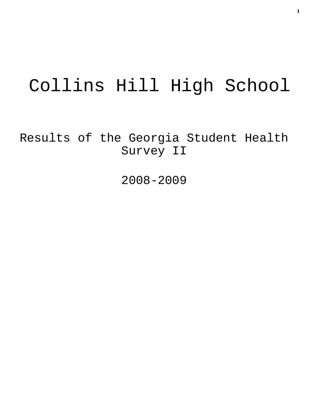# Collins Hill High School

Results of the Georgia Student Health Survey II

2008-2009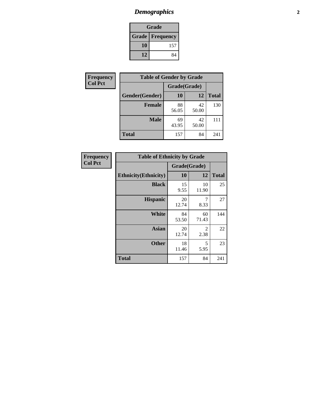# *Demographics* **2**

| Grade                    |     |  |  |
|--------------------------|-----|--|--|
| <b>Grade   Frequency</b> |     |  |  |
| 10                       | 157 |  |  |
| 12                       | 84  |  |  |

| <b>Frequency</b> | <b>Table of Gender by Grade</b> |              |             |              |  |
|------------------|---------------------------------|--------------|-------------|--------------|--|
| <b>Col Pct</b>   |                                 | Grade(Grade) |             |              |  |
|                  | Gender(Gender)                  | 10           | 12          | <b>Total</b> |  |
|                  | <b>Female</b>                   | 88<br>56.05  | 42<br>50.00 | 130          |  |
|                  | <b>Male</b>                     | 69<br>43.95  | 42<br>50.00 | 111          |  |
|                  | <b>Total</b>                    | 157          | 84          | 241          |  |

| Frequency<br>Col Pct |
|----------------------|

| <b>Table of Ethnicity by Grade</b> |              |             |              |  |  |
|------------------------------------|--------------|-------------|--------------|--|--|
|                                    | Grade(Grade) |             |              |  |  |
| <b>Ethnicity</b> (Ethnicity)       | 10           | 12          | <b>Total</b> |  |  |
| <b>Black</b>                       | 15<br>9.55   | 10<br>11.90 | 25           |  |  |
| <b>Hispanic</b>                    | 20<br>12.74  | 7<br>8.33   | 27           |  |  |
| <b>White</b>                       | 84<br>53.50  | 60<br>71.43 | 144          |  |  |
| <b>Asian</b>                       | 20<br>12.74  | 2<br>2.38   | 22           |  |  |
| <b>Other</b>                       | 18<br>11.46  | 5<br>5.95   | 23           |  |  |
| <b>Total</b>                       | 157          | 84          | 241          |  |  |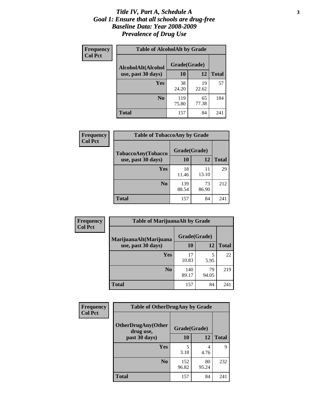#### *Title IV, Part A, Schedule A* **3** *Goal 1: Ensure that all schools are drug-free Baseline Data: Year 2008-2009 Prevalence of Drug Use*

| Frequency<br><b>Col Pct</b> | <b>Table of AlcoholAlt by Grade</b> |              |             |              |  |
|-----------------------------|-------------------------------------|--------------|-------------|--------------|--|
|                             | AlcoholAlt(Alcohol                  | Grade(Grade) |             |              |  |
|                             | use, past 30 days)                  | <b>10</b>    | 12          | <b>Total</b> |  |
|                             | Yes                                 | 38<br>24.20  | 19<br>22.62 | 57           |  |
|                             | N <sub>0</sub>                      | 119<br>75.80 | 65<br>77.38 | 184          |  |
|                             | Total                               | 157          | 84          | 241          |  |

| Frequency      | <b>Table of TobaccoAny by Grade</b> |              |             |              |  |
|----------------|-------------------------------------|--------------|-------------|--------------|--|
| <b>Col Pct</b> | <b>TobaccoAny(Tobacco</b>           | Grade(Grade) |             |              |  |
|                | use, past 30 days)                  | 10           | 12          | <b>Total</b> |  |
|                | Yes                                 | 18<br>11.46  | 11<br>13.10 | 29           |  |
|                | N <sub>0</sub>                      | 139<br>88.54 | 73<br>86.90 | 212          |  |
|                | <b>Total</b>                        | 157          | 84          | 241          |  |

| Frequency<br><b>Col Pct</b> | <b>Table of MarijuanaAlt by Grade</b>        |              |             |              |  |
|-----------------------------|----------------------------------------------|--------------|-------------|--------------|--|
|                             | MarijuanaAlt(Marijuana<br>use, past 30 days) | Grade(Grade) |             |              |  |
|                             |                                              | 10           | 12          | <b>Total</b> |  |
|                             | <b>Yes</b>                                   | 17<br>10.83  | 5<br>5.95   | 22           |  |
|                             | N <sub>0</sub>                               | 140<br>89.17 | 79<br>94.05 | 219          |  |
|                             | <b>Total</b>                                 | 157          | 84          | 241          |  |

| Frequency<br><b>Col Pct</b> | <b>Table of OtherDrugAny by Grade</b>  |              |             |              |  |
|-----------------------------|----------------------------------------|--------------|-------------|--------------|--|
|                             | <b>OtherDrugAny(Other</b><br>drug use, | Grade(Grade) |             |              |  |
|                             | past 30 days)                          | 10           | 12          | <b>Total</b> |  |
|                             | Yes                                    | 3.18         | 4<br>4.76   | 9            |  |
|                             | N <sub>0</sub>                         | 152<br>96.82 | 80<br>95.24 | 232          |  |
|                             | <b>Total</b>                           | 157          | 84          | 241          |  |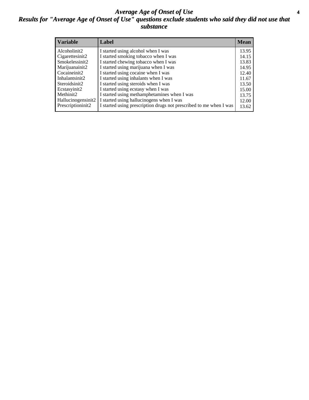#### *Average Age of Onset of Use* **4** *Results for "Average Age of Onset of Use" questions exclude students who said they did not use that substance*

| <b>Variable</b>       | Label                                                              | <b>Mean</b> |
|-----------------------|--------------------------------------------------------------------|-------------|
| Alcoholinit2          | I started using alcohol when I was                                 | 13.95       |
| Cigarettesinit2       | I started smoking tobacco when I was                               | 14.15       |
| Smokelessinit2        | I started chewing tobacco when I was                               | 13.83       |
| Marijuanainit2        | I started using marijuana when I was                               | 14.95       |
| Cocaineinit2          | I started using cocaine when I was                                 | 12.40       |
| Inhalantsinit2        | I started using inhalants when I was                               | 11.67       |
| Steroidsinit2         | I started using steroids when I was                                | 13.50       |
| Ecstasyinit2          | I started using ecstasy when I was                                 | 15.00       |
| Methinit <sub>2</sub> | I started using methamphetamines when I was                        | 13.75       |
| Hallucinogensinit2    | I started using hallucinogens when I was                           | 12.00       |
| Prescriptioninit2     | I started using prescription drugs not prescribed to me when I was | 13.62       |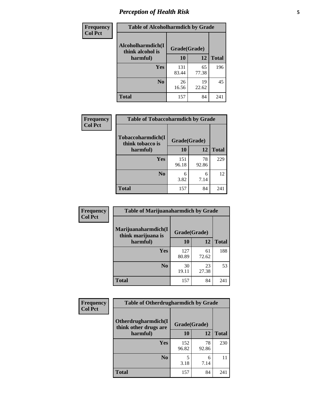# *Perception of Health Risk* **5**

| Frequency      | <b>Table of Alcoholharmdich by Grade</b> |              |             |              |
|----------------|------------------------------------------|--------------|-------------|--------------|
| <b>Col Pct</b> | Alcoholharmdich(I<br>think alcohol is    | Grade(Grade) |             |              |
|                | harmful)                                 | 10           | 12          | <b>Total</b> |
|                | Yes                                      | 131<br>83.44 | 65<br>77.38 | 196          |
|                | N <sub>0</sub>                           | 26<br>16.56  | 19<br>22.62 | 45           |
|                | <b>Total</b>                             | 157          | 84          | 241          |

| Frequency      | <b>Table of Tobaccoharmdich by Grade</b> |              |             |              |
|----------------|------------------------------------------|--------------|-------------|--------------|
| <b>Col Pct</b> | Tobaccoharmdich(I<br>think tobacco is    | Grade(Grade) |             |              |
|                | harmful)                                 | 10           | 12          | <b>Total</b> |
|                | Yes                                      | 151<br>96.18 | 78<br>92.86 | 229          |
|                | N <sub>0</sub>                           | 6<br>3.82    | 6<br>7.14   | 12           |
|                | <b>Total</b>                             | 157          | 84          | 241          |

| Frequency      | <b>Table of Marijuanaharmdich by Grade</b> |              |             |              |  |
|----------------|--------------------------------------------|--------------|-------------|--------------|--|
| <b>Col Pct</b> | Marijuanaharmdich(I<br>think marijuana is  | Grade(Grade) |             |              |  |
|                | harmful)                                   | 10           | 12          | <b>Total</b> |  |
|                | Yes                                        | 127<br>80.89 | 61<br>72.62 | 188          |  |
|                | N <sub>0</sub>                             | 30<br>19.11  | 23<br>27.38 | 53           |  |
|                | <b>Total</b>                               | 157          | 84          | 241          |  |

| Frequency      | <b>Table of Otherdrugharmdich by Grade</b>                   |              |             |              |  |  |  |  |
|----------------|--------------------------------------------------------------|--------------|-------------|--------------|--|--|--|--|
| <b>Col Pct</b> | Otherdrugharmdich(I<br>Grade(Grade)<br>think other drugs are |              |             |              |  |  |  |  |
|                | harmful)                                                     | 10           | 12          | <b>Total</b> |  |  |  |  |
|                | <b>Yes</b>                                                   | 152<br>96.82 | 78<br>92.86 | 230          |  |  |  |  |
|                | N <sub>0</sub>                                               | 3.18         | 6<br>7.14   | 11           |  |  |  |  |
|                | <b>Total</b>                                                 | 157          | 84          | 241          |  |  |  |  |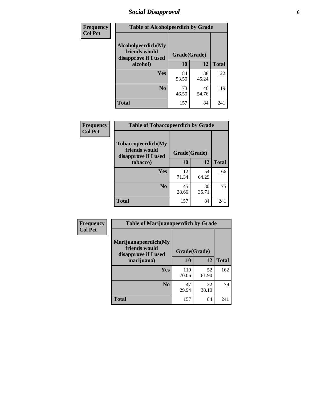# *Social Disapproval* **6**

| Frequency      | <b>Table of Alcoholpeerdich by Grade</b>                    |              |             |              |  |  |  |  |
|----------------|-------------------------------------------------------------|--------------|-------------|--------------|--|--|--|--|
| <b>Col Pct</b> | Alcoholpeerdich(My<br>friends would<br>disapprove if I used | Grade(Grade) |             |              |  |  |  |  |
|                | alcohol)                                                    | 10           | 12          | <b>Total</b> |  |  |  |  |
|                | <b>Yes</b>                                                  | 84<br>53.50  | 38<br>45.24 | 122          |  |  |  |  |
|                | N <sub>0</sub>                                              | 73<br>46.50  | 46<br>54.76 | 119          |  |  |  |  |
|                | <b>Total</b>                                                | 157          | 84          | 241          |  |  |  |  |

| <b>Frequency</b> |
|------------------|
| <b>Col Pct</b>   |

| <b>Table of Tobaccopeerdich by Grade</b>                            |              |             |              |  |  |  |  |
|---------------------------------------------------------------------|--------------|-------------|--------------|--|--|--|--|
| <b>Tobaccopeerdich</b> (My<br>friends would<br>disapprove if I used | Grade(Grade) |             |              |  |  |  |  |
| tobacco)                                                            | 10           | 12          | <b>Total</b> |  |  |  |  |
| Yes                                                                 | 112<br>71.34 | 54<br>64.29 | 166          |  |  |  |  |
| N <sub>0</sub>                                                      | 45<br>28.66  | 30<br>35.71 | 75           |  |  |  |  |
| <b>Total</b>                                                        | 157          | 84          | 241          |  |  |  |  |

| <b>Frequency</b> | <b>Table of Marijuanapeerdich by Grade</b>                    |              |             |              |  |  |  |  |
|------------------|---------------------------------------------------------------|--------------|-------------|--------------|--|--|--|--|
| <b>Col Pct</b>   | Marijuanapeerdich(My<br>friends would<br>disapprove if I used | Grade(Grade) |             |              |  |  |  |  |
|                  | marijuana)                                                    | 10           | 12          | <b>Total</b> |  |  |  |  |
|                  | <b>Yes</b>                                                    | 110<br>70.06 | 52<br>61.90 | 162          |  |  |  |  |
|                  | N <sub>0</sub>                                                | 47<br>29.94  | 32<br>38.10 | 79           |  |  |  |  |
|                  | <b>Total</b>                                                  | 157          | 84          | 241          |  |  |  |  |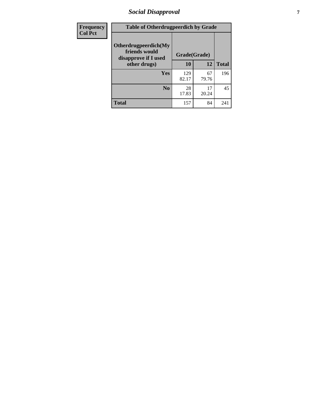# *Social Disapproval* **7**

| Frequency      | <b>Table of Otherdrugpeerdich by Grade</b>                    |              |             |              |  |  |  |  |
|----------------|---------------------------------------------------------------|--------------|-------------|--------------|--|--|--|--|
| <b>Col Pct</b> | Otherdrugpeerdich(My<br>friends would<br>disapprove if I used | Grade(Grade) |             |              |  |  |  |  |
|                | other drugs)                                                  | 10           | 12          | <b>Total</b> |  |  |  |  |
|                | Yes                                                           | 129<br>82.17 | 67<br>79.76 | 196          |  |  |  |  |
|                | N <sub>0</sub>                                                | 28<br>17.83  | 17<br>20.24 | 45           |  |  |  |  |
|                | <b>Total</b>                                                  | 157          | 84          | 241          |  |  |  |  |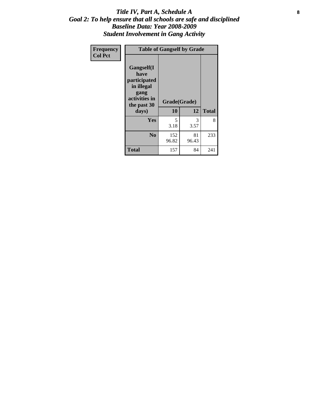#### Title IV, Part A, Schedule A **8** *Goal 2: To help ensure that all schools are safe and disciplined Baseline Data: Year 2008-2009 Student Involvement in Gang Activity*

| Frequency      | <b>Table of Gangself by Grade</b>                                                                 |                    |             |              |
|----------------|---------------------------------------------------------------------------------------------------|--------------------|-------------|--------------|
| <b>Col Pct</b> | Gangself(I<br>have<br>participated<br>in illegal<br>gang<br>activities in<br>the past 30<br>days) | Grade(Grade)<br>10 | 12          | <b>Total</b> |
|                | Yes                                                                                               | 5<br>3.18          | 3<br>3.57   | 8            |
|                | N <sub>0</sub>                                                                                    | 152<br>96.82       | 81<br>96.43 | 233          |
|                | <b>Total</b>                                                                                      | 157                | 84          | 241          |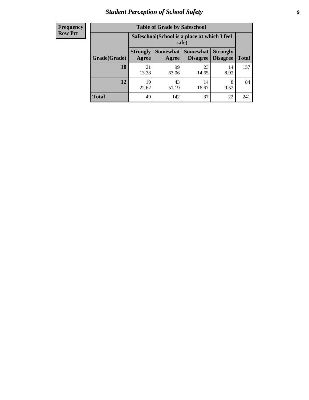# *Student Perception of School Safety* **9**

| <b>Frequency</b><br>Row Pct |
|-----------------------------|
|                             |

| <b>Table of Grade by Safeschool</b> |                                                                                                                    |             |             |            |     |  |  |
|-------------------------------------|--------------------------------------------------------------------------------------------------------------------|-------------|-------------|------------|-----|--|--|
|                                     | Safeschool (School is a place at which I feel<br>safe)                                                             |             |             |            |     |  |  |
| Grade(Grade)                        | Somewhat<br><b>Somewhat</b><br><b>Strongly</b><br><b>Strongly</b><br><b>Disagree</b><br>Agree<br>Disagree<br>Agree |             |             |            |     |  |  |
| 10                                  | 21<br>13.38                                                                                                        | 99<br>63.06 | 23<br>14.65 | 14<br>8.92 | 157 |  |  |
| 12                                  | 19<br>22.62                                                                                                        | 43<br>51.19 | 14<br>16.67 | 8<br>9.52  | 84  |  |  |
| <b>Total</b>                        | 40                                                                                                                 | 142         | 37          | 22         | 241 |  |  |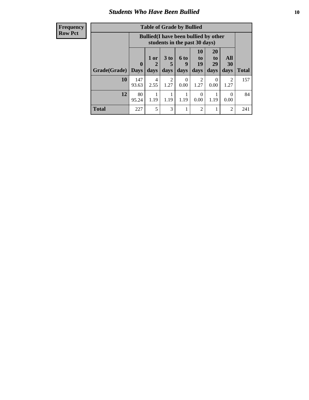### *Students Who Have Been Bullied* **10**

| <b>Frequency</b> |
|------------------|
| Row Pct          |

| <b>Table of Grade by Bullied</b> |                         |                                                                               |                              |                   |                        |                        |                        |              |
|----------------------------------|-------------------------|-------------------------------------------------------------------------------|------------------------------|-------------------|------------------------|------------------------|------------------------|--------------|
|                                  |                         | <b>Bullied</b> (I have been bullied by other<br>students in the past 30 days) |                              |                   |                        |                        |                        |              |
| Grade(Grade)                     | $\bf{0}$<br><b>Days</b> | 1 or<br>days                                                                  | 3 <sub>to</sub><br>5<br>days | 6 to<br>9<br>days | 10<br>to<br>19<br>days | 20<br>to<br>29<br>days | All<br>30<br>days      | <b>Total</b> |
| 10                               | 147<br>93.63            | 4<br>2.55                                                                     | 2<br>1.27                    | $\Omega$<br>0.00  | 2<br>1.27              | $\theta$<br>0.00       | $\mathfrak{D}$<br>1.27 | 157          |
| 12                               | 80<br>95.24             | 1.19                                                                          | 1.19                         | 1.19              | 0<br>0.00              | 1.19                   | $\theta$<br>0.00       | 84           |
| <b>Total</b>                     | 227                     | 5                                                                             | 3                            |                   | 2                      |                        | 2                      | 241          |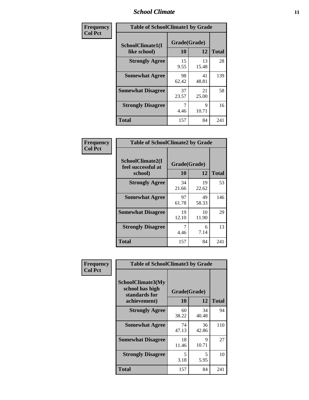### *School Climate* **11**

| Frequency      | <b>Table of SchoolClimate1 by Grade</b> |                    |             |              |  |  |
|----------------|-----------------------------------------|--------------------|-------------|--------------|--|--|
| <b>Col Pct</b> | SchoolClimate1(I<br>like school)        | Grade(Grade)<br>10 | 12          | <b>Total</b> |  |  |
|                | <b>Strongly Agree</b>                   | 15<br>9.55         | 13<br>15.48 | 28           |  |  |
|                | <b>Somewhat Agree</b>                   | 98<br>62.42        | 41<br>48.81 | 139          |  |  |
|                | <b>Somewhat Disagree</b>                | 37<br>23.57        | 21<br>25.00 | 58           |  |  |
|                | <b>Strongly Disagree</b>                | 7<br>4.46          | 9<br>10.71  | 16           |  |  |
|                | <b>Total</b>                            | 157                | 84          | 241          |  |  |

| Frequency |             |
|-----------|-------------|
| Col Pct   |             |
|           | <b>Scho</b> |

| <b>Table of SchoolClimate2 by Grade</b>           |             |                    |              |  |  |
|---------------------------------------------------|-------------|--------------------|--------------|--|--|
| SchoolClimate2(I<br>feel successful at<br>school) | 10          | Grade(Grade)<br>12 | <b>Total</b> |  |  |
| <b>Strongly Agree</b>                             | 34<br>21.66 | 19<br>22.62        | 53           |  |  |
| <b>Somewhat Agree</b>                             | 97<br>61.78 | 49<br>58.33        | 146          |  |  |
| <b>Somewhat Disagree</b>                          | 19<br>12.10 | 10<br>11.90        | 29           |  |  |
| <b>Strongly Disagree</b>                          | 4.46        | 6<br>7.14          | 13           |  |  |
| <b>Total</b>                                      | 157         | 84                 | 241          |  |  |

| Frequency      | <b>Table of SchoolClimate3 by Grade</b>                                      |                          |             |              |
|----------------|------------------------------------------------------------------------------|--------------------------|-------------|--------------|
| <b>Col Pct</b> | <b>SchoolClimate3(My</b><br>school has high<br>standards for<br>achievement) | Grade(Grade)<br>10<br>12 |             | <b>Total</b> |
|                | <b>Strongly Agree</b>                                                        | 60<br>38.22              | 34<br>40.48 | 94           |
|                | <b>Somewhat Agree</b>                                                        | 74<br>47.13              | 36<br>42.86 | 110          |
|                | <b>Somewhat Disagree</b>                                                     | 18<br>11.46              | 9<br>10.71  | 27           |
|                | <b>Strongly Disagree</b>                                                     | 5<br>3.18                | 5<br>5.95   | 10           |
|                | Total                                                                        | 157                      | 84          | 241          |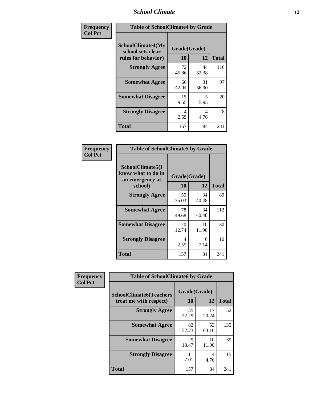### *School Climate* **12**

| Frequency      | <b>Table of SchoolClimate4 by Grade</b>                              |                    |             |              |
|----------------|----------------------------------------------------------------------|--------------------|-------------|--------------|
| <b>Col Pct</b> | <b>SchoolClimate4(My</b><br>school sets clear<br>rules for behavior) | Grade(Grade)<br>10 | 12          | <b>Total</b> |
|                | <b>Strongly Agree</b>                                                | 72<br>45.86        | 44<br>52.38 | 116          |
|                | <b>Somewhat Agree</b>                                                | 66<br>42.04        | 31<br>36.90 | 97           |
|                | <b>Somewhat Disagree</b>                                             | 15<br>9.55         | 5<br>5.95   | 20           |
|                | <b>Strongly Disagree</b>                                             | 4<br>2.55          | 4<br>4.76   | 8            |
|                | <b>Total</b>                                                         | 157                | 84          | 241          |

| <b>Table of SchoolClimate5 by Grade</b>                   |              |             |              |  |  |
|-----------------------------------------------------------|--------------|-------------|--------------|--|--|
| SchoolClimate5(I<br>know what to do in<br>an emergency at | Grade(Grade) |             |              |  |  |
| school)                                                   | 10           | 12          | <b>Total</b> |  |  |
| <b>Strongly Agree</b>                                     | 55<br>35.03  | 34<br>40.48 | 89           |  |  |
| <b>Somewhat Agree</b>                                     | 78<br>49.68  | 34<br>40.48 | 112          |  |  |
| <b>Somewhat Disagree</b>                                  | 20<br>12.74  | 10<br>11.90 | 30           |  |  |
| <b>Strongly Disagree</b>                                  | 4<br>2.55    | 6<br>7.14   | 10           |  |  |
| Total                                                     | 157          | 84          | 241          |  |  |

| Frequency      | <b>Table of SchoolClimate6 by Grade</b>                  |                    |             |              |
|----------------|----------------------------------------------------------|--------------------|-------------|--------------|
| <b>Col Pct</b> | <b>SchoolClimate6(Teachers</b><br>treat me with respect) | Grade(Grade)<br>10 | 12          | <b>Total</b> |
|                | <b>Strongly Agree</b>                                    | 35<br>22.29        | 17<br>20.24 | 52           |
|                | <b>Somewhat Agree</b>                                    | 82<br>52.23        | 53<br>63.10 | 135          |
|                | <b>Somewhat Disagree</b>                                 | 29<br>18.47        | 10<br>11.90 | 39           |
|                | <b>Strongly Disagree</b>                                 | 11<br>7.01         | 4<br>4.76   | 15           |
|                | <b>Total</b>                                             | 157                | 84          | 241          |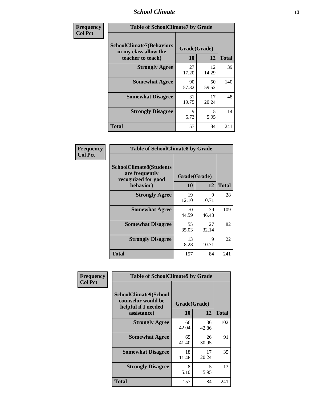### *School Climate* **13**

| Frequency      | <b>Table of SchoolClimate7 by Grade</b>                                       |                           |             |              |
|----------------|-------------------------------------------------------------------------------|---------------------------|-------------|--------------|
| <b>Col Pct</b> | <b>SchoolClimate7(Behaviors</b><br>in my class allow the<br>teacher to teach) | Grade(Grade)<br><b>10</b> | 12          | <b>Total</b> |
|                | <b>Strongly Agree</b>                                                         | 27<br>17.20               | 12<br>14.29 | 39           |
|                | <b>Somewhat Agree</b>                                                         | 90<br>57.32               | 50<br>59.52 | 140          |
|                | <b>Somewhat Disagree</b>                                                      | 31<br>19.75               | 17<br>20.24 | 48           |
|                | <b>Strongly Disagree</b>                                                      | $\mathbf Q$<br>5.73       | 5<br>5.95   | 14           |
|                | <b>Total</b>                                                                  | 157                       | 84          | 241          |

| Frequency      | <b>Table of SchoolClimate8 by Grade</b>                                 |              |             |              |
|----------------|-------------------------------------------------------------------------|--------------|-------------|--------------|
| <b>Col Pct</b> | <b>SchoolClimate8(Students</b><br>are frequently<br>recognized for good | Grade(Grade) |             |              |
|                | behavior)                                                               | 10           | 12          | <b>Total</b> |
|                | <b>Strongly Agree</b>                                                   | 19<br>12.10  | 9<br>10.71  | 28           |
|                | <b>Somewhat Agree</b>                                                   | 70<br>44.59  | 39<br>46.43 | 109          |
|                | <b>Somewhat Disagree</b>                                                | 55<br>35.03  | 27<br>32.14 | 82           |
|                | <b>Strongly Disagree</b>                                                | 13<br>8.28   | 9<br>10.71  | 22           |
|                | <b>Total</b>                                                            | 157          | 84          | 241          |

| Frequency      | <b>Table of SchoolClimate9 by Grade</b>                                           |                    |             |              |
|----------------|-----------------------------------------------------------------------------------|--------------------|-------------|--------------|
| <b>Col Pct</b> | SchoolClimate9(School<br>counselor would be<br>helpful if I needed<br>assistance) | Grade(Grade)<br>10 | 12          | <b>Total</b> |
|                | <b>Strongly Agree</b>                                                             | 66<br>42.04        | 36<br>42.86 | 102          |
|                | <b>Somewhat Agree</b>                                                             | 65<br>41.40        | 26<br>30.95 | 91           |
|                | <b>Somewhat Disagree</b>                                                          | 18<br>11.46        | 17<br>20.24 | 35           |
|                | <b>Strongly Disagree</b>                                                          | 8<br>5.10          | 5<br>5.95   | 13           |
|                | Total                                                                             | 157                | 84          | 241          |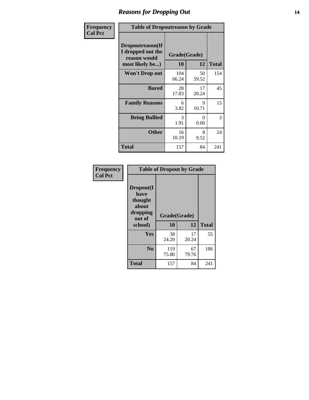### *Reasons for Dropping Out* **14**

| Frequency      | <b>Table of Dropoutreason by Grade</b>                                   |              |                    |              |
|----------------|--------------------------------------------------------------------------|--------------|--------------------|--------------|
| <b>Col Pct</b> | Dropoutreason(If<br>I dropped out the<br>reason would<br>most likely be) | 10           | Grade(Grade)<br>12 | <b>Total</b> |
|                | Won't Drop out                                                           | 104<br>66.24 | 50<br>59.52        | 154          |
|                | <b>Bored</b>                                                             | 28<br>17.83  | 17<br>20.24        | 45           |
|                | <b>Family Reasons</b>                                                    | 6<br>3.82    | 9<br>10.71         | 15           |
|                | <b>Being Bullied</b>                                                     | 3<br>1.91    | 0<br>0.00          | 3            |
|                | <b>Other</b>                                                             | 16<br>10.19  | 8<br>9.52          | 24           |
|                | <b>Total</b>                                                             | 157          | 84                 | 241          |

| Frequency<br><b>Col Pct</b> | <b>Table of Dropout by Grade</b>                                       |                    |              |     |  |
|-----------------------------|------------------------------------------------------------------------|--------------------|--------------|-----|--|
|                             | Dropout(I<br>have<br>thought<br>about<br>dropping<br>out of<br>school) | Grade(Grade)<br>10 | <b>Total</b> |     |  |
|                             |                                                                        |                    | 12           |     |  |
|                             | <b>Yes</b>                                                             | 38<br>24.20        | 17<br>20.24  | 55  |  |
|                             | N <sub>0</sub>                                                         | 119<br>75.80       | 67<br>79.76  | 186 |  |
|                             | <b>Total</b>                                                           | 157                | 84           | 241 |  |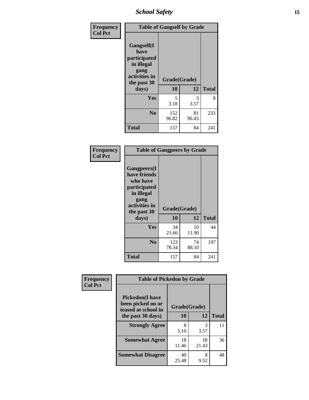*School Safety* **15**

| Frequency      |                                                                                                   | <b>Table of Gangself by Grade</b> |             |              |  |
|----------------|---------------------------------------------------------------------------------------------------|-----------------------------------|-------------|--------------|--|
| <b>Col Pct</b> | Gangself(I<br>have<br>participated<br>in illegal<br>gang<br>activities in<br>the past 30<br>days) | Grade(Grade)<br>10                | 12          | <b>Total</b> |  |
|                | Yes                                                                                               | 5<br>3.18                         | 3<br>3.57   | 8            |  |
|                | N <sub>0</sub>                                                                                    | 152<br>96.82                      | 81<br>96.43 | 233          |  |
|                | <b>Total</b>                                                                                      | 157                               | 84          | 241          |  |

| Frequency<br><b>Col Pct</b> | <b>Table of Gangpeers by Grade</b>                                                                                             |                    |             |              |  |  |  |  |  |  |
|-----------------------------|--------------------------------------------------------------------------------------------------------------------------------|--------------------|-------------|--------------|--|--|--|--|--|--|
|                             | <b>Gangpeers</b> (I<br>have friends<br>who have<br>participated<br>in illegal<br>gang<br>activities in<br>the past 30<br>days) | Grade(Grade)<br>10 | 12          | <b>Total</b> |  |  |  |  |  |  |
|                             | Yes                                                                                                                            | 34<br>21.66        | 10<br>11.90 | 44           |  |  |  |  |  |  |
|                             | N <sub>0</sub>                                                                                                                 | 123<br>78.34       | 74<br>88.10 | 197          |  |  |  |  |  |  |
|                             | <b>Total</b>                                                                                                                   | 157                | 84          | 241          |  |  |  |  |  |  |

| Frequency      | <b>Table of Pickedon by Grade</b>                                  |              |             |              |
|----------------|--------------------------------------------------------------------|--------------|-------------|--------------|
| <b>Col Pct</b> | <b>Pickedon(I have</b><br>been picked on or<br>teased at school in | Grade(Grade) |             |              |
|                | the past 30 days)                                                  | 10           | 12          | <b>Total</b> |
|                | <b>Strongly Agree</b>                                              | 8<br>5.10    | 3<br>3.57   | 11           |
|                | <b>Somewhat Agree</b>                                              | 18<br>11.46  | 18<br>21.43 | 36           |
|                | <b>Somewhat Disagree</b>                                           | 40<br>25.48  | 8<br>9.52   | 48           |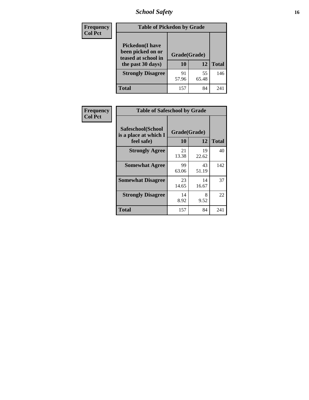# *School Safety* **16**

| <b>Frequency</b> | <b>Table of Pickedon by Grade</b>                                                        |                    |             |              |  |  |  |  |  |
|------------------|------------------------------------------------------------------------------------------|--------------------|-------------|--------------|--|--|--|--|--|
| <b>Col Pct</b>   | <b>Pickedon</b> (I have<br>been picked on or<br>teased at school in<br>the past 30 days) | Grade(Grade)<br>10 | 12          | <b>Total</b> |  |  |  |  |  |
|                  | <b>Strongly Disagree</b>                                                                 | 91<br>57.96        | 55<br>65.48 | 146          |  |  |  |  |  |
|                  | Total                                                                                    | 157                | 84          | 241          |  |  |  |  |  |

| Frequency      | <b>Table of Safeschool by Grade</b>                      |                    |              |     |  |  |  |  |  |
|----------------|----------------------------------------------------------|--------------------|--------------|-----|--|--|--|--|--|
| <b>Col Pct</b> | Safeschool(School<br>is a place at which I<br>feel safe) | Grade(Grade)<br>10 | <b>Total</b> |     |  |  |  |  |  |
|                | <b>Strongly Agree</b>                                    | 21<br>13.38        | 19<br>22.62  | 40  |  |  |  |  |  |
|                | <b>Somewhat Agree</b>                                    | 99<br>63.06        | 43<br>51.19  | 142 |  |  |  |  |  |
|                | <b>Somewhat Disagree</b>                                 | 23<br>14.65        | 14<br>16.67  | 37  |  |  |  |  |  |
|                | <b>Strongly Disagree</b>                                 | 14<br>8.92         | 8<br>9.52    | 22  |  |  |  |  |  |
|                | <b>Total</b>                                             | 157                | 84           | 241 |  |  |  |  |  |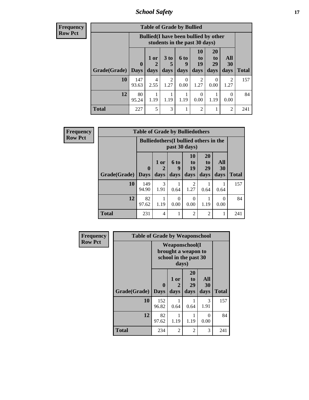*School Safety* **17**

| Frequency      |  |
|----------------|--|
| <b>Row Pct</b> |  |

| $\overline{V}$ | <b>Table of Grade by Bullied</b> |                             |                                                                               |              |                          |                               |                               |                                  |              |  |  |
|----------------|----------------------------------|-----------------------------|-------------------------------------------------------------------------------|--------------|--------------------------|-------------------------------|-------------------------------|----------------------------------|--------------|--|--|
|                |                                  |                             | <b>Bullied</b> (I have been bullied by other<br>students in the past 30 days) |              |                          |                               |                               |                                  |              |  |  |
|                | Grade(Grade)                     | $\mathbf{0}$<br><b>Days</b> | 1 or<br>$\mathbf{2}$<br>days                                                  | 3 to<br>days | <b>6 to</b><br>9<br>days | <b>10</b><br>to<br>19<br>days | <b>20</b><br>to<br>29<br>days | All<br><b>30</b><br>days         | <b>Total</b> |  |  |
|                | 10                               | 147<br>93.63                | 4<br>2.55                                                                     | 2<br>1.27    | 0<br>0.00                | 2<br>1.27                     | 0.00                          | $\overline{\mathcal{L}}$<br>1.27 | 157          |  |  |
|                | 12                               | 80<br>95.24                 | 1.19                                                                          | 1.19         | 1.19                     | 0<br>0.00                     | 1.19                          | 0<br>0.00                        | 84           |  |  |
|                | <b>Total</b>                     | 227                         | 5                                                                             | 3            |                          | $\overline{c}$                |                               | $\overline{2}$                   | 241          |  |  |

| <b>Frequency</b> | <b>Table of Grade by Bulliedothers</b> |              |                                               |           |                        |                       |           |              |  |  |
|------------------|----------------------------------------|--------------|-----------------------------------------------|-----------|------------------------|-----------------------|-----------|--------------|--|--|
| <b>Row Pct</b>   |                                        |              | <b>Bulliedothers</b> (I bullied others in the |           | past 30 days)          |                       |           |              |  |  |
|                  |                                        | $\mathbf{0}$ | 1 or                                          | 6 to<br>q | 10<br>to<br>19         | <b>20</b><br>to<br>29 | All<br>30 |              |  |  |
|                  | Grade(Grade)   Days                    |              | days                                          | days      | days                   | days                  | days      | <b>Total</b> |  |  |
|                  | 10                                     | 149<br>94.90 | 3<br>1.91                                     | 0.64      | $\mathfrak{D}$<br>1.27 | 0.64                  | 0.64      | 157          |  |  |
|                  | 12                                     | 82<br>97.62  | 1.19                                          | 0.00      | $\Omega$<br>0.00       | 1.19                  | 0<br>0.00 | 84           |  |  |
|                  | <b>Total</b>                           | 231          | $\overline{4}$                                |           | $\overline{2}$         | 2                     | 1         | 241          |  |  |

| Frequency      | <b>Table of Grade by Weaponschool</b> |                         |                                                                                 |                        |                   |              |  |  |  |
|----------------|---------------------------------------|-------------------------|---------------------------------------------------------------------------------|------------------------|-------------------|--------------|--|--|--|
| <b>Row Pct</b> |                                       |                         | <b>Weaponschool</b> (I<br>brought a weapon to<br>school in the past 30<br>days) |                        |                   |              |  |  |  |
|                | Grade(Grade)                          | $\bf{0}$<br><b>Days</b> | 1 or<br>2<br>days                                                               | 20<br>to<br>29<br>days | All<br>30<br>days | <b>Total</b> |  |  |  |
|                | 10                                    | 152<br>96.82            | 0.64                                                                            | 0.64                   | 3<br>1.91         | 157          |  |  |  |
|                | 12                                    | 82<br>97.62             | 1.19                                                                            | 1.19                   | $\Omega$<br>0.00  | 84           |  |  |  |
|                | <b>Total</b>                          | 234                     | $\mathfrak{D}$                                                                  | $\overline{2}$         | 3                 | 241          |  |  |  |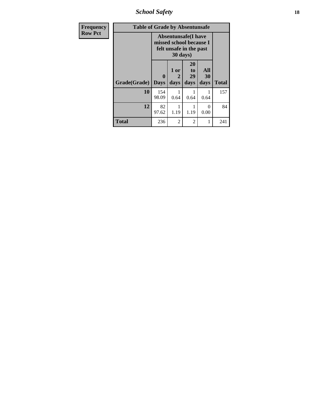*School Safety* **18**

| <b>Frequency</b> | <b>Table of Grade by Absentunsafe</b> |                  |                   |                                                                                  |                   |              |  |  |  |
|------------------|---------------------------------------|------------------|-------------------|----------------------------------------------------------------------------------|-------------------|--------------|--|--|--|
| <b>Row Pct</b>   |                                       |                  | 30 days)          | <b>Absentunsafe(I have</b><br>missed school because I<br>felt unsafe in the past |                   |              |  |  |  |
|                  | Grade(Grade)                          | 0<br><b>Days</b> | 1 or<br>2<br>days | 20<br>to<br>29<br>days                                                           | All<br>30<br>days | <b>Total</b> |  |  |  |
|                  | 10                                    | 154<br>98.09     | 0.64              | 0.64                                                                             | 1<br>0.64         | 157          |  |  |  |
|                  | 12                                    | 82<br>97.62      | 1.19              | 1.19                                                                             | $\Omega$<br>0.00  | 84           |  |  |  |
|                  | <b>Total</b>                          | 236              | $\mathfrak{D}$    | 2                                                                                | 1                 | 241          |  |  |  |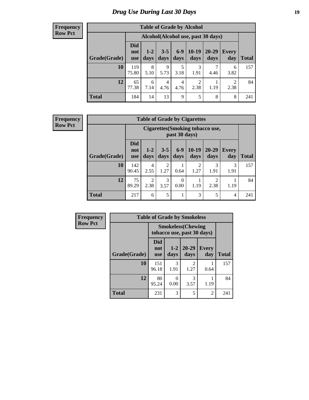# *Drug Use During Last 30 Days* **19**

#### **Frequency Row Pct**

| <b>Table of Grade by Alcohol</b>                                                                                                                                                        |              |                                     |           |           |           |      |           |     |  |
|-----------------------------------------------------------------------------------------------------------------------------------------------------------------------------------------|--------------|-------------------------------------|-----------|-----------|-----------|------|-----------|-----|--|
|                                                                                                                                                                                         |              | Alcohol (Alcohol use, past 30 days) |           |           |           |      |           |     |  |
| <b>Did</b><br>$10-19$<br>$6 - 9$<br>$20 - 29$<br>$3 - 5$<br>$1 - 2$<br><b>Every</b><br>not<br>Grade(Grade)<br>days<br>day<br><b>Total</b><br>days<br>days<br>days<br>days<br><b>use</b> |              |                                     |           |           |           |      |           |     |  |
| 10                                                                                                                                                                                      | 119<br>75.80 | 8<br>5.10                           | 9<br>5.73 | 5<br>3.18 | 3<br>1.91 | 4.46 | 6<br>3.82 | 157 |  |
| 12                                                                                                                                                                                      | 65<br>77.38  | 6<br>7.14                           | 4<br>4.76 | 4<br>4.76 | 2<br>2.38 | 1.19 | 2<br>2.38 | 84  |  |
| <b>Total</b>                                                                                                                                                                            | 184          | 14                                  | 13        | 9         | 5         | 8    | 8         | 241 |  |

#### **Frequency Row Pct**

| <b>Table of Grade by Cigarettes</b> |                                                                                                     |                                                                                                                                                                                                                           |                        |      |           |           |           |     |  |
|-------------------------------------|-----------------------------------------------------------------------------------------------------|---------------------------------------------------------------------------------------------------------------------------------------------------------------------------------------------------------------------------|------------------------|------|-----------|-----------|-----------|-----|--|
|                                     |                                                                                                     | <b>Cigarettes(Smoking tobacco use,</b><br>past 30 days)<br><b>Did</b><br>$10-19$<br>$6 - 9$<br>$20 - 29$<br>$3 - 5$<br>$1-2$<br>Every<br>not<br>days<br><b>Total</b><br>days<br>days<br>days<br>day<br>days<br><b>use</b> |                        |      |           |           |           |     |  |
| Grade(Grade)                        |                                                                                                     |                                                                                                                                                                                                                           |                        |      |           |           |           |     |  |
| 10                                  | 142<br>90.45                                                                                        | 4<br>2.55                                                                                                                                                                                                                 | $\overline{2}$<br>1.27 | 0.64 | 2<br>1.27 | 3<br>1.91 | 3<br>1.91 | 157 |  |
| 12                                  | 75<br>$\mathfrak{D}$<br>3<br>2<br>$\Omega$<br>2.38<br>89.29<br>3.57<br>1.19<br>2.38<br>0.00<br>1.19 |                                                                                                                                                                                                                           |                        |      |           |           |           |     |  |
| <b>Total</b>                        | 217                                                                                                 | 6                                                                                                                                                                                                                         | 5                      | 1    | 3         | 5         | 4         | 241 |  |

| Frequency      |              |                                                         | <b>Table of Grade by Smokeless</b> |                        |                |              |  |  |  |
|----------------|--------------|---------------------------------------------------------|------------------------------------|------------------------|----------------|--------------|--|--|--|
| <b>Row Pct</b> |              | <b>Smokeless</b> (Chewing<br>tobacco use, past 30 days) |                                    |                        |                |              |  |  |  |
|                | Grade(Grade) | Did<br>not<br><b>use</b>                                | $1 - 2$<br>days                    | $20 - 29$<br>days      | Every<br>day   | <b>Total</b> |  |  |  |
|                | 10           | 151<br>96.18                                            | 3<br>1.91                          | $\mathfrak{D}$<br>1.27 | 0.64           | 157          |  |  |  |
|                | 12           | 80<br>95.24                                             | $\mathbf{\Omega}$<br>0.00          | 3<br>3.57              | 1.19           | 84           |  |  |  |
|                | <b>Total</b> | 231                                                     | 3                                  | 5                      | $\overline{2}$ | 241          |  |  |  |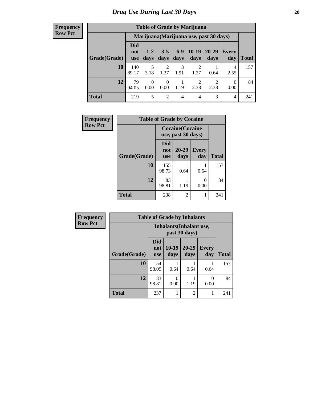#### **Frequency Row Pct**

| <b>Table of Grade by Marijuana</b> |                                 |                                                                                                                      |                        |                |                |                                         |           |     |  |  |
|------------------------------------|---------------------------------|----------------------------------------------------------------------------------------------------------------------|------------------------|----------------|----------------|-----------------------------------------|-----------|-----|--|--|
|                                    |                                 |                                                                                                                      |                        |                |                | Marijuana (Marijuana use, past 30 days) |           |     |  |  |
| Grade(Grade)                       | <b>Did</b><br>not<br><b>use</b> | $10-19$<br>$6-9$<br>$20 - 29$<br>$3 - 5$<br>$1 - 2$<br>Every<br>days<br>days<br>days<br>day<br>days<br>Total<br>days |                        |                |                |                                         |           |     |  |  |
| 10                                 | 140<br>89.17                    | 5<br>3.18                                                                                                            | $\overline{2}$<br>1.27 | 3<br>1.91      | 1.27           | 0.64                                    | 4<br>2.55 | 157 |  |  |
| 12                                 | 79<br>94.05                     | $\mathfrak{D}$<br>2<br>$\Omega$<br>0<br>0<br>1.19<br>2.38<br>2.38<br>0.00<br>0.00<br>0.00                            |                        |                |                |                                         |           |     |  |  |
| <b>Total</b>                       | 219                             | 5                                                                                                                    | 2                      | $\overline{4}$ | $\overline{4}$ | 3                                       | 4         | 241 |  |  |

| Frequency      | <b>Table of Grade by Cocaine</b> |                                 |                                               |                     |              |  |  |  |  |
|----------------|----------------------------------|---------------------------------|-----------------------------------------------|---------------------|--------------|--|--|--|--|
| <b>Row Pct</b> |                                  |                                 | <b>Cocaine</b> (Cocaine<br>use, past 30 days) |                     |              |  |  |  |  |
|                | Grade(Grade)                     | <b>Did</b><br>not<br><b>use</b> | $20 - 29$<br>days                             | <b>Every</b><br>day | <b>Total</b> |  |  |  |  |
|                | 10                               | 155<br>98.73                    | 0.64                                          | 0.64                | 157          |  |  |  |  |
|                | 12                               | 83<br>98.81                     | 1.19                                          | 0<br>0.00           | 84           |  |  |  |  |
|                | <b>Total</b>                     | 238                             | $\overline{c}$                                | 1                   | 241          |  |  |  |  |

| <b>Frequency</b> | <b>Table of Grade by Inhalants</b> |                                 |                                           |                   |                     |              |  |  |
|------------------|------------------------------------|---------------------------------|-------------------------------------------|-------------------|---------------------|--------------|--|--|
| <b>Row Pct</b>   |                                    |                                 | Inhalants (Inhalant use,<br>past 30 days) |                   |                     |              |  |  |
|                  | Grade(Grade)                       | <b>Did</b><br>not<br><b>use</b> | $10-19$<br>days                           | $20 - 29$<br>days | <b>Every</b><br>day | <b>Total</b> |  |  |
|                  | 10                                 | 154<br>98.09                    | 0.64                                      | 0.64              | 0.64                | 157          |  |  |
|                  | 12                                 | 83<br>98.81                     | 0<br>0.00                                 | 1.19              | $\Omega$<br>0.00    | 84           |  |  |
|                  | <b>Total</b>                       | 237                             | 1                                         | $\overline{2}$    |                     | 241          |  |  |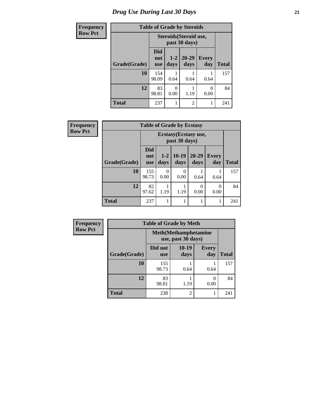# *Drug Use During Last 30 Days* **21**

| <b>Frequency</b> | <b>Table of Grade by Steroids</b> |                   |                                         |                   |                     |              |
|------------------|-----------------------------------|-------------------|-----------------------------------------|-------------------|---------------------|--------------|
| <b>Row Pct</b>   |                                   |                   | Steroids (Steroid use,<br>past 30 days) |                   |                     |              |
|                  | Grade(Grade)                      | Did<br>not<br>use | $1 - 2$<br>days                         | $20 - 29$<br>days | <b>Every</b><br>day | <b>Total</b> |
|                  | 10                                | 154<br>98.09      | 0.64                                    | 0.64              | 0.64                | 157          |
|                  | 12                                | 83<br>98.81       | 0<br>0.00                               | 1.19              | 0<br>0.00           | 84           |
|                  | <b>Total</b>                      | 237               |                                         | $\overline{2}$    | 1                   | 241          |

| <b>Frequency</b> | <b>Table of Grade by Ecstasy</b> |                                 |                 |                  |                       |                     |              |  |
|------------------|----------------------------------|---------------------------------|-----------------|------------------|-----------------------|---------------------|--------------|--|
| <b>Row Pct</b>   |                                  |                                 |                 | past 30 days)    | Ecstasy (Ecstasy use, |                     |              |  |
|                  | Grade(Grade)                     | <b>Did</b><br>not<br><b>use</b> | $1 - 2$<br>days | $10-19$<br>days  | $20 - 29$<br>days     | <b>Every</b><br>day | <b>Total</b> |  |
|                  | 10                               | 155<br>98.73                    | ∩<br>0.00       | $\theta$<br>0.00 | 0.64                  | 0.64                | 157          |  |
|                  | 12                               | 82<br>97.62                     | 1.19            | 1.19             | $\theta$<br>0.00      | $\Omega$<br>0.00    | 84           |  |
|                  | <b>Total</b>                     | 237                             |                 |                  | 1                     |                     | 241          |  |

| <b>Frequency</b> |              | <b>Table of Grade by Meth</b> |                                                    |                     |              |
|------------------|--------------|-------------------------------|----------------------------------------------------|---------------------|--------------|
| <b>Row Pct</b>   |              |                               | <b>Meth</b> (Methamphetamine<br>use, past 30 days) |                     |              |
|                  | Grade(Grade) | Did not<br><b>use</b>         | $10-19$<br>days                                    | <b>Every</b><br>day | <b>Total</b> |
|                  | 10           | 155<br>98.73                  | 0.64                                               | 0.64                | 157          |
|                  | 12           | 83<br>98.81                   | 1.19                                               | 0<br>0.00           | 84           |
|                  | <b>Total</b> | 238                           | $\overline{c}$                                     |                     | 241          |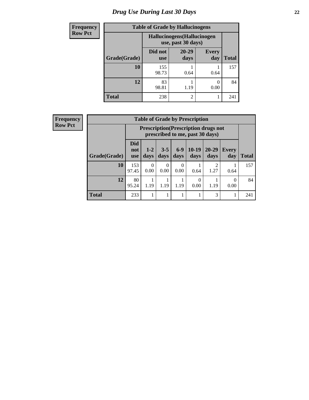# *Drug Use During Last 30 Days* **22**

| <b>Frequency</b> | <b>Table of Grade by Hallucinogens</b><br>Hallucinogens (Hallucinogen<br>use, past 30 days) |                       |                   |                     |              |  |
|------------------|---------------------------------------------------------------------------------------------|-----------------------|-------------------|---------------------|--------------|--|
| <b>Row Pct</b>   |                                                                                             |                       |                   |                     |              |  |
|                  | Grade(Grade)                                                                                | Did not<br><b>use</b> | $20 - 29$<br>days | <b>Every</b><br>day | <b>Total</b> |  |
|                  | 10                                                                                          | 155<br>98.73          | 0.64              | 0.64                | 157          |  |
|                  | 12                                                                                          | 83<br>98.81           | 1.19              | 0.00                | 84           |  |
|                  | <b>Total</b>                                                                                | 238                   | $\overline{2}$    |                     | 241          |  |

| <b>Frequency</b> |  |
|------------------|--|
| <b>Row Pct</b>   |  |

|              |                                 |                                                                                                                                |                  |           | <b>Table of Grade by Prescription</b> |           |      |     |  |
|--------------|---------------------------------|--------------------------------------------------------------------------------------------------------------------------------|------------------|-----------|---------------------------------------|-----------|------|-----|--|
|              |                                 | <b>Prescription</b> (Prescription drugs not<br>prescribed to me, past 30 days)                                                 |                  |           |                                       |           |      |     |  |
| Grade(Grade) | <b>Did</b><br>not<br><b>use</b> | $6-9$<br>$10-19$<br>20-29<br>$3 - 5$<br>$1 - 2$<br><b>Every</b><br>days<br><b>Total</b><br>days<br>days<br>days<br>day<br>days |                  |           |                                       |           |      |     |  |
| <b>10</b>    | 153<br>97.45                    | $\Omega$<br>0.00                                                                                                               | $\theta$<br>0.00 | 0<br>0.00 | 0.64                                  | 2<br>1.27 | 0.64 | 157 |  |
| 12           | 80<br>95.24                     | 0<br>0<br>1.19<br>1.19<br>1.19<br>1.19<br>0.00<br>0.00                                                                         |                  |           |                                       |           |      |     |  |
| <b>Total</b> | 233                             |                                                                                                                                |                  | 1         |                                       | 3         |      | 241 |  |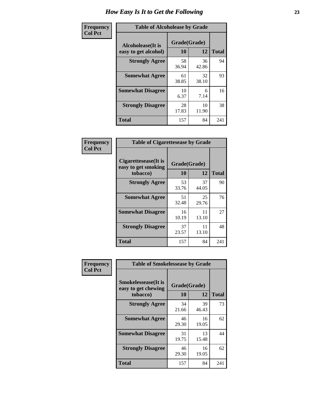| Frequency      | <b>Table of Alcoholease by Grade</b>              |                    |             |              |  |  |  |
|----------------|---------------------------------------------------|--------------------|-------------|--------------|--|--|--|
| <b>Col Pct</b> | <b>Alcoholease</b> (It is<br>easy to get alcohol) | Grade(Grade)<br>10 | 12          | <b>Total</b> |  |  |  |
|                | <b>Strongly Agree</b>                             | 58<br>36.94        | 36<br>42.86 | 94           |  |  |  |
|                | <b>Somewhat Agree</b>                             | 61<br>38.85        | 32<br>38.10 | 93           |  |  |  |
|                | <b>Somewhat Disagree</b>                          | 10<br>6.37         | 6<br>7.14   | 16           |  |  |  |
|                | <b>Strongly Disagree</b>                          | 28<br>17.83        | 10<br>11.90 | 38           |  |  |  |
|                | <b>Total</b>                                      | 157                | 84          | 241          |  |  |  |

| Frequency      |                                                          | <b>Table of Cigarettesease by Grade</b> |             |              |  |  |
|----------------|----------------------------------------------------------|-----------------------------------------|-------------|--------------|--|--|
| <b>Col Pct</b> | Cigarettesease (It is<br>easy to get smoking<br>tobacco) | Grade(Grade)<br>10                      | 12          | <b>Total</b> |  |  |
|                | <b>Strongly Agree</b>                                    | 53<br>33.76                             | 37<br>44.05 | 90           |  |  |
|                | <b>Somewhat Agree</b>                                    | 51<br>32.48                             | 25<br>29.76 | 76           |  |  |
|                | <b>Somewhat Disagree</b>                                 | 16<br>10.19                             | 11<br>13.10 | 27           |  |  |
|                | <b>Strongly Disagree</b>                                 | 37<br>23.57                             | 11<br>13.10 | 48           |  |  |
|                | Total                                                    | 157                                     | 84          | 241          |  |  |

| Frequency      | <b>Table of Smokelessease by Grade</b>                         |                    |             |              |
|----------------|----------------------------------------------------------------|--------------------|-------------|--------------|
| <b>Col Pct</b> | <b>Smokelessease</b> (It is<br>easy to get chewing<br>tobacco) | Grade(Grade)<br>10 | 12          | <b>Total</b> |
|                | <b>Strongly Agree</b>                                          | 34<br>21.66        | 39<br>46.43 | 73           |
|                | <b>Somewhat Agree</b>                                          | 46<br>29.30        | 16<br>19.05 | 62           |
|                | <b>Somewhat Disagree</b>                                       | 31<br>19.75        | 13<br>15.48 | 44           |
|                | <b>Strongly Disagree</b>                                       | 46<br>29.30        | 16<br>19.05 | 62           |
|                | Total                                                          | 157                | 84          | 241          |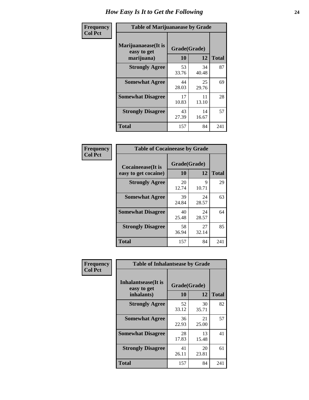| Frequency      | <b>Table of Marijuanaease by Grade</b>            |                           |             |              |  |  |  |  |  |
|----------------|---------------------------------------------------|---------------------------|-------------|--------------|--|--|--|--|--|
| <b>Col Pct</b> | Marijuanaease (It is<br>easy to get<br>marijuana) | Grade(Grade)<br><b>10</b> | 12          | <b>Total</b> |  |  |  |  |  |
|                | <b>Strongly Agree</b>                             | 53<br>33.76               | 34<br>40.48 | 87           |  |  |  |  |  |
|                | <b>Somewhat Agree</b>                             | 44<br>28.03               | 25<br>29.76 | 69           |  |  |  |  |  |
|                | <b>Somewhat Disagree</b>                          | 17<br>10.83               | 11<br>13.10 | 28           |  |  |  |  |  |
|                | <b>Strongly Disagree</b>                          | 43<br>27.39               | 14<br>16.67 | 57           |  |  |  |  |  |
|                | <b>Total</b>                                      | 157                       | 84          | 241          |  |  |  |  |  |

| <b>Table of Cocaineease by Grade</b> |             |             |              |  |  |  |  |  |  |
|--------------------------------------|-------------|-------------|--------------|--|--|--|--|--|--|
| <b>Cocaineease</b> (It is            |             |             |              |  |  |  |  |  |  |
| easy to get cocaine)                 | 10          | 12          | <b>Total</b> |  |  |  |  |  |  |
| <b>Strongly Agree</b>                | 20<br>12.74 | 9<br>10.71  | 29           |  |  |  |  |  |  |
| <b>Somewhat Agree</b>                | 39<br>24.84 | 24<br>28.57 | 63           |  |  |  |  |  |  |
| <b>Somewhat Disagree</b>             | 40<br>25.48 | 24<br>28.57 | 64           |  |  |  |  |  |  |
| <b>Strongly Disagree</b>             | 58<br>36.94 | 27<br>32.14 | 85           |  |  |  |  |  |  |
| <b>Total</b>                         | 157         | 84          | 241          |  |  |  |  |  |  |

| Frequency      | <b>Table of Inhalantsease by Grade</b>     |              |             |              |  |  |  |  |  |  |
|----------------|--------------------------------------------|--------------|-------------|--------------|--|--|--|--|--|--|
| <b>Col Pct</b> | <b>Inhalantsease</b> (It is<br>easy to get | Grade(Grade) |             |              |  |  |  |  |  |  |
|                | inhalants)                                 | 10           | 12          | <b>Total</b> |  |  |  |  |  |  |
|                | <b>Strongly Agree</b>                      | 52<br>33.12  | 30<br>35.71 | 82           |  |  |  |  |  |  |
|                | <b>Somewhat Agree</b>                      | 36<br>22.93  | 21<br>25.00 | 57           |  |  |  |  |  |  |
|                | <b>Somewhat Disagree</b>                   | 28<br>17.83  | 13<br>15.48 | 41           |  |  |  |  |  |  |
|                | <b>Strongly Disagree</b>                   | 41<br>26.11  | 20<br>23.81 | 61           |  |  |  |  |  |  |
|                | <b>Total</b>                               | 157          | 84          | 241          |  |  |  |  |  |  |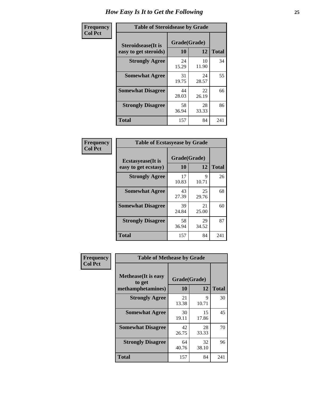| Frequency      | <b>Table of Steroidsease by Grade</b>               |                    |              |     |  |  |  |  |
|----------------|-----------------------------------------------------|--------------------|--------------|-----|--|--|--|--|
| <b>Col Pct</b> | <b>Steroidsease</b> (It is<br>easy to get steroids) | Grade(Grade)<br>10 | <b>Total</b> |     |  |  |  |  |
|                | <b>Strongly Agree</b>                               | 24<br>15.29        | 10<br>11.90  | 34  |  |  |  |  |
|                | <b>Somewhat Agree</b>                               | 31<br>19.75        | 24<br>28.57  | 55  |  |  |  |  |
|                | <b>Somewhat Disagree</b>                            | 44<br>28.03        | 22<br>26.19  | 66  |  |  |  |  |
|                | <b>Strongly Disagree</b>                            | 58<br>36.94        | 28<br>33.33  | 86  |  |  |  |  |
|                | <b>Total</b>                                        | 157                | 84           | 241 |  |  |  |  |

| Frequency      | <b>Table of Ecstasyease by Grade</b>              |                    |              |     |  |  |  |  |  |
|----------------|---------------------------------------------------|--------------------|--------------|-----|--|--|--|--|--|
| <b>Col Pct</b> | <b>Ecstasyease</b> (It is<br>easy to get ecstasy) | Grade(Grade)<br>10 | <b>Total</b> |     |  |  |  |  |  |
|                | <b>Strongly Agree</b>                             | 17<br>10.83        | 9<br>10.71   | 26  |  |  |  |  |  |
|                | <b>Somewhat Agree</b>                             | 43<br>27.39        | 25<br>29.76  | 68  |  |  |  |  |  |
|                | <b>Somewhat Disagree</b>                          | 39<br>24.84        | 21<br>25.00  | 60  |  |  |  |  |  |
|                | <b>Strongly Disagree</b>                          | 58<br>36.94        | 29<br>34.52  | 87  |  |  |  |  |  |
|                | <b>Total</b>                                      | 157                | 84           | 241 |  |  |  |  |  |

| Frequency      | <b>Table of Methease by Grade</b>                          |                    |             |              |  |  |  |  |  |  |
|----------------|------------------------------------------------------------|--------------------|-------------|--------------|--|--|--|--|--|--|
| <b>Col Pct</b> | <b>Methease</b> (It is easy<br>to get<br>methamphetamines) | Grade(Grade)<br>10 | 12          | <b>Total</b> |  |  |  |  |  |  |
|                | <b>Strongly Agree</b>                                      | 21<br>13.38        | 9<br>10.71  | 30           |  |  |  |  |  |  |
|                | <b>Somewhat Agree</b>                                      | 30<br>19.11        | 15<br>17.86 | 45           |  |  |  |  |  |  |
|                | <b>Somewhat Disagree</b>                                   | 42<br>26.75        | 28<br>33.33 | 70           |  |  |  |  |  |  |
|                | <b>Strongly Disagree</b>                                   | 64<br>40.76        | 32<br>38.10 | 96           |  |  |  |  |  |  |
|                | <b>Total</b>                                               | 157                | 84          | 241          |  |  |  |  |  |  |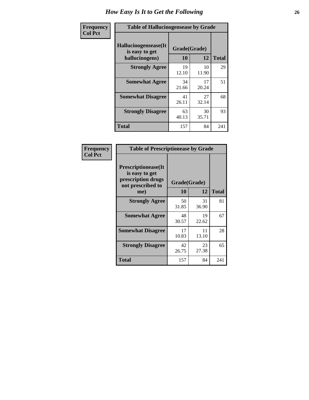| <b>Frequency</b> | <b>Table of Hallucinogensease by Grade</b>                |                    |             |              |  |  |  |  |
|------------------|-----------------------------------------------------------|--------------------|-------------|--------------|--|--|--|--|
| <b>Col Pct</b>   | Hallucinogensease(It)<br>is easy to get<br>hallucinogens) | Grade(Grade)<br>10 | 12          | <b>Total</b> |  |  |  |  |
|                  | <b>Strongly Agree</b>                                     | 19<br>12.10        | 10<br>11.90 | 29           |  |  |  |  |
|                  | <b>Somewhat Agree</b>                                     | 34<br>21.66        | 17<br>20.24 | 51           |  |  |  |  |
|                  | <b>Somewhat Disagree</b>                                  | 41<br>26.11        | 27<br>32.14 | 68           |  |  |  |  |
|                  | <b>Strongly Disagree</b>                                  | 63<br>40.13        | 30<br>35.71 | 93           |  |  |  |  |
|                  | <b>Total</b>                                              | 157                | 84          | 241          |  |  |  |  |

| Frequency<br>Col Pct |
|----------------------|
|                      |

| <b>Table of Prescriptionease by Grade</b>                                                |             |              |              |  |  |  |  |  |  |
|------------------------------------------------------------------------------------------|-------------|--------------|--------------|--|--|--|--|--|--|
| <b>Prescriptionease</b> (It<br>is easy to get<br>prescription drugs<br>not prescribed to |             | Grade(Grade) |              |  |  |  |  |  |  |
| me)                                                                                      | 10          | 12           | <b>Total</b> |  |  |  |  |  |  |
| <b>Strongly Agree</b>                                                                    | 50<br>31.85 | 31<br>36.90  | 81           |  |  |  |  |  |  |
| <b>Somewhat Agree</b>                                                                    | 48<br>30.57 | 19<br>22.62  | 67           |  |  |  |  |  |  |
| <b>Somewhat Disagree</b>                                                                 | 17<br>10.83 | 11<br>13.10  | 28           |  |  |  |  |  |  |
| <b>Strongly Disagree</b>                                                                 | 42<br>26.75 | 23<br>27.38  | 65           |  |  |  |  |  |  |
| <b>Total</b>                                                                             | 157         | 84           | 241          |  |  |  |  |  |  |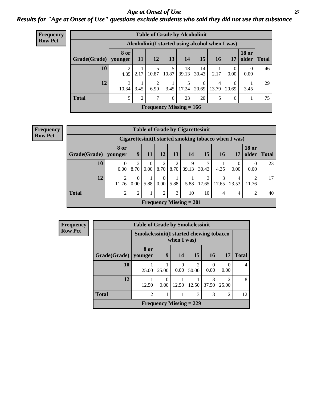### *Age at Onset of Use* **27** *Results for "Age at Onset of Use" questions exclude students who said they did not use that substance*

| <b>Frequency</b> | <b>Table of Grade by Alcoholinit</b>             |             |                |            |       |                           |             |            |                  |                  |               |  |  |
|------------------|--------------------------------------------------|-------------|----------------|------------|-------|---------------------------|-------------|------------|------------------|------------------|---------------|--|--|
| <b>Row Pct</b>   | Alcoholinit (I started using alcohol when I was) |             |                |            |       |                           |             |            |                  |                  |               |  |  |
|                  | Grade(Grade)   younger                           | <b>8 or</b> | <b>11</b>      | 12         | 13    | <b>14</b>                 | 15          | <b>16</b>  | 17               | <b>18 or</b>     | older   Total |  |  |
|                  | 10                                               | 2<br>4.35   | 2.17           | 5<br>10.87 | 10.87 | 18<br>39.13               | 14<br>30.43 | 2.17       | $\theta$<br>0.00 | $\theta$<br>0.00 | 46            |  |  |
|                  | 12                                               | 3<br>10.34  | 3.45           | ↑<br>6.90  | 3.45  | 5<br>17.24                | 6<br>20.69  | 4<br>13.79 | 6<br>20.69       | 3.45             | 29            |  |  |
|                  | <b>Total</b>                                     |             | $\overline{2}$ | 7          | 6     | 23                        | 20          | 5          | 6                |                  | 75            |  |  |
|                  |                                                  |             |                |            |       | Frequency Missing $= 166$ |             |            |                  |                  |               |  |  |

#### **Frequency Row Pct**

| <b>Table of Grade by Cigarettesinit</b> |                  |                                                       |                      |                  |           |                                |            |            |            |                       |              |
|-----------------------------------------|------------------|-------------------------------------------------------|----------------------|------------------|-----------|--------------------------------|------------|------------|------------|-----------------------|--------------|
|                                         |                  | Cigarettesinit (I started smoking tobacco when I was) |                      |                  |           |                                |            |            |            |                       |              |
| $ $ Grade(Grade) $ $                    | 8 or<br>younger  | 9                                                     | 11                   | <b>12</b>        | 13        | 14                             | 15         | <b>16</b>  | 17         | <b>18 or</b><br>older | <b>Total</b> |
| 10                                      | $\Omega$<br>0.00 | ◠<br>8.70                                             | $\Omega$<br>$0.00\,$ | 2<br>8.70        | ∍<br>8.70 | 9<br>39.13                     | 7<br>30.43 | 4.35       | 0.00       | $\Omega$<br>0.00      | 23           |
| 12                                      | 2<br>11.76       | 0.00                                                  | 5.88                 | $\theta$<br>0.00 | 5.88      | 5.88                           | 3<br>17.65 | 3<br>17.65 | 4<br>23.53 | ∍<br>11.76            | 17           |
| Total                                   | $\overline{2}$   | $\overline{c}$                                        |                      | 2                | 3         | 10                             | 10         | 4          | 4          | 2                     | 40           |
|                                         |                  |                                                       |                      |                  |           | <b>Frequency Missing = 201</b> |            |            |            |                       |              |

| Frequency      | <b>Table of Grade by Smokelessinit</b> |                                                         |                                |                  |                         |                  |                         |              |  |
|----------------|----------------------------------------|---------------------------------------------------------|--------------------------------|------------------|-------------------------|------------------|-------------------------|--------------|--|
| <b>Row Pct</b> |                                        | Smokelessinit (I started chewing tobacco<br>when I was) |                                |                  |                         |                  |                         |              |  |
|                | Grade(Grade)   younger                 | 8 or                                                    | 9                              | 14               | 15                      | <b>16</b>        | <b>17</b>               | <b>Total</b> |  |
|                | 10                                     | 25.00                                                   | 25.00                          | $\Omega$<br>0.00 | $\mathfrak{D}$<br>50.00 | $\Omega$<br>0.00 | 0<br>0.00               | 4            |  |
|                | 12                                     | 12.50                                                   | 0.00                           | 12.50            | 12.50                   | 3<br>37.50       | $\overline{2}$<br>25.00 | 8            |  |
|                | <b>Total</b>                           | $\overline{2}$                                          |                                |                  | 3                       | 3                | $\overline{2}$          | 12           |  |
|                |                                        |                                                         | <b>Frequency Missing = 229</b> |                  |                         |                  |                         |              |  |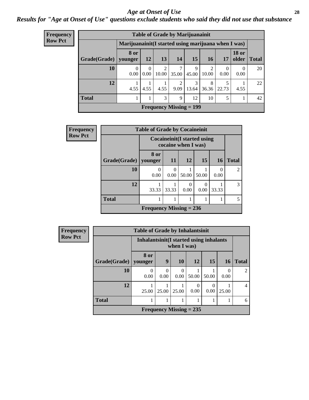#### *Age at Onset of Use* **28**

*Results for "Age at Onset of Use" questions exclude students who said they did not use that substance*

| Frequency      | <b>Table of Grade by Marijuanainit</b>              |                  |                  |                         |            |                                |            |            |                  |               |
|----------------|-----------------------------------------------------|------------------|------------------|-------------------------|------------|--------------------------------|------------|------------|------------------|---------------|
| <b>Row Pct</b> | Marijuanainit(I started using marijuana when I was) |                  |                  |                         |            |                                |            |            |                  |               |
|                | Grade(Grade)                                        | 8 or<br>younger  | <b>12</b>        | 13                      | 14         | 15                             | <b>16</b>  | 17         | <b>18 or</b>     | older   Total |
|                | 10                                                  | $\theta$<br>0.00 | $\theta$<br>0.00 | $\overline{2}$<br>10.00 | 7<br>35.00 | 9<br>45.00                     | 2<br>10.00 | 0<br>0.00  | $\Omega$<br>0.00 | 20            |
|                | 12                                                  | 4.55             | 4.55             | 4.55                    | 2<br>9.09  | 3<br>13.64                     | 8<br>36.36 | 5<br>22.73 | 4.55             | 22            |
|                | <b>Total</b>                                        |                  |                  | 3                       | 9          | 12                             | 10         | 5          |                  | 42            |
|                |                                                     |                  |                  |                         |            | <b>Frequency Missing = 199</b> |            |            |                  |               |

| <b>Frequency</b> | <b>Table of Grade by Cocaineinit</b> |                                                            |           |           |       |           |                             |  |
|------------------|--------------------------------------|------------------------------------------------------------|-----------|-----------|-------|-----------|-----------------------------|--|
| <b>Row Pct</b>   |                                      | <b>Cocaineinit</b> (I started using<br>cocaine when I was) |           |           |       |           |                             |  |
|                  | Grade(Grade)                         | 8 or<br>younger                                            | <b>11</b> | <b>12</b> | 15    | <b>16</b> | <b>Total</b>                |  |
|                  | 10                                   | 0<br>0.00                                                  | 0<br>0.00 | 50.00     | 50.00 | 0<br>0.00 | $\mathcal{D}_{\mathcal{L}}$ |  |
|                  | 12                                   | 33.33                                                      | 33.33     | 0.00      | 0.00  | 33.33     | $\mathcal{R}$               |  |
|                  | <b>Total</b>                         |                                                            | 1         |           |       |           |                             |  |
|                  |                                      | Frequency Missing $= 236$                                  |           |           |       |           |                             |  |

| <b>Frequency</b> |                        | <b>Table of Grade by Inhalantsinit</b>                  |           |                           |           |           |           |                |
|------------------|------------------------|---------------------------------------------------------|-----------|---------------------------|-----------|-----------|-----------|----------------|
| <b>Row Pct</b>   |                        | Inhalantsinit (I started using inhalants<br>when I was) |           |                           |           |           |           |                |
|                  | Grade(Grade)   younger | 8 or                                                    | 9         | 10                        | <b>12</b> | 15        | <b>16</b> | <b>Total</b>   |
|                  | 10                     | $\theta$<br>0.00                                        | 0<br>0.00 | $\Omega$<br>0.00          | 50.00     | 50.00     | 0.00      | $\mathfrak{D}$ |
|                  | 12                     | 25.00                                                   | 25.00     | 25.00                     | 0<br>0.00 | 0<br>0.00 | 25.00     | $\overline{4}$ |
|                  | <b>Total</b>           |                                                         |           |                           |           |           |           | 6              |
|                  |                        |                                                         |           | Frequency Missing $= 235$ |           |           |           |                |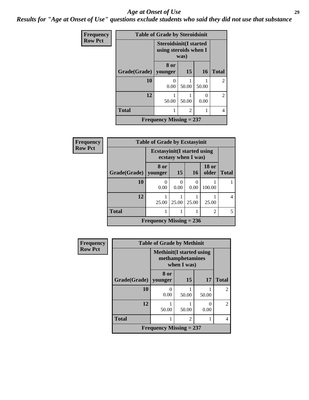#### *Age at Onset of Use* **29**

*Results for "Age at Onset of Use" questions exclude students who said they did not use that substance*

| <b>Frequency</b> | <b>Table of Grade by Steroidsinit</b> |                                                        |                |                           |                |  |  |
|------------------|---------------------------------------|--------------------------------------------------------|----------------|---------------------------|----------------|--|--|
| <b>Row Pct</b>   |                                       | <b>Steroidsinit(I started</b><br>using steroids when I | was)           |                           |                |  |  |
|                  | Grade(Grade)   younger                | 8 or                                                   | <b>15</b>      | 16                        | <b>Total</b>   |  |  |
|                  | 10                                    | 0.00                                                   | 50.00          | 50.00                     | $\overline{2}$ |  |  |
|                  | 12                                    | 50.00                                                  | 50.00          | $\mathbf{\Omega}$<br>0.00 | $\mathfrak{D}$ |  |  |
|                  | <b>Total</b>                          |                                                        | $\overline{2}$ |                           | 4              |  |  |
|                  |                                       | Frequency Missing $= 237$                              |                |                           |                |  |  |

| Frequency      | <b>Table of Grade by Ecstasyinit</b> |                                     |           |                     |                       |              |  |  |
|----------------|--------------------------------------|-------------------------------------|-----------|---------------------|-----------------------|--------------|--|--|
| <b>Row Pct</b> |                                      | <b>Ecstasyinit</b> (I started using |           | ecstasy when I was) |                       |              |  |  |
|                | Grade(Grade)                         | 8 or<br>younger                     | <b>15</b> | <b>16</b>           | <b>18 or</b><br>older | <b>Total</b> |  |  |
|                | 10                                   | 0.00                                | 0.00      | 0.00                | 100.00                |              |  |  |
|                | 12                                   | 25.00                               | 25.00     | 25.00               | 25.00                 | 4            |  |  |
|                | <b>Total</b>                         |                                     |           |                     | $\mathfrak{D}$        | 5            |  |  |
|                |                                      | <b>Frequency Missing = 236</b>      |           |                     |                       |              |  |  |

| <b>Frequency</b> |              | <b>Table of Grade by Methinit</b> |                                 |           |                |  |  |
|------------------|--------------|-----------------------------------|---------------------------------|-----------|----------------|--|--|
| <b>Row Pct</b>   |              | <b>Methinit</b> (I started using  | methamphetamines<br>when I was) |           |                |  |  |
|                  | Grade(Grade) | 8 or<br>younger                   | 15                              | 17        | <b>Total</b>   |  |  |
|                  | 10           | 0.00                              | 50.00                           | 50.00     | $\overline{c}$ |  |  |
|                  | 12           | 50.00                             | 50.00                           | 0<br>0.00 | $\mathfrak{D}$ |  |  |
|                  | <b>Total</b> |                                   | $\mathfrak{D}$                  |           | $\overline{4}$ |  |  |
|                  |              | Frequency Missing $= 237$         |                                 |           |                |  |  |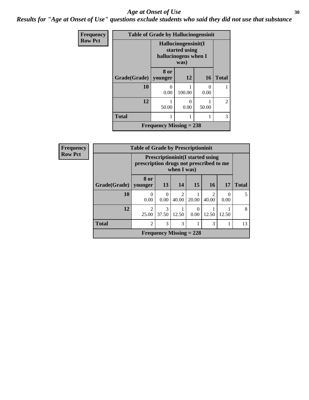#### Age at Onset of Use **30**

*Results for "Age at Onset of Use" questions exclude students who said they did not use that substance*

| Frequency      | <b>Table of Grade by Hallucinogensinit</b> |       |                                                                      |           |                |  |
|----------------|--------------------------------------------|-------|----------------------------------------------------------------------|-----------|----------------|--|
| <b>Row Pct</b> |                                            |       | Hallucinogensinit(I<br>started using<br>hallucinogens when I<br>was) |           |                |  |
|                | Grade(Grade)   younger                     | 8 or  | 12                                                                   | <b>16</b> | <b>Total</b>   |  |
|                | 10                                         | 0.00  | 100.00                                                               | 0<br>0.00 |                |  |
|                | 12                                         | 50.00 | 0<br>0.00                                                            | 50.00     | $\overline{2}$ |  |
|                | <b>Total</b>                               |       |                                                                      | 1         | 3              |  |
|                | <b>Frequency Missing = 238</b>             |       |                                                                      |           |                |  |

| Frequency      | <b>Table of Grade by Prescriptioninit</b> |                                         |           |                                      |                                         |                         |           |              |
|----------------|-------------------------------------------|-----------------------------------------|-----------|--------------------------------------|-----------------------------------------|-------------------------|-----------|--------------|
| <b>Row Pct</b> |                                           | prescription drugs not prescribed to me |           | when I was)                          | <b>Prescriptioninit(I started using</b> |                         |           |              |
|                | Grade(Grade)                              | 8 or<br>younger                         | 13        | 14                                   | 15                                      | <b>16</b>               | <b>17</b> | <b>Total</b> |
|                | 10                                        | 0.00                                    | 0<br>0.00 | $\mathcal{D}_{\mathcal{L}}$<br>40.00 | 20.00                                   | $\mathfrak{D}$<br>40.00 | 0<br>0.00 | 5            |
|                | 12                                        | ာ<br>25.00                              | 37.50     | 12.50                                | $\Omega$<br>0.00                        | 12.50                   | 12.50     | 8            |
|                | <b>Total</b>                              | $\overline{c}$                          | 3         | 3                                    |                                         | 3                       |           | 13           |
|                |                                           |                                         |           |                                      | Frequency Missing $= 228$               |                         |           |              |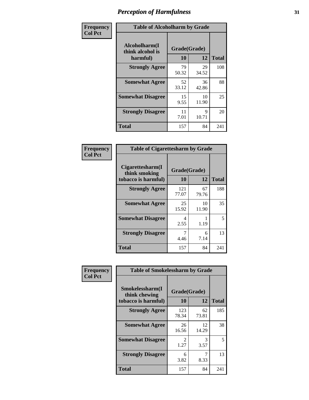| Frequency      | <b>Table of Alcoholharm by Grade</b>          |                    |             |              |  |  |
|----------------|-----------------------------------------------|--------------------|-------------|--------------|--|--|
| <b>Col Pct</b> | Alcoholharm(I<br>think alcohol is<br>harmful) | Grade(Grade)<br>10 | 12          | <b>Total</b> |  |  |
|                | <b>Strongly Agree</b>                         | 79<br>50.32        | 29<br>34.52 | 108          |  |  |
|                | <b>Somewhat Agree</b>                         | 52<br>33.12        | 36<br>42.86 | 88           |  |  |
|                | <b>Somewhat Disagree</b>                      | 15<br>9.55         | 10<br>11.90 | 25           |  |  |
|                | <b>Strongly Disagree</b>                      | 11<br>7.01         | 9<br>10.71  | 20           |  |  |
|                | <b>Total</b>                                  | 157                | 84          | 241          |  |  |

| <b>Table of Cigarettesharm by Grade</b>                  |                    |             |              |  |  |  |
|----------------------------------------------------------|--------------------|-------------|--------------|--|--|--|
| Cigarettesharm(I<br>think smoking<br>tobacco is harmful) | Grade(Grade)<br>10 | 12          | <b>Total</b> |  |  |  |
| <b>Strongly Agree</b>                                    | 121<br>77.07       | 67<br>79.76 | 188          |  |  |  |
| <b>Somewhat Agree</b>                                    | 25<br>15.92        | 10<br>11.90 | 35           |  |  |  |
| <b>Somewhat Disagree</b>                                 | 4<br>2.55          | 1.19        | 5            |  |  |  |
| <b>Strongly Disagree</b>                                 | 7<br>4.46          | 6<br>7.14   | 13           |  |  |  |
| <b>Total</b>                                             | 157                | 84          | 241          |  |  |  |

| Frequency      | <b>Table of Smokelessharm by Grade</b>                  |                        |             |              |
|----------------|---------------------------------------------------------|------------------------|-------------|--------------|
| <b>Col Pct</b> | Smokelessharm(I<br>think chewing<br>tobacco is harmful) | Grade(Grade)<br>10     | 12          | <b>Total</b> |
|                | <b>Strongly Agree</b>                                   | 123<br>78.34           | 62<br>73.81 | 185          |
|                | <b>Somewhat Agree</b>                                   | 26<br>16.56            | 12<br>14.29 | 38           |
|                | <b>Somewhat Disagree</b>                                | $\mathfrak{D}$<br>1.27 | 3<br>3.57   | 5            |
|                | <b>Strongly Disagree</b>                                | 6<br>3.82              | 7<br>8.33   | 13           |
|                | <b>Total</b>                                            | 157                    | 84          | 241          |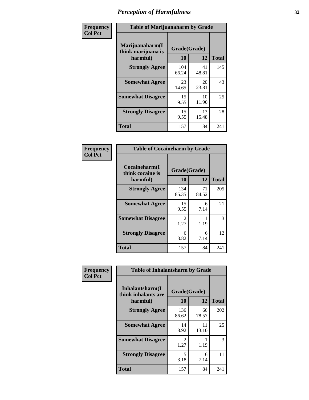| Frequency      | <b>Table of Marijuanaharm by Grade</b>            |                    |             |              |  |  |
|----------------|---------------------------------------------------|--------------------|-------------|--------------|--|--|
| <b>Col Pct</b> | Marijuanaharm(I<br>think marijuana is<br>harmful) | Grade(Grade)<br>10 | 12          | <b>Total</b> |  |  |
|                | <b>Strongly Agree</b>                             | 104<br>66.24       | 41<br>48.81 | 145          |  |  |
|                | <b>Somewhat Agree</b>                             | 23<br>14.65        | 20<br>23.81 | 43           |  |  |
|                | <b>Somewhat Disagree</b>                          | 15<br>9.55         | 10<br>11.90 | 25           |  |  |
|                | <b>Strongly Disagree</b>                          | 15<br>9.55         | 13<br>15.48 | 28           |  |  |
|                | <b>Total</b>                                      | 157                | 84          | 241          |  |  |

| <b>Table of Cocaineharm by Grade</b>          |                    |             |              |  |  |
|-----------------------------------------------|--------------------|-------------|--------------|--|--|
| Cocaineharm(I<br>think cocaine is<br>harmful) | Grade(Grade)<br>10 | 12          | <b>Total</b> |  |  |
| <b>Strongly Agree</b>                         | 134<br>85.35       | 71<br>84.52 | 205          |  |  |
| <b>Somewhat Agree</b>                         | 15<br>9.55         | 6<br>7.14   | 21           |  |  |
| <b>Somewhat Disagree</b>                      | 2<br>1.27          | 1.19        | 3            |  |  |
| <b>Strongly Disagree</b>                      | 6<br>3.82          | 6<br>7.14   | 12           |  |  |
| <b>Total</b>                                  | 157                | 84          | 241          |  |  |

| Frequency      | <b>Table of Inhalantsharm by Grade</b>             |                       |             |              |
|----------------|----------------------------------------------------|-----------------------|-------------|--------------|
| <b>Col Pct</b> | Inhalantsharm(I<br>think inhalants are<br>harmful) | Grade(Grade)<br>10    | 12          | <b>Total</b> |
|                | <b>Strongly Agree</b>                              | 136<br>86.62          | 66<br>78.57 | 202          |
|                | <b>Somewhat Agree</b>                              | 14<br>8.92            | 11<br>13.10 | 25           |
|                | <b>Somewhat Disagree</b>                           | $\mathcal{L}$<br>1.27 | 1.19        | 3            |
|                | <b>Strongly Disagree</b>                           | 5<br>3.18             | 6<br>7.14   | 11           |
|                | <b>Total</b>                                       | 157                   | 84          | 241          |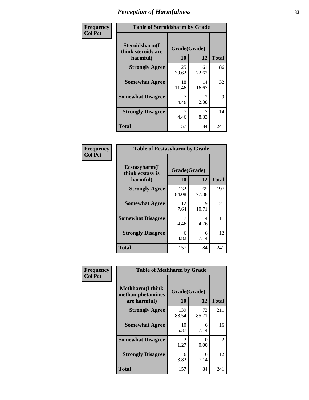| Frequency      | <b>Table of Steroidsharm by Grade</b>            |                    |                        |              |
|----------------|--------------------------------------------------|--------------------|------------------------|--------------|
| <b>Col Pct</b> | Steroidsharm(I<br>think steroids are<br>harmful) | Grade(Grade)<br>10 | 12                     | <b>Total</b> |
|                | <b>Strongly Agree</b>                            | 125<br>79.62       | 61<br>72.62            | 186          |
|                | <b>Somewhat Agree</b>                            | 18<br>11.46        | 14<br>16.67            | 32           |
|                | <b>Somewhat Disagree</b>                         | 4.46               | $\mathfrak{D}$<br>2.38 | 9            |
|                | <b>Strongly Disagree</b>                         | 4.46               | 7<br>8.33              | 14           |
|                | <b>Total</b>                                     | 157                | 84                     | 241          |

| <b>Table of Ecstasyharm by Grade</b>          |                    |              |     |  |  |  |
|-----------------------------------------------|--------------------|--------------|-----|--|--|--|
| Ecstasyharm(I<br>think ecstasy is<br>harmful) | Grade(Grade)<br>10 | <b>Total</b> |     |  |  |  |
| <b>Strongly Agree</b>                         | 132<br>84.08       | 65<br>77.38  | 197 |  |  |  |
| <b>Somewhat Agree</b>                         | 12<br>7.64         | 9<br>10.71   | 21  |  |  |  |
| <b>Somewhat Disagree</b>                      | 7<br>4.46          | 4<br>4.76    | 11  |  |  |  |
| <b>Strongly Disagree</b>                      | 6<br>3.82          | 6<br>7.14    | 12  |  |  |  |
| <b>Total</b>                                  | 157                | 84           | 241 |  |  |  |

| Frequency      | <b>Table of Methharm by Grade</b>                            |                           |             |              |  |
|----------------|--------------------------------------------------------------|---------------------------|-------------|--------------|--|
| <b>Col Pct</b> | <b>Methharm</b> (I think<br>methamphetamines<br>are harmful) | Grade(Grade)<br><b>10</b> | 12          | <b>Total</b> |  |
|                | <b>Strongly Agree</b>                                        | 139<br>88.54              | 72<br>85.71 | 211          |  |
|                | <b>Somewhat Agree</b>                                        | 10<br>6.37                | 6<br>7.14   | 16           |  |
|                | <b>Somewhat Disagree</b>                                     | $\mathfrak{D}$<br>1.27    | 0<br>0.00   | 2            |  |
|                | <b>Strongly Disagree</b>                                     | 6<br>3.82                 | 6<br>7.14   | 12           |  |
|                | <b>Total</b>                                                 | 157                       | 84          | 241          |  |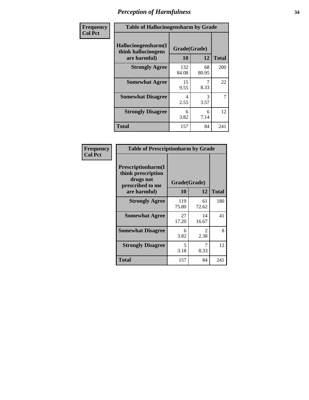| Frequency | <b>Table of Hallucinogensharm by Grade</b>                 |                    |             |              |
|-----------|------------------------------------------------------------|--------------------|-------------|--------------|
| Col Pct   | Hallucinogensharm(I<br>think hallucinogens<br>are harmful) | Grade(Grade)<br>10 | 12          | <b>Total</b> |
|           | <b>Strongly Agree</b>                                      | 132<br>84.08       | 68<br>80.95 | 200          |
|           | <b>Somewhat Agree</b>                                      | 15<br>9.55         | 8.33        | 22           |
|           | <b>Somewhat Disagree</b>                                   | 4<br>2.55          | 3<br>3.57   | 7            |
|           | <b>Strongly Disagree</b>                                   | 6<br>3.82          | 6<br>7.14   | 12           |
|           | <b>Total</b>                                               | 157                | 84          | 241          |

| <b>Table of Prescriptionharm by Grade</b>                                 |              |                        |              |  |  |
|---------------------------------------------------------------------------|--------------|------------------------|--------------|--|--|
| Prescriptionharm(I<br>think prescription<br>drugs not<br>prescribed to me |              | Grade(Grade)           |              |  |  |
| are harmful)                                                              | 10           | 12                     | <b>Total</b> |  |  |
| <b>Strongly Agree</b>                                                     | 119<br>75.80 | 61<br>72.62            | 180          |  |  |
| <b>Somewhat Agree</b>                                                     | 27<br>17.20  | 14<br>16.67            | 41           |  |  |
| <b>Somewhat Disagree</b>                                                  | 6<br>3.82    | $\mathfrak{D}$<br>2.38 | 8            |  |  |
| <b>Strongly Disagree</b>                                                  | 5<br>3.18    | 7<br>8.33              | 12           |  |  |
| <b>Total</b>                                                              | 157          | 84                     | 241          |  |  |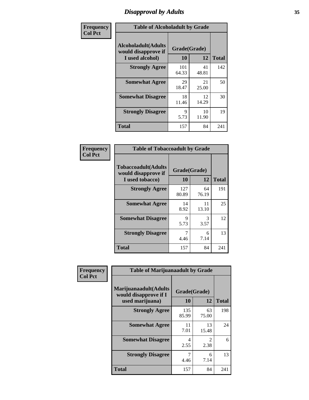# *Disapproval by Adults* **35**

| Frequency      | <b>Table of Alcoholadult by Grade</b>                                 |                    |             |              |  |
|----------------|-----------------------------------------------------------------------|--------------------|-------------|--------------|--|
| <b>Col Pct</b> | <b>Alcoholadult</b> (Adults<br>would disapprove if<br>I used alcohol) | Grade(Grade)<br>10 | 12          | <b>Total</b> |  |
|                | <b>Strongly Agree</b>                                                 | 101<br>64.33       | 41<br>48.81 | 142          |  |
|                | <b>Somewhat Agree</b>                                                 | 29<br>18.47        | 21<br>25.00 | 50           |  |
|                | <b>Somewhat Disagree</b>                                              | 18<br>11.46        | 12<br>14.29 | 30           |  |
|                | <b>Strongly Disagree</b>                                              | 9<br>5.73          | 10<br>11.90 | 19           |  |
|                | <b>Total</b>                                                          | 157                | 84          | 241          |  |

| <b>Table of Tobaccoadult by Grade</b>                         |                    |             |              |  |  |
|---------------------------------------------------------------|--------------------|-------------|--------------|--|--|
| Tobaccoadult(Adults<br>would disapprove if<br>I used tobacco) | Grade(Grade)<br>10 | 12          | <b>Total</b> |  |  |
| <b>Strongly Agree</b>                                         | 127<br>80.89       | 64<br>76.19 | 191          |  |  |
| <b>Somewhat Agree</b>                                         | 14<br>8.92         | 11<br>13.10 | 25           |  |  |
| <b>Somewhat Disagree</b>                                      | 9<br>5.73          | 3<br>3.57   | 12           |  |  |
| <b>Strongly Disagree</b>                                      | 7<br>4.46          | 6<br>7.14   | 13           |  |  |
| Total                                                         | 157                | 84          | 241          |  |  |

| Frequency      | <b>Table of Marijuanaadult by Grade</b>                           |                    |                        |              |  |
|----------------|-------------------------------------------------------------------|--------------------|------------------------|--------------|--|
| <b>Col Pct</b> | Marijuanaadult(Adults<br>would disapprove if I<br>used marijuana) | Grade(Grade)<br>10 | 12                     | <b>Total</b> |  |
|                | <b>Strongly Agree</b>                                             | 135<br>85.99       | 63<br>75.00            | 198          |  |
|                | <b>Somewhat Agree</b>                                             | 11<br>7.01         | 13<br>15.48            | 24           |  |
|                | <b>Somewhat Disagree</b>                                          | 4<br>2.55          | $\mathfrak{D}$<br>2.38 | 6            |  |
|                | <b>Strongly Disagree</b>                                          | 7<br>4.46          | 6<br>7.14              | 13           |  |
|                | <b>Total</b>                                                      | 157                | 84                     | 241          |  |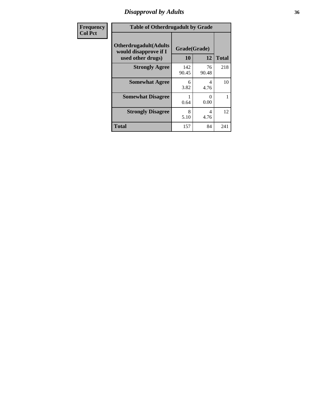# *Disapproval by Adults* **36**

| <b>Frequency</b> | <b>Table of Otherdrugadult by Grade</b>                                     |                    |             |              |
|------------------|-----------------------------------------------------------------------------|--------------------|-------------|--------------|
| <b>Col Pct</b>   | <b>Otherdrugadult</b> (Adults<br>would disapprove if I<br>used other drugs) | Grade(Grade)<br>10 | 12          | <b>Total</b> |
|                  | <b>Strongly Agree</b>                                                       | 142<br>90.45       | 76<br>90.48 | 218          |
|                  | <b>Somewhat Agree</b>                                                       | 6<br>3.82          | 4<br>4.76   | 10           |
|                  | <b>Somewhat Disagree</b>                                                    | 0.64               | 0<br>0.00   |              |
|                  | <b>Strongly Disagree</b>                                                    | 8<br>5.10          | 4<br>4.76   | 12           |
|                  | <b>Total</b>                                                                | 157                | 84          | 241          |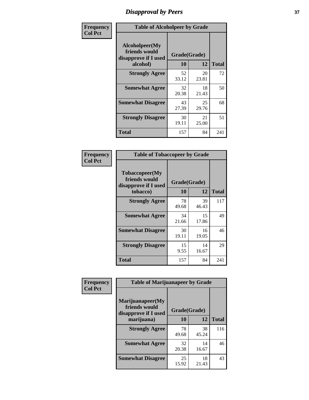# *Disapproval by Peers* **37**

| Frequency      | <b>Table of Alcoholpeer by Grade</b>                    |              |             |              |  |
|----------------|---------------------------------------------------------|--------------|-------------|--------------|--|
| <b>Col Pct</b> | Alcoholpeer(My<br>friends would<br>disapprove if I used | Grade(Grade) |             |              |  |
|                | alcohol)                                                | 10           | 12          | <b>Total</b> |  |
|                | <b>Strongly Agree</b>                                   | 52<br>33.12  | 20<br>23.81 | 72           |  |
|                | <b>Somewhat Agree</b>                                   | 32<br>20.38  | 18<br>21.43 | 50           |  |
|                | <b>Somewhat Disagree</b>                                | 43<br>27.39  | 25<br>29.76 | 68           |  |
|                | <b>Strongly Disagree</b>                                | 30<br>19.11  | 21<br>25.00 | 51           |  |
|                | Total                                                   | 157          | 84          | 241          |  |

| Frequency      | <b>Table of Tobaccopeer by Grade</b>                    |              |             |              |  |
|----------------|---------------------------------------------------------|--------------|-------------|--------------|--|
| <b>Col Pct</b> | Tobaccopeer(My<br>friends would<br>disapprove if I used | Grade(Grade) |             |              |  |
|                | tobacco)                                                | 10           | 12          | <b>Total</b> |  |
|                | <b>Strongly Agree</b>                                   | 78<br>49.68  | 39<br>46.43 | 117          |  |
|                | <b>Somewhat Agree</b>                                   | 34<br>21.66  | 15<br>17.86 | 49           |  |
|                | <b>Somewhat Disagree</b>                                | 30<br>19.11  | 16<br>19.05 | 46           |  |
|                | <b>Strongly Disagree</b>                                | 15<br>9.55   | 14<br>16.67 | 29           |  |
|                | Total                                                   | 157          | 84          | 241          |  |

| Frequency<br><b>Col Pct</b> | <b>Table of Marijuanapeer by Grade</b>                    |              |             |              |
|-----------------------------|-----------------------------------------------------------|--------------|-------------|--------------|
|                             | Marijuanapeer(My<br>friends would<br>disapprove if I used | Grade(Grade) |             |              |
|                             | marijuana)                                                | <b>10</b>    | 12          | <b>Total</b> |
|                             | <b>Strongly Agree</b>                                     | 78<br>49.68  | 38<br>45.24 | 116          |
|                             | <b>Somewhat Agree</b>                                     | 32<br>20.38  | 14<br>16.67 | 46           |
|                             | <b>Somewhat Disagree</b>                                  | 25<br>15.92  | 18<br>21.43 | 43           |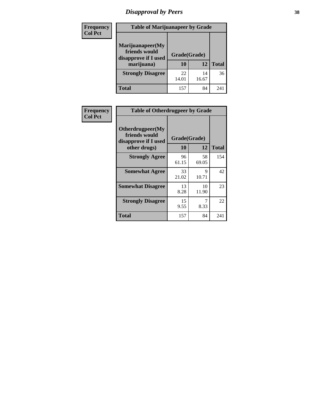# *Disapproval by Peers* **38**

| <b>Frequency</b> | <b>Table of Marijuanapeer by Grade</b>                                  |                    |             |              |  |
|------------------|-------------------------------------------------------------------------|--------------------|-------------|--------------|--|
| <b>Col Pct</b>   | Marijuanapeer(My<br>friends would<br>disapprove if I used<br>marijuana) | Grade(Grade)<br>10 | 12          | <b>Total</b> |  |
|                  | <b>Strongly Disagree</b>                                                | 22<br>14.01        | 14<br>16.67 | 36           |  |
|                  | <b>Total</b>                                                            | 157                | 84          | 241          |  |

| <b>Frequency</b> |                                                           | <b>Table of Otherdrugpeer by Grade</b> |                      |              |  |
|------------------|-----------------------------------------------------------|----------------------------------------|----------------------|--------------|--|
| <b>Col Pct</b>   | Otherdrugpeer(My<br>friends would<br>disapprove if I used | Grade(Grade)                           |                      |              |  |
|                  | other drugs)                                              | 10                                     | 12                   | <b>Total</b> |  |
|                  | <b>Strongly Agree</b>                                     | 96<br>61.15                            | 58<br>69.05          | 154          |  |
|                  | <b>Somewhat Agree</b>                                     | 33<br>21.02                            | $\mathbf Q$<br>10.71 | 42           |  |
|                  | <b>Somewhat Disagree</b>                                  | 13<br>8.28                             | 10<br>11.90          | 23           |  |
|                  | <b>Strongly Disagree</b>                                  | 15<br>9.55                             | 7<br>8.33            | 22           |  |
|                  | <b>Total</b>                                              | 157                                    | 84                   | 241          |  |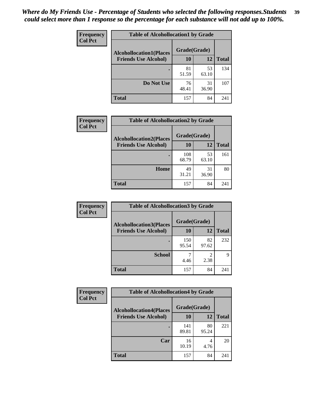| Frequency      | <b>Table of Alcohollocation1 by Grade</b> |              |             |              |
|----------------|-------------------------------------------|--------------|-------------|--------------|
| <b>Col Pct</b> | <b>Alcohollocation1(Places</b>            | Grade(Grade) |             |              |
|                | <b>Friends Use Alcohol)</b>               | 10           | 12          | <b>Total</b> |
|                |                                           | 81<br>51.59  | 53<br>63.10 | 134          |
|                | Do Not Use                                | 76<br>48.41  | 31<br>36.90 | 107          |
|                | <b>Total</b>                              | 157          | 84          | 241          |

| <b>Frequency</b> | <b>Table of Alcohollocation2 by Grade</b>                     |                    |             |              |
|------------------|---------------------------------------------------------------|--------------------|-------------|--------------|
| <b>Col Pct</b>   | <b>Alcohollocation2(Places</b><br><b>Friends Use Alcohol)</b> | Grade(Grade)<br>10 | 12          | <b>Total</b> |
|                  |                                                               | 108<br>68.79       | 53<br>63.10 | 161          |
|                  | Home                                                          | 49<br>31.21        | 31<br>36.90 | 80           |
|                  | <b>Total</b>                                                  | 157                | 84          | 241          |

| Frequency<br><b>Col Pct</b> | <b>Table of Alcohollocation 3 by Grade</b>                    |                    |                        |              |
|-----------------------------|---------------------------------------------------------------|--------------------|------------------------|--------------|
|                             | <b>Alcohollocation3(Places</b><br><b>Friends Use Alcohol)</b> | Grade(Grade)<br>10 | 12                     | <b>Total</b> |
|                             |                                                               | 150<br>95.54       | 82<br>97.62            | 232          |
|                             | <b>School</b>                                                 | 4.46               | $\mathfrak{D}$<br>2.38 | q            |
|                             | <b>Total</b>                                                  | 157                | 84                     | 241          |

| <b>Frequency</b> | <b>Table of Alcohollocation4 by Grade</b> |              |             |              |  |
|------------------|-------------------------------------------|--------------|-------------|--------------|--|
| <b>Col Pct</b>   | <b>Alcohollocation4(Places</b>            | Grade(Grade) |             |              |  |
|                  | <b>Friends Use Alcohol)</b>               | 10           | 12          | <b>Total</b> |  |
|                  |                                           | 141<br>89.81 | 80<br>95.24 | 221          |  |
|                  | Car                                       | 16<br>10.19  | 4<br>4.76   | 20           |  |
|                  | <b>Total</b>                              | 157          | 84          | 241          |  |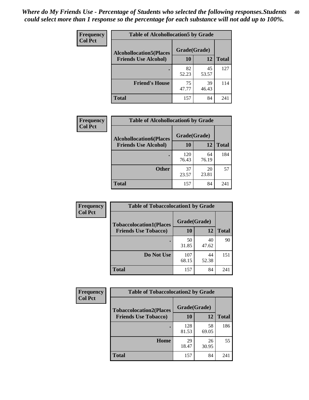| Frequency<br><b>Col Pct</b> | <b>Table of Alcohollocation5 by Grade</b> |              |             |              |
|-----------------------------|-------------------------------------------|--------------|-------------|--------------|
|                             | <b>Alcohollocation5(Places</b>            | Grade(Grade) |             |              |
|                             | <b>Friends Use Alcohol)</b>               | 10           | 12          | <b>Total</b> |
|                             |                                           | 82<br>52.23  | 45<br>53.57 | 127          |
|                             | <b>Friend's House</b>                     | 75<br>47.77  | 39<br>46.43 | 114          |
|                             | <b>Total</b>                              | 157          | 84          | 241          |

| Frequency      | <b>Table of Alcohollocation6 by Grade</b> |              |             |              |
|----------------|-------------------------------------------|--------------|-------------|--------------|
| <b>Col Pct</b> | <b>Alcohollocation6(Places</b>            | Grade(Grade) |             |              |
|                | <b>Friends Use Alcohol)</b>               | 10           | 12          | <b>Total</b> |
|                |                                           | 120<br>76.43 | 64<br>76.19 | 184          |
|                | <b>Other</b>                              | 37<br>23.57  | 20<br>23.81 | 57           |
|                | Total                                     | 157          | 84          | 241          |

| <b>Frequency</b> | <b>Table of Tobaccolocation1 by Grade</b> |              |             |              |
|------------------|-------------------------------------------|--------------|-------------|--------------|
| <b>Col Pct</b>   | <b>Tobaccolocation1(Places</b>            | Grade(Grade) |             |              |
|                  | <b>Friends Use Tobacco)</b>               | 10           | 12          | <b>Total</b> |
|                  |                                           | 50<br>31.85  | 40<br>47.62 | 90           |
|                  | Do Not Use                                | 107<br>68.15 | 44<br>52.38 | 151          |
|                  | <b>Total</b>                              | 157          | 84          | 241          |

| <b>Frequency</b> | <b>Table of Tobaccolocation2 by Grade</b> |              |             |              |
|------------------|-------------------------------------------|--------------|-------------|--------------|
| <b>Col Pct</b>   | <b>Tobaccolocation2(Places</b>            | Grade(Grade) |             |              |
|                  | <b>Friends Use Tobacco)</b>               | 10           | 12          | <b>Total</b> |
|                  |                                           | 128<br>81.53 | 58<br>69.05 | 186          |
|                  | Home                                      | 29<br>18.47  | 26<br>30.95 | 55           |
|                  | <b>Total</b>                              | 157          | 84          | 241          |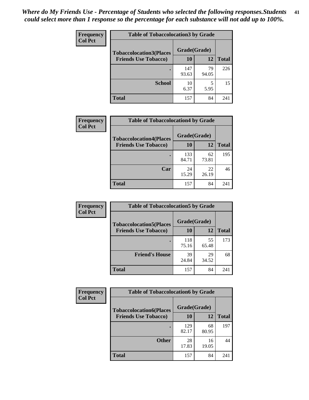| Frequency      | <b>Table of Tobaccolocation 3 by Grade</b> |              |             |              |  |
|----------------|--------------------------------------------|--------------|-------------|--------------|--|
| <b>Col Pct</b> | <b>Tobaccolocation3(Places</b>             | Grade(Grade) |             |              |  |
|                | <b>Friends Use Tobacco)</b>                | 10           | 12          | <b>Total</b> |  |
|                |                                            | 147<br>93.63 | 79<br>94.05 | 226          |  |
|                | <b>School</b>                              | 10<br>6.37   | 5<br>5.95   | 15           |  |
|                | <b>Total</b>                               | 157          | 84          | 241          |  |

| Frequency      | <b>Table of Tobaccolocation4 by Grade</b> |              |             |              |
|----------------|-------------------------------------------|--------------|-------------|--------------|
| <b>Col Pct</b> | <b>Tobaccolocation4(Places</b>            | Grade(Grade) |             |              |
|                | <b>Friends Use Tobacco)</b>               | 10           | 12          | <b>Total</b> |
|                |                                           | 133<br>84.71 | 62<br>73.81 | 195          |
|                | Car                                       | 24<br>15.29  | 22<br>26.19 | 46           |
|                | <b>Total</b>                              | 157          | 84          | 241          |

| Frequency      | <b>Table of Tobaccolocation5 by Grade</b> |              |             |              |  |
|----------------|-------------------------------------------|--------------|-------------|--------------|--|
| <b>Col Pct</b> | <b>Tobaccolocation5(Places</b>            | Grade(Grade) |             |              |  |
|                | <b>Friends Use Tobacco)</b>               | 10           | <b>12</b>   | <b>Total</b> |  |
|                |                                           | 118<br>75.16 | 55<br>65.48 | 173          |  |
|                | <b>Friend's House</b>                     | 39<br>24.84  | 29<br>34.52 | 68           |  |
|                | <b>Total</b>                              | 157          | 84          | 241          |  |

| <b>Frequency</b> | <b>Table of Tobaccolocation6 by Grade</b> |              |             |              |  |
|------------------|-------------------------------------------|--------------|-------------|--------------|--|
| <b>Col Pct</b>   | <b>Tobaccolocation6(Places</b>            | Grade(Grade) |             |              |  |
|                  | <b>Friends Use Tobacco)</b>               | 10           | 12          | <b>Total</b> |  |
|                  |                                           | 129<br>82.17 | 68<br>80.95 | 197          |  |
|                  | <b>Other</b>                              | 28<br>17.83  | 16<br>19.05 | 44           |  |
|                  | <b>Total</b>                              | 157          | 84          | 241          |  |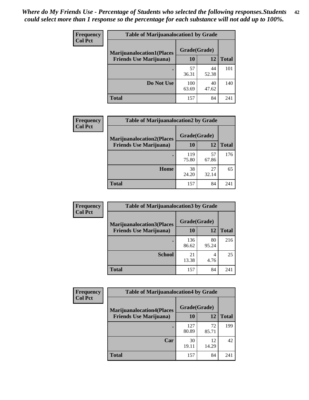| <b>Frequency</b> | <b>Table of Marijuanalocation1 by Grade</b> |              |             |              |
|------------------|---------------------------------------------|--------------|-------------|--------------|
| <b>Col Pct</b>   | <b>Marijuanalocation1(Places</b>            | Grade(Grade) |             |              |
|                  | <b>Friends Use Marijuana</b> )              | 10           | 12          | <b>Total</b> |
|                  |                                             | 57<br>36.31  | 44<br>52.38 | 101          |
|                  | Do Not Use                                  | 100<br>63.69 | 40<br>47.62 | 140          |
|                  | <b>Total</b>                                | 157          | 84          | 241          |

| <b>Frequency</b> | <b>Table of Marijuanalocation2 by Grade</b>                        |                    |             |              |
|------------------|--------------------------------------------------------------------|--------------------|-------------|--------------|
| <b>Col Pct</b>   | <b>Marijuanalocation2(Places</b><br><b>Friends Use Marijuana</b> ) | Grade(Grade)<br>10 | 12          | <b>Total</b> |
|                  |                                                                    | 119<br>75.80       | 57<br>67.86 | 176          |
|                  | Home                                                               | 38<br>24.20        | 27<br>32.14 | 65           |
|                  | <b>Total</b>                                                       | 157                | 84          | 241          |

| Frequency<br><b>Col Pct</b> | <b>Table of Marijuanalocation3 by Grade</b> |              |       |              |
|-----------------------------|---------------------------------------------|--------------|-------|--------------|
|                             | <b>Marijuanalocation3</b> (Places           | Grade(Grade) |       |              |
|                             | <b>Friends Use Marijuana</b> )              | 10           | 12    | <b>Total</b> |
|                             |                                             | 136          | 80    | 216          |
|                             |                                             | 86.62        | 95.24 |              |
|                             | <b>School</b>                               | 21           | 4     | 25           |
|                             |                                             | 13.38        | 4.76  |              |
|                             | <b>Total</b>                                | 157          | 84    | 241          |

| <b>Frequency</b> | <b>Table of Marijuanalocation4 by Grade</b> |              |             |              |  |
|------------------|---------------------------------------------|--------------|-------------|--------------|--|
| <b>Col Pct</b>   | <b>Marijuanalocation4(Places</b>            | Grade(Grade) |             |              |  |
|                  | <b>Friends Use Marijuana</b> )              | <b>10</b>    | 12          | <b>Total</b> |  |
|                  |                                             | 127<br>80.89 | 72<br>85.71 | 199          |  |
|                  | Car                                         | 30<br>19.11  | 12<br>14.29 | 42           |  |
|                  | <b>Total</b>                                | 157          | 84          | 241          |  |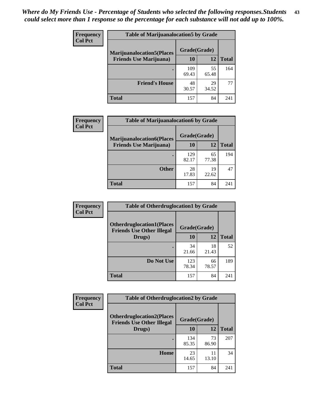| <b>Frequency</b> | <b>Table of Marijuanalocation5 by Grade</b>                         |              |             |              |  |
|------------------|---------------------------------------------------------------------|--------------|-------------|--------------|--|
| <b>Col Pct</b>   | <b>Marijuanalocation5(Places)</b><br><b>Friends Use Marijuana</b> ) | Grade(Grade) |             |              |  |
|                  |                                                                     | 10           | 12          | <b>Total</b> |  |
|                  |                                                                     | 109<br>69.43 | 55<br>65.48 | 164          |  |
|                  | <b>Friend's House</b>                                               | 48<br>30.57  | 29<br>34.52 | 77           |  |
|                  | Total                                                               | 157          | 84          | 241          |  |

| <b>Frequency</b> | <b>Table of Marijuanalocation6 by Grade</b>                        |                    |             |              |
|------------------|--------------------------------------------------------------------|--------------------|-------------|--------------|
| <b>Col Pct</b>   | <b>Marijuanalocation6(Places</b><br><b>Friends Use Marijuana</b> ) | Grade(Grade)<br>10 | 12          | <b>Total</b> |
|                  |                                                                    | 129<br>82.17       | 65<br>77.38 | 194          |
|                  | <b>Other</b>                                                       | 28<br>17.83        | 19<br>22.62 | 47           |
|                  | <b>Total</b>                                                       | 157                | 84          | 241          |

| <b>Frequency</b> | <b>Table of Otherdruglocation1 by Grade</b>                          |              |             |              |
|------------------|----------------------------------------------------------------------|--------------|-------------|--------------|
| <b>Col Pct</b>   | <b>Otherdruglocation1(Places</b><br><b>Friends Use Other Illegal</b> | Grade(Grade) |             |              |
|                  | Drugs)                                                               | 10           | 12          | <b>Total</b> |
|                  |                                                                      | 34<br>21.66  | 18<br>21.43 | 52           |
|                  | Do Not Use                                                           | 123<br>78.34 | 66<br>78.57 | 189          |
|                  | <b>Total</b>                                                         | 157          | 84          | 241          |

| <b>Frequency</b> | <b>Table of Otherdruglocation2 by Grade</b>                          |              |             |              |
|------------------|----------------------------------------------------------------------|--------------|-------------|--------------|
| <b>Col Pct</b>   | <b>Otherdruglocation2(Places</b><br><b>Friends Use Other Illegal</b> | Grade(Grade) |             |              |
|                  | Drugs)                                                               | 10           | 12          | <b>Total</b> |
|                  |                                                                      | 134<br>85.35 | 73<br>86.90 | 207          |
|                  | Home                                                                 | 23<br>14.65  | 11<br>13.10 | 34           |
|                  | <b>Total</b>                                                         | 157          | 84          | 241          |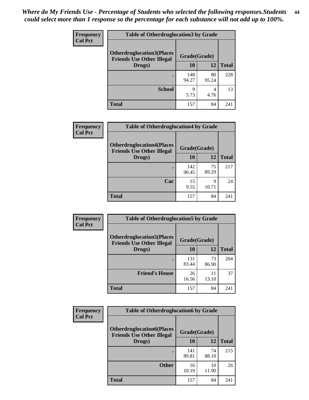| <b>Frequency</b> | <b>Table of Otherdruglocation3 by Grade</b>                          |              |             |              |
|------------------|----------------------------------------------------------------------|--------------|-------------|--------------|
| <b>Col Pct</b>   | <b>Otherdruglocation3(Places</b><br><b>Friends Use Other Illegal</b> | Grade(Grade) |             |              |
|                  | Drugs)                                                               | 10           | 12          | <b>Total</b> |
|                  |                                                                      | 148<br>94.27 | 80<br>95.24 | 228          |
|                  | <b>School</b>                                                        | 9<br>5.73    | 4<br>4.76   | 13           |
|                  | <b>Total</b>                                                         | 157          | 84          | 241          |

| Frequency<br><b>Col Pct</b> | <b>Table of Otherdruglocation4 by Grade</b>                          |              |             |              |
|-----------------------------|----------------------------------------------------------------------|--------------|-------------|--------------|
|                             | <b>Otherdruglocation4(Places</b><br><b>Friends Use Other Illegal</b> | Grade(Grade) |             |              |
|                             | Drugs)                                                               | 10           | 12          | <b>Total</b> |
|                             |                                                                      | 142<br>90.45 | 75<br>89.29 | 217          |
|                             | Car                                                                  | 15<br>9.55   | 9<br>10.71  | 24           |
|                             | <b>Total</b>                                                         | 157          | 84          | 241          |

| <b>Frequency</b> | <b>Table of Otherdruglocation5 by Grade</b>                          |              |             |              |
|------------------|----------------------------------------------------------------------|--------------|-------------|--------------|
| <b>Col Pct</b>   | <b>Otherdruglocation5(Places</b><br><b>Friends Use Other Illegal</b> | Grade(Grade) |             |              |
|                  | Drugs)                                                               | <b>10</b>    | 12          | <b>Total</b> |
|                  |                                                                      | 131<br>83.44 | 73<br>86.90 | 204          |
|                  | <b>Friend's House</b>                                                | 26<br>16.56  | 11<br>13.10 | 37           |
|                  | <b>Total</b>                                                         | 157          | 84          | 241          |

| <b>Frequency</b> | <b>Table of Otherdruglocation6 by Grade</b>                           |              |             |              |
|------------------|-----------------------------------------------------------------------|--------------|-------------|--------------|
| <b>Col Pct</b>   | <b>Otherdruglocation6(Places)</b><br><b>Friends Use Other Illegal</b> | Grade(Grade) |             |              |
|                  | Drugs)                                                                | 10           | 12          | <b>Total</b> |
|                  |                                                                       | 141<br>89.81 | 74<br>88.10 | 215          |
|                  | <b>Other</b>                                                          | 16<br>10.19  | 10<br>11.90 | 26           |
|                  | <b>Total</b>                                                          | 157          | 84          | 241          |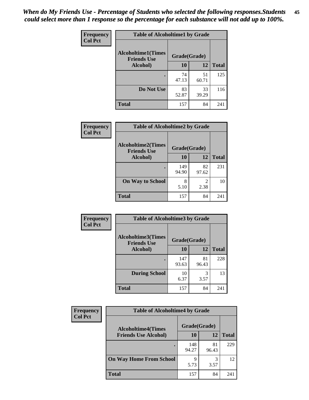| Frequency      | <b>Table of Alcoholtime1 by Grade</b>                           |             |             |              |
|----------------|-----------------------------------------------------------------|-------------|-------------|--------------|
| <b>Col Pct</b> | <b>Alcoholtime1(Times</b><br>Grade(Grade)<br><b>Friends Use</b> |             |             |              |
|                | Alcohol)                                                        | <b>10</b>   | 12          | <b>Total</b> |
|                |                                                                 | 74<br>47.13 | 51<br>60.71 | 125          |
|                | Do Not Use                                                      | 83<br>52.87 | 33<br>39.29 | 116          |
|                | <b>Total</b>                                                    | 157         | 84          | 241          |

| Frequency      | <b>Table of Alcoholtime2 by Grade</b>           |              |             |              |
|----------------|-------------------------------------------------|--------------|-------------|--------------|
| <b>Col Pct</b> | <b>Alcoholtime2(Times</b><br><b>Friends Use</b> | Grade(Grade) |             |              |
|                | Alcohol)                                        | 10           | 12          | <b>Total</b> |
|                |                                                 | 149<br>94.90 | 82<br>97.62 | 231          |
|                | <b>On Way to School</b>                         | 8<br>5.10    | 2<br>2.38   | 10           |
|                | <b>Total</b>                                    | 157          | 84          | 241          |

| Frequency      | <b>Table of Alcoholtime3 by Grade</b>           |              |             |              |
|----------------|-------------------------------------------------|--------------|-------------|--------------|
| <b>Col Pct</b> | <b>Alcoholtime3(Times</b><br><b>Friends Use</b> | Grade(Grade) |             |              |
|                | Alcohol)                                        | 10           | 12          | <b>Total</b> |
|                |                                                 | 147<br>93.63 | 81<br>96.43 | 228          |
|                | <b>During School</b>                            | 10<br>6.37   | 3<br>3.57   | 13           |
|                | Total                                           | 157          | 84          | 241          |

| <b>Frequency</b><br><b>Col Pct</b> | <b>Table of Alcoholtime4 by Grade</b> |              |             |              |
|------------------------------------|---------------------------------------|--------------|-------------|--------------|
|                                    | <b>Alcoholtime4(Times</b>             | Grade(Grade) |             |              |
|                                    | <b>Friends Use Alcohol)</b>           | 10           | 12          | <b>Total</b> |
|                                    |                                       | 148<br>94.27 | 81<br>96.43 | 229          |
|                                    | <b>On Way Home From School</b>        | Q<br>5.73    | 3<br>3.57   | 12           |
|                                    | <b>Total</b>                          | 157          | 84          | 241          |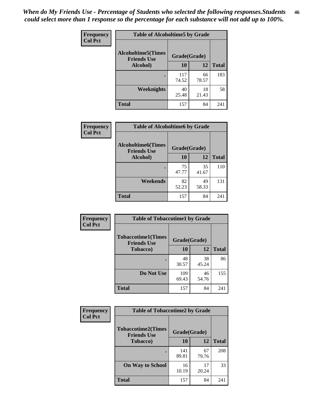*When do My Friends Use - Percentage of Students who selected the following responses.Students could select more than 1 response so the percentage for each substance will not add up to 100%.* **46**

| Frequency      | <b>Table of Alcoholtime5 by Grade</b>           |              |             |              |
|----------------|-------------------------------------------------|--------------|-------------|--------------|
| <b>Col Pct</b> | <b>Alcoholtime5(Times</b><br><b>Friends Use</b> | Grade(Grade) |             |              |
|                | Alcohol)                                        | 10           | 12          | <b>Total</b> |
|                |                                                 | 117<br>74.52 | 66<br>78.57 | 183          |
|                | Weeknights                                      | 40<br>25.48  | 18<br>21.43 | 58           |
|                | <b>Total</b>                                    | 157          | 84          | 241          |

| <b>Frequency</b> | <b>Table of Alcoholtime6 by Grade</b>           |              |             |              |
|------------------|-------------------------------------------------|--------------|-------------|--------------|
| <b>Col Pct</b>   | <b>Alcoholtime6(Times</b><br><b>Friends Use</b> | Grade(Grade) |             |              |
|                  | Alcohol)                                        | 10           | 12          | <b>Total</b> |
|                  |                                                 | 75<br>47.77  | 35<br>41.67 | 110          |
|                  | Weekends                                        | 82<br>52.23  | 49<br>58.33 | 131          |
|                  | <b>Total</b>                                    | 157          | 84          | 241          |

| Frequency      | <b>Table of Tobaccotime1 by Grade</b>           |              |             |              |
|----------------|-------------------------------------------------|--------------|-------------|--------------|
| <b>Col Pct</b> | <b>Tobaccotime1(Times</b><br><b>Friends Use</b> | Grade(Grade) |             |              |
|                | <b>Tobacco</b> )                                | 10           | 12          | <b>Total</b> |
|                | ٠                                               | 48<br>30.57  | 38<br>45.24 | 86           |
|                | Do Not Use                                      | 109<br>69.43 | 46<br>54.76 | 155          |
|                | <b>Total</b>                                    | 157          | 84          | 241          |

| <b>Frequency</b> | <b>Table of Tobaccotime2 by Grade</b>           |              |             |              |  |
|------------------|-------------------------------------------------|--------------|-------------|--------------|--|
| <b>Col Pct</b>   | <b>Tobaccotime2(Times</b><br><b>Friends Use</b> | Grade(Grade) |             |              |  |
|                  | <b>Tobacco</b> )                                | <b>10</b>    | 12          | <b>Total</b> |  |
|                  |                                                 | 141<br>89.81 | 67<br>79.76 | 208          |  |
|                  | <b>On Way to School</b>                         | 16<br>10.19  | 17<br>20.24 | 33           |  |
|                  | <b>Total</b>                                    | 157          | 84          | 241          |  |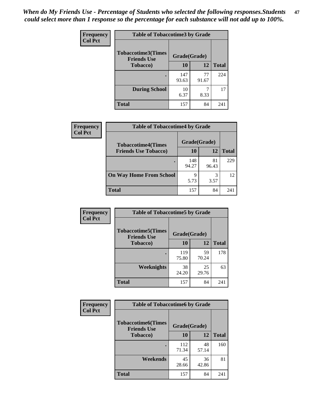*When do My Friends Use - Percentage of Students who selected the following responses.Students could select more than 1 response so the percentage for each substance will not add up to 100%.* **47**

| <b>Frequency</b> | <b>Table of Tobaccotime3 by Grade</b>           |              |             |              |  |
|------------------|-------------------------------------------------|--------------|-------------|--------------|--|
| <b>Col Pct</b>   | <b>Tobaccotime3(Times</b><br><b>Friends Use</b> | Grade(Grade) |             |              |  |
|                  | <b>Tobacco</b> )                                | 10           | 12          | <b>Total</b> |  |
|                  |                                                 | 147<br>93.63 | 77<br>91.67 | 224          |  |
|                  | <b>During School</b>                            | 10<br>6.37   | 8.33        | 17           |  |
|                  | <b>Total</b>                                    | 157          | 84          | 241          |  |

| Frequency<br><b>Col Pct</b> | <b>Table of Tobaccotime4 by Grade</b> |              |             |              |
|-----------------------------|---------------------------------------|--------------|-------------|--------------|
|                             | <b>Tobaccotime4(Times</b>             | Grade(Grade) |             |              |
|                             | <b>Friends Use Tobacco)</b>           | 10           | 12          | <b>Total</b> |
|                             |                                       | 148<br>94.27 | 81<br>96.43 | 229          |
|                             | <b>On Way Home From School</b>        | 9<br>5.73    | 3<br>3.57   | 12           |
|                             | Total                                 | 157          | 84          | 241          |

| Frequency      | <b>Table of Tobaccotime5 by Grade</b>           |              |             |              |
|----------------|-------------------------------------------------|--------------|-------------|--------------|
| <b>Col Pct</b> | <b>Tobaccotime5(Times</b><br><b>Friends Use</b> | Grade(Grade) |             |              |
|                | Tobacco)                                        | 10           | 12          | <b>Total</b> |
|                |                                                 | 119<br>75.80 | 59<br>70.24 | 178          |
|                | Weeknights                                      | 38<br>24.20  | 25<br>29.76 | 63           |
|                | <b>Total</b>                                    | 157          | 84          | 241          |

| Frequency<br><b>Col Pct</b> | <b>Table of Tobaccotime6 by Grade</b>           |              |             |              |
|-----------------------------|-------------------------------------------------|--------------|-------------|--------------|
|                             | <b>Tobaccotime6(Times</b><br><b>Friends Use</b> | Grade(Grade) |             |              |
|                             | <b>Tobacco</b> )                                | 10           | 12          | <b>Total</b> |
|                             | ٠                                               | 112<br>71.34 | 48<br>57.14 | 160          |
|                             | Weekends                                        | 45<br>28.66  | 36<br>42.86 | 81           |
|                             | <b>Total</b>                                    | 157          | 84          | 241          |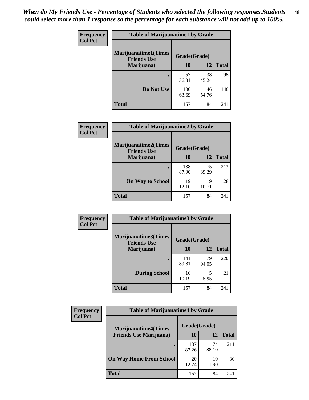| Frequency      | <b>Table of Marijuanatime1 by Grade</b>           |              |             |              |
|----------------|---------------------------------------------------|--------------|-------------|--------------|
| <b>Col Pct</b> | <b>Marijuanatime1(Times</b><br><b>Friends Use</b> | Grade(Grade) |             |              |
|                | Marijuana)                                        | 10           | 12          | <b>Total</b> |
|                |                                                   | 57<br>36.31  | 38<br>45.24 | 95           |
|                | Do Not Use                                        | 100<br>63.69 | 46<br>54.76 | 146          |
|                | <b>Total</b>                                      | 157          | 84          | 241          |

| Frequency      | <b>Table of Marijuanatime2 by Grade</b>           |              |             |              |
|----------------|---------------------------------------------------|--------------|-------------|--------------|
| <b>Col Pct</b> | <b>Marijuanatime2(Times</b><br><b>Friends Use</b> | Grade(Grade) |             |              |
|                | Marijuana)                                        | 10           | 12          | <b>Total</b> |
|                |                                                   | 138<br>87.90 | 75<br>89.29 | 213          |
|                | <b>On Way to School</b>                           | 19<br>12.10  | Q<br>10.71  | 28           |
|                | <b>Total</b>                                      | 157          | 84          | 241          |

| Frequency      | <b>Table of Marijuanatime3 by Grade</b>    |              |             |              |  |
|----------------|--------------------------------------------|--------------|-------------|--------------|--|
| <b>Col Pct</b> | Marijuanatime3(Times<br><b>Friends Use</b> | Grade(Grade) |             |              |  |
|                | Marijuana)                                 | 10           | 12          | <b>Total</b> |  |
|                |                                            | 141<br>89.81 | 79<br>94.05 | 220          |  |
|                | <b>During School</b>                       | 16<br>10.19  | 5<br>5.95   | 21           |  |
|                | <b>Total</b>                               | 157          | 84          | 241          |  |

| <b>Frequency</b> | <b>Table of Marijuanatime4 by Grade</b> |              |             |       |
|------------------|-----------------------------------------|--------------|-------------|-------|
| <b>Col Pct</b>   | <b>Marijuanatime4(Times</b>             | Grade(Grade) |             |       |
|                  | <b>Friends Use Marijuana</b> )          | 10           | 12          | Total |
|                  |                                         | 137<br>87.26 | 74<br>88.10 | 211   |
|                  | <b>On Way Home From School</b>          | 20<br>12.74  | 10<br>11.90 | 30    |
|                  | <b>Total</b>                            | 157          | 84          | 241   |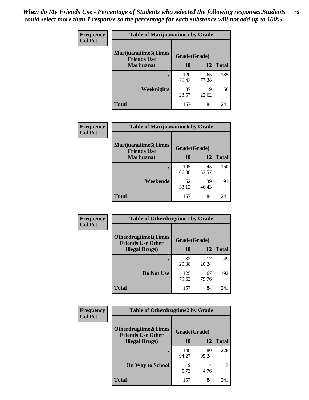| Frequency      | <b>Table of Marijuanatime5 by Grade</b>            |              |             |              |
|----------------|----------------------------------------------------|--------------|-------------|--------------|
| <b>Col Pct</b> | <b>Marijuanatime5</b> (Times<br><b>Friends Use</b> | Grade(Grade) |             |              |
|                | Marijuana)                                         | 10           | 12          | <b>Total</b> |
|                |                                                    | 120<br>76.43 | 65<br>77.38 | 185          |
|                | Weeknights                                         | 37<br>23.57  | 19<br>22.62 | 56           |
|                | <b>Total</b>                                       | 157          | 84          | 241          |

| <b>Frequency</b> | <b>Table of Marijuanatime6 by Grade</b>            |              |             |              |
|------------------|----------------------------------------------------|--------------|-------------|--------------|
| <b>Col Pct</b>   | <b>Marijuanatime6</b> (Times<br><b>Friends Use</b> | Grade(Grade) |             |              |
|                  | Marijuana)                                         | 10           | 12          | <b>Total</b> |
|                  |                                                    | 105<br>66.88 | 45<br>53.57 | 150          |
|                  | Weekends                                           | 52<br>33.12  | 39<br>46.43 | 91           |
|                  | <b>Total</b>                                       | 157          | 84          | 241          |

| <b>Frequency</b> | <b>Table of Otherdrugtime1 by Grade</b>                  |              |             |              |
|------------------|----------------------------------------------------------|--------------|-------------|--------------|
| <b>Col Pct</b>   | <b>Otherdrugtime1</b> (Times<br><b>Friends Use Other</b> | Grade(Grade) |             |              |
|                  | <b>Illegal Drugs</b> )                                   | 10           | 12          | <b>Total</b> |
|                  |                                                          | 32<br>20.38  | 17<br>20.24 | 49           |
|                  | Do Not Use                                               | 125<br>79.62 | 67<br>79.76 | 192          |
|                  | <b>Total</b>                                             | 157          | 84          | 241          |

| <b>Frequency</b> | <b>Table of Otherdrugtime2 by Grade</b>                 |              |             |              |  |  |  |
|------------------|---------------------------------------------------------|--------------|-------------|--------------|--|--|--|
| <b>Col Pct</b>   | <b>Otherdrugtime2(Times</b><br><b>Friends Use Other</b> | Grade(Grade) |             |              |  |  |  |
|                  | <b>Illegal Drugs</b> )                                  | 10           | 12          | <b>Total</b> |  |  |  |
|                  |                                                         | 148<br>94.27 | 80<br>95.24 | 228          |  |  |  |
|                  | <b>On Way to School</b>                                 | Q<br>5.73    | 4<br>4.76   | 13           |  |  |  |
|                  | Total                                                   | 157          | 84          | 241          |  |  |  |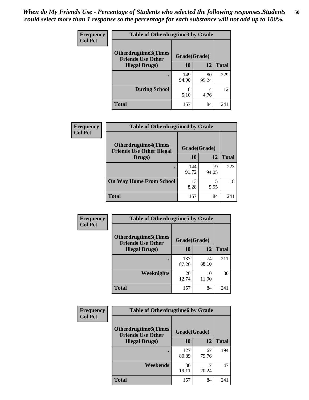| <b>Frequency</b> | <b>Table of Otherdrugtime3 by Grade</b>          |              |             |              |  |  |
|------------------|--------------------------------------------------|--------------|-------------|--------------|--|--|
| <b>Col Pct</b>   | Otherdrugtime3(Times<br><b>Friends Use Other</b> |              |             |              |  |  |
|                  | <b>Illegal Drugs</b> )                           | 10           | 12          | <b>Total</b> |  |  |
|                  |                                                  | 149<br>94.90 | 80<br>95.24 | 229          |  |  |
|                  | <b>During School</b>                             | 8<br>5.10    | 4<br>4.76   | 12           |  |  |
|                  | Total                                            | 157          | 84          | 241          |  |  |

| <b>Frequency</b> | <b>Table of Otherdrugtime4 by Grade</b>                         |              |             |              |  |  |
|------------------|-----------------------------------------------------------------|--------------|-------------|--------------|--|--|
| <b>Col Pct</b>   | <b>Otherdrugtime4(Times</b><br><b>Friends Use Other Illegal</b> | Grade(Grade) |             |              |  |  |
|                  | Drugs)                                                          | 10           | 12          | <b>Total</b> |  |  |
|                  | $\bullet$                                                       | 144<br>91.72 | 79<br>94.05 | 223          |  |  |
|                  | <b>On Way Home From School</b>                                  | 13<br>8.28   | 5.95        | 18           |  |  |
|                  | <b>Total</b>                                                    | 157          | 84          | 241          |  |  |

| <b>Frequency</b> | <b>Table of Otherdrugtime5 by Grade</b>                  |              |             |              |  |  |
|------------------|----------------------------------------------------------|--------------|-------------|--------------|--|--|
| <b>Col Pct</b>   | <b>Otherdrugtime5</b> (Times<br><b>Friends Use Other</b> | Grade(Grade) |             |              |  |  |
|                  | <b>Illegal Drugs</b> )                                   | 10           | 12          | <b>Total</b> |  |  |
|                  |                                                          | 137<br>87.26 | 74<br>88.10 | 211          |  |  |
|                  | Weeknights                                               | 20<br>12.74  | 10<br>11.90 | 30           |  |  |
|                  | Total                                                    | 157          | 84          | 241          |  |  |

| <b>Frequency</b> | <b>Table of Otherdrugtime6 by Grade</b>                 |              |             |              |  |  |
|------------------|---------------------------------------------------------|--------------|-------------|--------------|--|--|
| <b>Col Pct</b>   | <b>Otherdrugtime6(Times</b><br><b>Friends Use Other</b> | Grade(Grade) |             |              |  |  |
|                  | <b>Illegal Drugs</b> )                                  | 10           | 12          | <b>Total</b> |  |  |
|                  |                                                         | 127<br>80.89 | 67<br>79.76 | 194          |  |  |
|                  | Weekends                                                | 30<br>19.11  | 17<br>20.24 | 47           |  |  |
|                  | Total                                                   | 157          | 84          | 241          |  |  |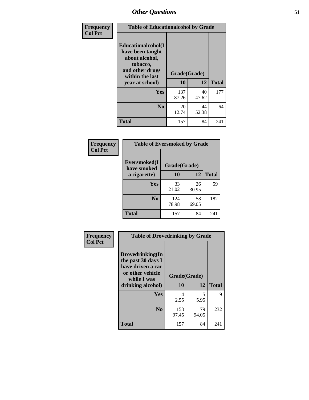| Frequency      | <b>Table of Educationalcohol by Grade</b>                                                                  |              |             |              |  |  |
|----------------|------------------------------------------------------------------------------------------------------------|--------------|-------------|--------------|--|--|
| <b>Col Pct</b> | Educationalcohol(I<br>have been taught<br>about alcohol,<br>tobacco,<br>and other drugs<br>within the last | Grade(Grade) |             |              |  |  |
|                | year at school)                                                                                            | 10           | 12          | <b>Total</b> |  |  |
|                | <b>Yes</b>                                                                                                 | 137<br>87.26 | 40<br>47.62 | 177          |  |  |
|                | N <sub>0</sub>                                                                                             | 20<br>12.74  | 44<br>52.38 | 64           |  |  |
|                | <b>Total</b>                                                                                               | 157          | 84          | 241          |  |  |

| Frequency      | <b>Table of Eversmoked by Grade</b> |              |             |              |  |  |
|----------------|-------------------------------------|--------------|-------------|--------------|--|--|
| <b>Col Pct</b> | Eversmoked(I<br>have smoked         | Grade(Grade) |             |              |  |  |
|                | a cigarette)                        | 10           | 12          | <b>Total</b> |  |  |
|                | <b>Yes</b>                          | 33<br>21.02  | 26<br>30.95 | 59           |  |  |
|                | N <sub>0</sub>                      | 124<br>78.98 | 58<br>69.05 | 182          |  |  |
|                | <b>Total</b>                        | 157          | 84          | 241          |  |  |

| Frequency      | <b>Table of Drovedrinking by Grade</b>                                                                              |                    |             |              |  |  |
|----------------|---------------------------------------------------------------------------------------------------------------------|--------------------|-------------|--------------|--|--|
| <b>Col Pct</b> | Drovedrinking(In<br>the past 30 days I<br>have driven a car<br>or other vehicle<br>while I was<br>drinking alcohol) | Grade(Grade)<br>10 | 12          | <b>Total</b> |  |  |
|                | Yes                                                                                                                 | 4<br>2.55          | 5<br>5.95   | 9            |  |  |
|                | N <sub>0</sub>                                                                                                      | 153<br>97.45       | 79<br>94.05 | 232          |  |  |
|                | <b>Total</b>                                                                                                        | 157                | 84          | 241          |  |  |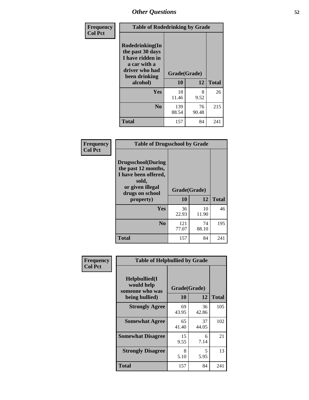| Frequency      | <b>Table of Rodedrinking by Grade</b>                                                                      |              |             |              |  |  |  |
|----------------|------------------------------------------------------------------------------------------------------------|--------------|-------------|--------------|--|--|--|
| <b>Col Pct</b> | Rodedrinking(In<br>the past 30 days<br>I have ridden in<br>a car with a<br>driver who had<br>been drinking | Grade(Grade) |             |              |  |  |  |
|                | alcohol)                                                                                                   | 10           | 12          | <b>Total</b> |  |  |  |
|                | <b>Yes</b>                                                                                                 | 18<br>11.46  | 8<br>9.52   | 26           |  |  |  |
|                | N <sub>0</sub>                                                                                             | 139<br>88.54 | 76<br>90.48 | 215          |  |  |  |
|                | <b>Total</b>                                                                                               | 157          | 84          | 241          |  |  |  |

#### **Frequency Col Pct**

| <b>Table of Drugsschool by Grade</b>                                                                                      |              |             |              |  |  |  |
|---------------------------------------------------------------------------------------------------------------------------|--------------|-------------|--------------|--|--|--|
| <b>Drugsschool</b> (During<br>the past 12 months,<br>I have been offered,<br>sold,<br>or given illegal<br>drugs on school | Grade(Grade) |             |              |  |  |  |
| property)                                                                                                                 | 10           | 12          | <b>Total</b> |  |  |  |
| Yes                                                                                                                       | 36<br>22.93  | 10<br>11.90 | 46           |  |  |  |
| N <sub>0</sub>                                                                                                            | 121<br>77.07 | 74<br>88.10 | 195          |  |  |  |
| <b>Total</b>                                                                                                              | 157          | 84          | 241          |  |  |  |

| Frequency      | <b>Table of Helpbullied by Grade</b>            |              |             |              |  |  |  |
|----------------|-------------------------------------------------|--------------|-------------|--------------|--|--|--|
| <b>Col Pct</b> | Helpbullied(I)<br>would help<br>someone who was | Grade(Grade) |             |              |  |  |  |
|                | being bullied)                                  | <b>10</b>    | 12          | <b>Total</b> |  |  |  |
|                | <b>Strongly Agree</b>                           | 69<br>43.95  | 36<br>42.86 | 105          |  |  |  |
|                | <b>Somewhat Agree</b>                           | 65<br>41.40  | 37<br>44.05 | 102          |  |  |  |
|                | <b>Somewhat Disagree</b>                        | 15<br>9.55   | 6<br>7.14   | 21           |  |  |  |
|                | <b>Strongly Disagree</b>                        | 8<br>5.10    | 5<br>5.95   | 13           |  |  |  |
|                | <b>Total</b>                                    | 157          | 84          | 241          |  |  |  |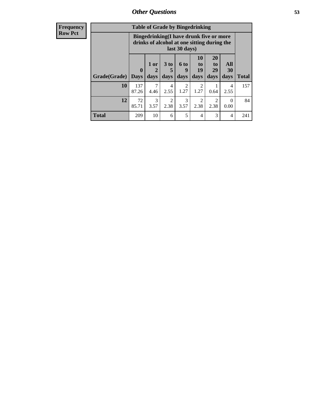| <b>Frequency</b><br><b>Row Pct</b> | <b>Table of Grade by Bingedrinking</b> |              |                                                                                                         |                              |                             |                                 |                        |                   |              |
|------------------------------------|----------------------------------------|--------------|---------------------------------------------------------------------------------------------------------|------------------------------|-----------------------------|---------------------------------|------------------------|-------------------|--------------|
|                                    |                                        |              | Bingedrinking(I have drunk five or more<br>drinks of alcohol at one sitting during the<br>last 30 days) |                              |                             |                                 |                        |                   |              |
|                                    | Grade(Grade)   Days                    | $\mathbf{0}$ | 1 or<br>$\overline{2}$<br>days                                                                          | 3 <sub>to</sub><br>5<br>days | $6 \text{ to}$<br>9<br>days | <b>10</b><br>to  <br>19<br>days | 20<br>to<br>29<br>days | All<br>30<br>days | <b>Total</b> |
|                                    | 10                                     | 137<br>87.26 | 7<br>4.46                                                                                               | 4<br>2.55                    | 2<br>1.27                   | $\mathfrak{D}$<br>1.27          | 0.64                   | 4<br>2.55         | 157          |
|                                    | 12                                     | 72<br>85.71  | 3<br>3.57                                                                                               | $\overline{2}$<br>2.38       | 3<br>3.57                   | $\mathfrak{D}$<br>2.38          | 2<br>2.38              | $\Omega$<br>0.00  | 84           |
|                                    | <b>Total</b>                           | 209          | 10                                                                                                      | 6                            | 5                           | 4                               | 3                      | $\overline{4}$    | 241          |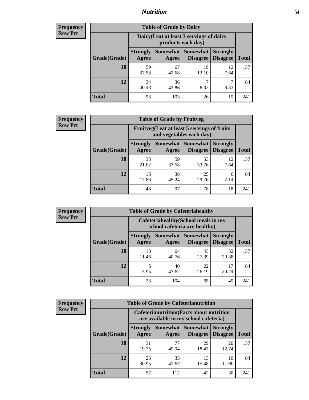## *Nutrition* **54**

| Frequency |
|-----------|
| Row Pct   |

| <b>Table of Grade by Dairy</b> |                          |                                                                 |                             |                                    |              |  |
|--------------------------------|--------------------------|-----------------------------------------------------------------|-----------------------------|------------------------------------|--------------|--|
|                                |                          | Dairy (I eat at least 3 servings of dairy<br>products each day) |                             |                                    |              |  |
| Grade(Grade)                   | <b>Strongly</b><br>Agree | <b>Somewhat</b><br>Agree                                        | <b>Somewhat</b><br>Disagree | <b>Strongly</b><br><b>Disagree</b> | <b>Total</b> |  |
| 10                             | 59<br>37.58              | 67<br>42.68                                                     | 19<br>12.10                 | 12<br>7.64                         | 157          |  |
| 12                             | 34<br>40.48              | 36<br>42.86                                                     | ℸ<br>8.33                   | 8.33                               | 84           |  |
| <b>Total</b>                   | 93                       | 103                                                             | 26                          | 19                                 | 241          |  |

| <b>Frequency</b> |  |
|------------------|--|
| <b>Row Pct</b>   |  |

| <b>Table of Grade by Fruitveg</b> |                          |                                                                          |                                 |                                    |              |  |
|-----------------------------------|--------------------------|--------------------------------------------------------------------------|---------------------------------|------------------------------------|--------------|--|
|                                   |                          | Fruitveg(I eat at least 5 servings of fruits<br>and vegetables each day) |                                 |                                    |              |  |
| Grade(Grade)                      | <b>Strongly</b><br>Agree | Agree                                                                    | Somewhat   Somewhat<br>Disagree | <b>Strongly</b><br><b>Disagree</b> | <b>Total</b> |  |
| 10                                | 33<br>21.02              | 59<br>37.58                                                              | 53<br>33.76                     | 12<br>7.64                         | 157          |  |
| 12                                | 15<br>17.86              | 38<br>45.24                                                              | 25<br>29.76                     | 6<br>7.14                          | 84           |  |
| <b>Total</b>                      | 48                       | 97                                                                       | 78                              | 18                                 | 241          |  |

| <b>Frequency</b><br>Row Pct |
|-----------------------------|

| <b>Table of Grade by Cafeteriahealthy</b> |                          |                                                                       |                             |                                    |              |  |  |
|-------------------------------------------|--------------------------|-----------------------------------------------------------------------|-----------------------------|------------------------------------|--------------|--|--|
|                                           |                          | Cafeteriahealthy (School meals in my<br>school cafeteria are healthy) |                             |                                    |              |  |  |
| Grade(Grade)                              | <b>Strongly</b><br>Agree | Somewhat<br>Agree                                                     | <b>Somewhat</b><br>Disagree | <b>Strongly</b><br><b>Disagree</b> | <b>Total</b> |  |  |
| 10                                        | 18<br>11.46              | 64<br>40.76                                                           | 43<br>27.39                 | 32<br>20.38                        | 157          |  |  |
| 12                                        | 5<br>5.95                | 40<br>47.62                                                           | 22<br>26.19                 | 17<br>20.24                        | 84           |  |  |
| <b>Total</b>                              | 23                       | 104                                                                   | 65                          | 49                                 | $24^{\circ}$ |  |  |

| <b>Frequency</b> |
|------------------|
| <b>Row Pct</b>   |

| <b>Table of Grade by Cafeterianutrition</b>                                               |                          |                   |                                    |                                    |              |  |
|-------------------------------------------------------------------------------------------|--------------------------|-------------------|------------------------------------|------------------------------------|--------------|--|
| <b>Cafeterianutrition</b> (Facts about nutrition<br>are available in my school cafeteria) |                          |                   |                                    |                                    |              |  |
| Grade(Grade)                                                                              | <b>Strongly</b><br>Agree | Somewhat<br>Agree | <b>Somewhat</b><br><b>Disagree</b> | <b>Strongly</b><br><b>Disagree</b> | <b>Total</b> |  |
| 10                                                                                        | 31<br>19.75              | 77<br>49.04       | 29<br>18.47                        | 20<br>12.74                        | 157          |  |
| 12                                                                                        | 26<br>30.95              | 35<br>41.67       | 13<br>15.48                        | 10<br>11.90                        | 84           |  |
| <b>Total</b>                                                                              | 57                       | 112               | 42                                 | 30                                 | 241          |  |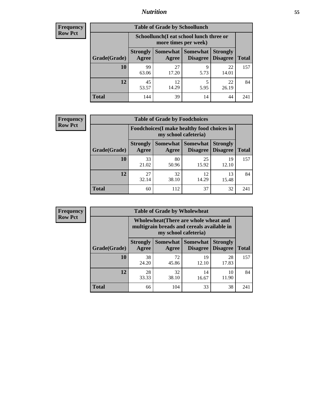## *Nutrition* **55**

| Frequency |
|-----------|
| Row Pct   |

| <b>Table of Grade by Schoollunch</b> |                          |                                                                 |                             |                                    |              |  |
|--------------------------------------|--------------------------|-----------------------------------------------------------------|-----------------------------|------------------------------------|--------------|--|
|                                      |                          | Schoollunch(I eat school lunch three or<br>more times per week) |                             |                                    |              |  |
| Grade(Grade)                         | <b>Strongly</b><br>Agree | Somewhat  <br>Agree                                             | <b>Somewhat</b><br>Disagree | <b>Strongly</b><br><b>Disagree</b> | <b>Total</b> |  |
| 10                                   | 99<br>63.06              | 27<br>17.20                                                     | 9<br>5.73                   | 22<br>14.01                        | 157          |  |
| 12                                   | 45<br>53.57              | 12<br>14.29                                                     | 5<br>5.95                   | 22<br>26.19                        | 84           |  |
| <b>Total</b>                         | 144                      | 39                                                              | 14                          | 44                                 | 241          |  |

| <b>Frequency</b> |  |
|------------------|--|
| <b>Row Pct</b>   |  |

| <b>Table of Grade by Foodchoices</b>                                |                          |             |                               |                                    |              |
|---------------------------------------------------------------------|--------------------------|-------------|-------------------------------|------------------------------------|--------------|
| Foodchoices (I make healthy food choices in<br>my school cafeteria) |                          |             |                               |                                    |              |
| Grade(Grade)                                                        | <b>Strongly</b><br>Agree | Agree       | Somewhat Somewhat<br>Disagree | <b>Strongly</b><br><b>Disagree</b> | <b>Total</b> |
| 10                                                                  | 33<br>21.02              | 80<br>50.96 | 25<br>15.92                   | 19<br>12.10                        | 157          |
| 12                                                                  | 27<br>32.14              | 32<br>38.10 | 12<br>14.29                   | 13<br>15.48                        | 84           |
| <b>Total</b>                                                        | 60                       | 112         | 37                            | 32                                 | 241          |

| Frequency      | <b>Table of Grade by Wholewheat</b> |                                                                                                             |             |                                          |                                    |              |  |
|----------------|-------------------------------------|-------------------------------------------------------------------------------------------------------------|-------------|------------------------------------------|------------------------------------|--------------|--|
| <b>Row Pct</b> |                                     | Wholewheat (There are whole wheat and<br>multigrain breads and cereals available in<br>my school cafeteria) |             |                                          |                                    |              |  |
|                | Grade(Grade)                        | <b>Strongly</b><br>Agree                                                                                    | Agree       | Somewhat   Somewhat  <br><b>Disagree</b> | <b>Strongly</b><br><b>Disagree</b> | <b>Total</b> |  |
|                | 10                                  | 38<br>24.20                                                                                                 | 72<br>45.86 | 19<br>12.10                              | 28<br>17.83                        | 157          |  |
|                | 12                                  | 28<br>33.33                                                                                                 | 32<br>38.10 | 14<br>16.67                              | 10<br>11.90                        | 84           |  |
|                | <b>Total</b>                        | 66                                                                                                          | 104         | 33                                       | 38                                 | 241          |  |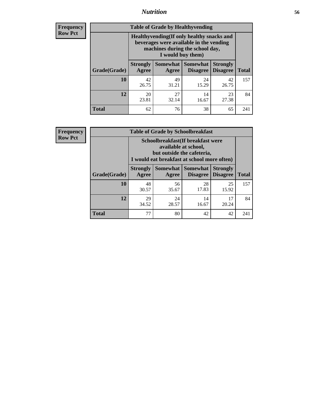## *Nutrition* **56**

**Frequency Row Pct**

| <b>Table of Grade by Healthyvending</b> |                                                                                                                                               |                          |                                    |                                    |              |  |
|-----------------------------------------|-----------------------------------------------------------------------------------------------------------------------------------------------|--------------------------|------------------------------------|------------------------------------|--------------|--|
|                                         | Healthyvending (If only healthy snacks and<br>beverages were available in the vending<br>machines during the school day,<br>I would buy them) |                          |                                    |                                    |              |  |
| Grade(Grade)                            | <b>Strongly</b><br>Agree                                                                                                                      | <b>Somewhat</b><br>Agree | <b>Somewhat</b><br><b>Disagree</b> | <b>Strongly</b><br><b>Disagree</b> | <b>Total</b> |  |
| 10                                      | 42<br>26.75                                                                                                                                   | 49<br>31.21              | 24<br>15.29                        | 42<br>26.75                        | 157          |  |
| 12                                      | 20<br>23.81                                                                                                                                   | 27<br>32.14              | 14<br>16.67                        | 23<br>27.38                        | 84           |  |
| Total                                   | 62                                                                                                                                            | 76                       | 38                                 | 65                                 | 241          |  |

**Frequency Row Pct**

| <b>Table of Grade by Schoolbreakfast</b> |                                                                                                                                         |             |                                        |                                    |              |  |
|------------------------------------------|-----------------------------------------------------------------------------------------------------------------------------------------|-------------|----------------------------------------|------------------------------------|--------------|--|
|                                          | Schoolbreakfast (If breakfast were<br>available at school,<br>but outside the cafeteria,<br>I would eat breakfast at school more often) |             |                                        |                                    |              |  |
| Grade(Grade)                             | <b>Strongly</b><br>Agree                                                                                                                | Agree       | Somewhat   Somewhat<br><b>Disagree</b> | <b>Strongly</b><br><b>Disagree</b> | <b>Total</b> |  |
| 10                                       | 48<br>30.57                                                                                                                             | 56<br>35.67 | 28<br>17.83                            | 25<br>15.92                        | 157          |  |
| 12                                       | 29<br>34.52                                                                                                                             | 24<br>28.57 | 14<br>16.67                            | 17<br>20.24                        | 84           |  |
| <b>Total</b>                             | 77                                                                                                                                      | 80          | 42                                     | 42                                 | 241          |  |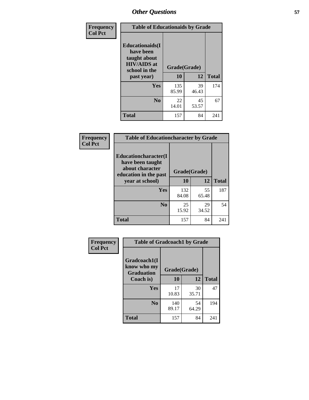| Frequency<br><b>Col Pct</b> | <b>Table of Educationaids by Grade</b>                                                                    |                    |             |              |
|-----------------------------|-----------------------------------------------------------------------------------------------------------|--------------------|-------------|--------------|
|                             | <b>Educationaids</b> (I<br>have been<br>taught about<br><b>HIV/AIDS</b> at<br>school in the<br>past year) | Grade(Grade)<br>10 | 12          | <b>Total</b> |
|                             | <b>Yes</b>                                                                                                | 135<br>85.99       | 39<br>46.43 | 174          |
|                             | N <sub>0</sub>                                                                                            | 22<br>14.01        | 45<br>53.57 | 67           |
|                             | <b>Total</b>                                                                                              | 157                | 84          | 241          |

| <b>Frequency</b> | <b>Table of Educationcharacter by Grade</b>                                                             |              |             |              |
|------------------|---------------------------------------------------------------------------------------------------------|--------------|-------------|--------------|
| <b>Col Pct</b>   | Educationcharacter(I<br>have been taught<br>about character<br>education in the past<br>year at school) | Grade(Grade) |             |              |
|                  |                                                                                                         | 10           | 12          | <b>Total</b> |
|                  | Yes                                                                                                     | 132<br>84.08 | 55<br>65.48 | 187          |
|                  | N <sub>0</sub>                                                                                          | 25<br>15.92  | 29<br>34.52 | 54           |
|                  | <b>Total</b>                                                                                            | 157          | 84          | 241          |

| <b>Frequency</b> |                                                  | <b>Table of Gradcoach1 by Grade</b> |             |              |  |
|------------------|--------------------------------------------------|-------------------------------------|-------------|--------------|--|
| <b>Col Pct</b>   | Gradcoach1(I<br>know who my<br><b>Graduation</b> | Grade(Grade)                        |             |              |  |
|                  | Coach is)                                        | 10                                  | 12          | <b>Total</b> |  |
|                  | Yes                                              | 17<br>10.83                         | 30<br>35.71 | 47           |  |
|                  | N <sub>0</sub>                                   | 140<br>89.17                        | 54<br>64.29 | 194          |  |
|                  | <b>Total</b>                                     | 157                                 | 84          | 241          |  |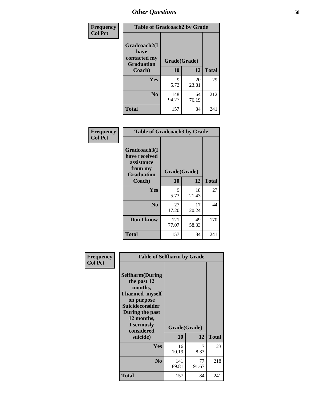| Frequency      | <b>Table of Gradcoach2 by Grade</b> |              |             |              |
|----------------|-------------------------------------|--------------|-------------|--------------|
| <b>Col Pct</b> | Gradcoach2(I<br>have                |              |             |              |
|                | contacted my<br><b>Graduation</b>   | Grade(Grade) |             |              |
|                | Coach)                              | 10           | 12          | <b>Total</b> |
|                | Yes                                 | 9<br>5.73    | 20<br>23.81 | 29           |
|                | N <sub>0</sub>                      | 148<br>94.27 | 64<br>76.19 | 212          |
|                | <b>Total</b>                        | 157          | 84          | 241          |

| <b>Frequency</b><br><b>Col Pct</b> | <b>Table of Gradcoach3 by Grade</b>                                         |              |             |              |
|------------------------------------|-----------------------------------------------------------------------------|--------------|-------------|--------------|
|                                    | Gradcoach3(I<br>have received<br>assistance<br>from my<br><b>Graduation</b> | Grade(Grade) |             |              |
|                                    | Coach)                                                                      | 10           | 12          | <b>Total</b> |
|                                    | Yes                                                                         | 9<br>5.73    | 18<br>21.43 | 27           |
|                                    | N <sub>0</sub>                                                              | 27<br>17.20  | 17<br>20.24 | 44           |
|                                    | Don't know                                                                  | 121<br>77.07 | 49<br>58.33 | 170          |
|                                    | <b>Total</b>                                                                | 157          | 84          | 241          |

| Frequency      | <b>Table of Selfharm by Grade</b>                                                                                                                                                      |                    |             |              |
|----------------|----------------------------------------------------------------------------------------------------------------------------------------------------------------------------------------|--------------------|-------------|--------------|
| <b>Col Pct</b> | <b>Selfharm</b> (During<br>the past 12<br>months,<br>I harmed myself<br>on purpose<br><b>Suicideconsider</b><br>During the past<br>12 months,<br>I seriously<br>considered<br>suicide) | Grade(Grade)<br>10 | 12          | <b>Total</b> |
|                | <b>Yes</b>                                                                                                                                                                             | 16<br>10.19        | 7<br>8.33   | 23           |
|                | N <sub>0</sub>                                                                                                                                                                         | 141<br>89.81       | 77<br>91.67 | 218          |
|                | <b>Total</b>                                                                                                                                                                           | 157                | 84          | 241          |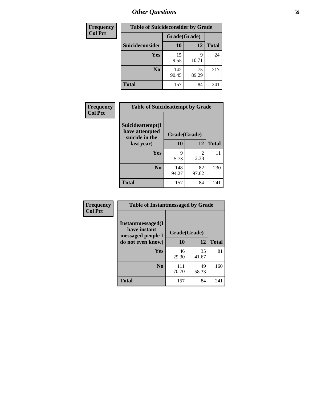| <b>Frequency</b> | <b>Table of Suicideconsider by Grade</b> |              |             |              |  |
|------------------|------------------------------------------|--------------|-------------|--------------|--|
| <b>Col Pct</b>   |                                          | Grade(Grade) |             |              |  |
|                  | <b>Suicideconsider</b>                   | <b>10</b>    | 12          | <b>Total</b> |  |
|                  | <b>Yes</b>                               | 15<br>9.55   | 9<br>10.71  | 24           |  |
|                  | N <sub>0</sub>                           | 142<br>90.45 | 75<br>89.29 | 217          |  |
|                  | <b>Total</b>                             | 157          | 84          | 241          |  |

| Frequency      | <b>Table of Suicideattempt by Grade</b>              |              |                        |              |
|----------------|------------------------------------------------------|--------------|------------------------|--------------|
| <b>Col Pct</b> | Suicideattempt(I<br>have attempted<br>suicide in the | Grade(Grade) |                        |              |
|                | last year)                                           | 10           | 12                     | <b>Total</b> |
|                | Yes                                                  | 9<br>5.73    | $\mathfrak{D}$<br>2.38 | 11           |
|                | N <sub>0</sub>                                       | 148<br>94.27 | 82<br>97.62            | 230          |
|                | <b>Total</b>                                         | 157          | 84                     | 241          |

| Frequency      | <b>Table of Instantmessaged by Grade</b>               |              |             |              |
|----------------|--------------------------------------------------------|--------------|-------------|--------------|
| <b>Col Pct</b> | Instantmessaged(I<br>have instant<br>messaged people I | Grade(Grade) |             |              |
|                | do not even know)                                      | 10           | 12          | <b>Total</b> |
|                | Yes                                                    | 46<br>29.30  | 35<br>41.67 | 81           |
|                | N <sub>0</sub>                                         | 111<br>70.70 | 49<br>58.33 | 160          |
|                | <b>Total</b>                                           | 157          | 84          | 241          |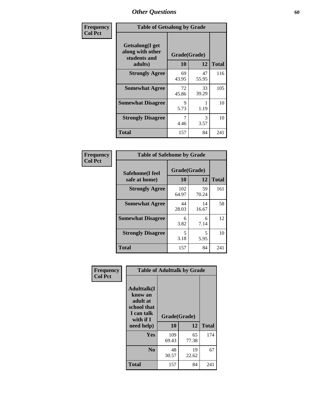| Frequency      | <b>Table of Getsalong by Grade</b>                                     |                    |             |              |  |  |  |
|----------------|------------------------------------------------------------------------|--------------------|-------------|--------------|--|--|--|
| <b>Col Pct</b> | <b>Getsalong</b> (I get<br>along with other<br>students and<br>adults) | Grade(Grade)<br>10 | 12          | <b>Total</b> |  |  |  |
|                | <b>Strongly Agree</b>                                                  | 69                 | 47          | 116          |  |  |  |
|                |                                                                        | 43.95              | 55.95       |              |  |  |  |
|                | <b>Somewhat Agree</b>                                                  | 72<br>45.86        | 33<br>39.29 | 105          |  |  |  |
|                | <b>Somewhat Disagree</b>                                               | 9<br>5.73          | 1.19        | 10           |  |  |  |
|                | <b>Strongly Disagree</b>                                               | 7<br>4.46          | 3<br>3.57   | 10           |  |  |  |
|                | <b>Total</b>                                                           | 157                | 84          | 241          |  |  |  |

| Frequency      | <b>Table of Safehome by Grade</b> |                    |             |              |  |  |  |
|----------------|-----------------------------------|--------------------|-------------|--------------|--|--|--|
| <b>Col Pct</b> | Safehome(I feel<br>safe at home)  | Grade(Grade)<br>10 | 12          | <b>Total</b> |  |  |  |
|                | <b>Strongly Agree</b>             | 102<br>64.97       | 59<br>70.24 | 161          |  |  |  |
|                | <b>Somewhat Agree</b>             | 44<br>28.03        | 14<br>16.67 | 58           |  |  |  |
|                | <b>Somewhat Disagree</b>          | 6<br>3.82          | 6<br>7.14   | 12           |  |  |  |
|                | <b>Strongly Disagree</b>          | 5<br>3.18          | 5<br>5.95   | 10           |  |  |  |
|                | <b>Total</b>                      | 157                | 84          | 241          |  |  |  |

| Frequency      | <b>Table of Adulttalk by Grade</b>                                                                 |                    |             |              |  |  |  |  |
|----------------|----------------------------------------------------------------------------------------------------|--------------------|-------------|--------------|--|--|--|--|
| <b>Col Pct</b> | <b>Adulttalk</b> (I<br>know an<br>adult at<br>school that<br>I can talk<br>with if I<br>need help) | Grade(Grade)<br>10 | 12          | <b>Total</b> |  |  |  |  |
|                |                                                                                                    |                    |             |              |  |  |  |  |
|                | <b>Yes</b>                                                                                         | 109<br>69.43       | 65<br>77.38 | 174          |  |  |  |  |
|                | N <sub>0</sub>                                                                                     | 48<br>30.57        | 19<br>22.62 | 67           |  |  |  |  |
|                | <b>Total</b>                                                                                       | 157                | 84          | 241          |  |  |  |  |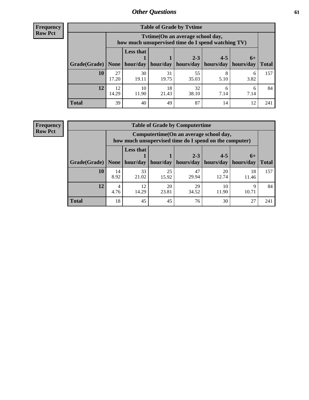**Frequency Row Pct**

| <b>Table of Grade by Tvtime</b> |             |                                                                                         |             |                       |           |           |              |  |  |  |
|---------------------------------|-------------|-----------------------------------------------------------------------------------------|-------------|-----------------------|-----------|-----------|--------------|--|--|--|
|                                 |             | Tytime (On an average school day,<br>how much unsupervised time do I spend watching TV) |             |                       |           |           |              |  |  |  |
|                                 |             | <b>Less that</b>                                                                        |             | $2 - 3$               | $4 - 5$   | $6+$      |              |  |  |  |
| Grade(Grade)   None             |             | hour/day                                                                                | hour/day    | hours/day   hours/day |           | hours/day | <b>Total</b> |  |  |  |
| 10                              | 27<br>17.20 | 30<br>19.11                                                                             | 31<br>19.75 | 55<br>35.03           | 8<br>5.10 | 6<br>3.82 | 157          |  |  |  |
| 12                              | 12<br>14.29 | 10<br>11.90                                                                             | 18<br>21.43 | 32<br>38.10           | 6<br>7.14 | h<br>7.14 | 84           |  |  |  |
| <b>Total</b>                    | 39          | 40                                                                                      | 49          | 87                    | 14        | 12        | 241          |  |  |  |

**Frequency Row Pct**

| <b>Table of Grade by Computertime</b> |            |                                                                                                  |             |                      |                      |                   |              |  |  |  |
|---------------------------------------|------------|--------------------------------------------------------------------------------------------------|-------------|----------------------|----------------------|-------------------|--------------|--|--|--|
|                                       |            | Computertime(On an average school day,<br>how much unsupervised time do I spend on the computer) |             |                      |                      |                   |              |  |  |  |
| Grade(Grade)                          | None       | <b>Less that</b><br>hour/day                                                                     | hour/day    | $2 - 3$<br>hours/day | $4 - 5$<br>hours/day | $6+$<br>hours/day | <b>Total</b> |  |  |  |
| 10                                    | 14<br>8.92 | 33<br>21.02                                                                                      | 25<br>15.92 | 47<br>29.94          | 20<br>12.74          | 18<br>11.46       | 157          |  |  |  |
| 12                                    | 4<br>4.76  | 12<br>20<br>29<br>10<br>Q<br>14.29<br>23.81<br>11.90<br>10.71<br>34.52                           |             |                      |                      |                   |              |  |  |  |
| <b>Total</b>                          | 18         | 45                                                                                               | 45          | 76                   | 30                   | 27                | 241          |  |  |  |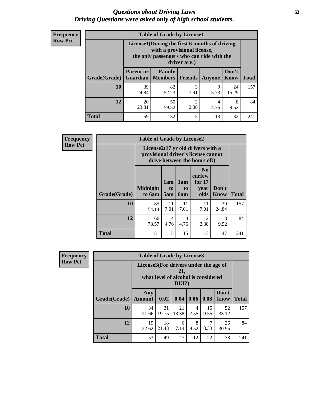#### *Questions about Driving Laws* **62** *Driving Questions were asked only of high school students.*

| <b>Frequency</b> |
|------------------|
| <b>Row Pct</b>   |

| <b>Table of Grade by License1</b> |                  |                                                                                                                                           |           |               |               |              |  |  |  |  |
|-----------------------------------|------------------|-------------------------------------------------------------------------------------------------------------------------------------------|-----------|---------------|---------------|--------------|--|--|--|--|
|                                   |                  | License1(During the first 6 months of driving<br>with a provisional license,<br>the only passengers who can ride with the<br>driver are:) |           |               |               |              |  |  |  |  |
| Grade(Grade)                      | <b>Parent or</b> | Family<br><b>Guardian</b>   Members                                                                                                       | Friends   | <b>Anyone</b> | Don't<br>Know | <b>Total</b> |  |  |  |  |
| 10                                | 39<br>24.84      | 82<br>52.23                                                                                                                               | 3<br>1.91 | 9<br>5.73     | 24<br>15.29   | 157          |  |  |  |  |
| 12                                | 20<br>23.81      | 50<br>$\overline{2}$<br>8<br>4<br>2.38<br>9.52<br>59.52<br>4.76                                                                           |           |               |               |              |  |  |  |  |
| Total                             | 59               | 132                                                                                                                                       | 5         | 13            | 32            | 241          |  |  |  |  |

| <b>Frequency</b> |                     | <b>Table of Grade by License2</b> |                                                                                                          |                              |                                                      |               |              |  |  |
|------------------|---------------------|-----------------------------------|----------------------------------------------------------------------------------------------------------|------------------------------|------------------------------------------------------|---------------|--------------|--|--|
| <b>Row Pct</b>   |                     |                                   | License2(17 yr old drivers with a<br>provisional driver's license cannot<br>drive between the hours of:) |                              |                                                      |               |              |  |  |
|                  | <b>Grade(Grade)</b> | <b>Midnight</b><br>to 6am         | 1am<br>to<br>5am                                                                                         | 1am<br>t <sub>0</sub><br>6am | N <sub>0</sub><br>curfew<br>for $17$<br>vear<br>olds | Don't<br>Know | <b>Total</b> |  |  |
|                  | 10                  | 85<br>54.14                       | 11<br>7.01                                                                                               | 11<br>7.01                   | 11<br>7.01                                           | 39<br>24.84   | 157          |  |  |
|                  | 12                  | 66<br>78.57                       | 4<br>4.76                                                                                                | 4<br>4.76                    | $\mathfrak{D}$<br>2.38                               | 8<br>9.52     | 84           |  |  |
|                  | <b>Total</b>        | 151                               | 15                                                                                                       | 15                           | 13                                                   | 47            | 241          |  |  |

| Frequency      | <b>Table of Grade by License3</b><br>License3(For drivers under the age of<br>21,<br>what level of alcohol is considered<br>$DUI$ ?) |                      |             |             |           |            |               |              |
|----------------|--------------------------------------------------------------------------------------------------------------------------------------|----------------------|-------------|-------------|-----------|------------|---------------|--------------|
| <b>Row Pct</b> |                                                                                                                                      |                      |             |             |           |            |               |              |
|                | Grade(Grade)                                                                                                                         | Any<br><b>Amount</b> | 0.02        | 0.04        | 0.06      | 0.08       | Don't<br>know | <b>Total</b> |
|                | <b>10</b>                                                                                                                            | 34<br>21.66          | 31<br>19.75 | 21<br>13.38 | 4<br>2.55 | 15<br>9.55 | 52<br>33.12   | 157          |
|                | 12                                                                                                                                   | 19<br>22.62          | 18<br>21.43 | 6<br>7.14   | 8<br>9.52 | 8.33       | 26<br>30.95   | 84           |
|                | <b>Total</b>                                                                                                                         | 53                   | 49          | 27          | 12        | 22         | 78            | 241          |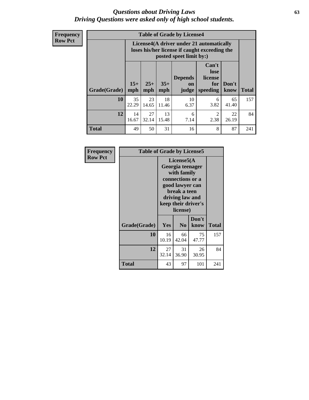#### *Questions about Driving Laws* **63** *Driving Questions were asked only of high school students.*

**Frequency Row Pct**

| <b>Table of Grade by License4</b> |             |                                                                                                                                                                                                                                                                                       |             |            |           |             |     |  |  |
|-----------------------------------|-------------|---------------------------------------------------------------------------------------------------------------------------------------------------------------------------------------------------------------------------------------------------------------------------------------|-------------|------------|-----------|-------------|-----|--|--|
|                                   |             | License4(A driver under 21 automatically<br>loses his/her license if caught exceeding the<br>posted speet limit by:)<br>Can't<br>lose<br><b>Depends</b><br>license<br>$15+$<br>$25+$<br>$35+$<br>Don't<br>for<br><b>on</b><br>speeding<br><b>Total</b><br>mph<br>know<br>mph<br>judge |             |            |           |             |     |  |  |
| Grade(Grade)                      | mph         |                                                                                                                                                                                                                                                                                       |             |            |           |             |     |  |  |
| 10                                | 35<br>22.29 | 23<br>14.65                                                                                                                                                                                                                                                                           | 18<br>11.46 | 10<br>6.37 | 6<br>3.82 | 65<br>41.40 | 157 |  |  |
| 12                                | 14<br>16.67 | 27<br>13<br>$\mathfrak{D}$<br>22<br>6<br>32.14<br>2.38<br>15.48<br>7.14<br>26.19                                                                                                                                                                                                      |             |            |           |             |     |  |  |
| <b>Total</b>                      | 49          | 50                                                                                                                                                                                                                                                                                    | 31          | 16         | 8         | 87          | 241 |  |  |

| Frequency      | <b>Table of Grade by License5</b> |             |                                                                                                                                      |                     |              |
|----------------|-----------------------------------|-------------|--------------------------------------------------------------------------------------------------------------------------------------|---------------------|--------------|
| <b>Row Pct</b> |                                   |             | License5(A)<br>Georgia teenager<br>with family<br>connections or a<br>good lawyer can<br>break a teen<br>driving law and<br>license) | keep their driver's |              |
|                | Grade(Grade)                      | Yes         | N <sub>0</sub>                                                                                                                       | Don't<br>know       | <b>Total</b> |
|                | 10                                | 16<br>10.19 | 66<br>42.04                                                                                                                          | 75<br>47.77         | 157          |
|                | 12                                | 27<br>32.14 | 31<br>36.90                                                                                                                          | 26<br>30.95         | 84           |
|                | Total                             | 43          | 97                                                                                                                                   | 101                 | 241          |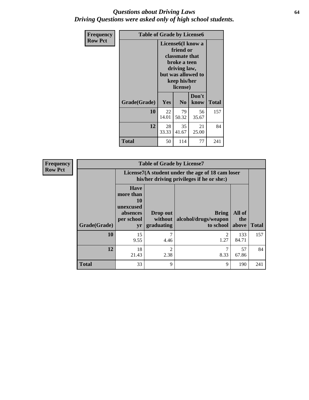### *Questions about Driving Laws* **64** *Driving Questions were asked only of high school students.*

| <b>Frequency</b> | <b>Table of Grade by License6</b> |             |                                                                                                                                                 |               |              |  |
|------------------|-----------------------------------|-------------|-------------------------------------------------------------------------------------------------------------------------------------------------|---------------|--------------|--|
| <b>Row Pct</b>   |                                   |             | License <sub>6</sub> (I know a<br>friend or<br>classmate that<br>broke a teen<br>driving law,<br>but was allowed to<br>keep his/her<br>license) |               |              |  |
|                  | Grade(Grade)                      | Yes         | N <sub>0</sub>                                                                                                                                  | Don't<br>know | <b>Total</b> |  |
|                  | 10                                | 22<br>14.01 | 79<br>50.32                                                                                                                                     | 56<br>35.67   | 157          |  |
|                  | 12                                | 28<br>33.33 | 84                                                                                                                                              |               |              |  |
|                  | <b>Total</b>                      | 50          | 114                                                                                                                                             | 77            | 241          |  |

| <b>Frequency</b> |              |                                                                             | <b>Table of Grade by License7</b>                                                             |                                                   |                        |              |  |
|------------------|--------------|-----------------------------------------------------------------------------|-----------------------------------------------------------------------------------------------|---------------------------------------------------|------------------------|--------------|--|
| <b>Row Pct</b>   |              |                                                                             | License7(A student under the age of 18 cam loser<br>his/her driving privileges if he or she:) |                                                   |                        |              |  |
|                  | Grade(Grade) | <b>Have</b><br>more than<br>10<br>unexcused<br>absences<br>per school<br>yr | Drop out<br>without  <br>graduating                                                           | <b>Bring</b><br>alcohol/drugs/weapon<br>to school | All of<br>the<br>above | <b>Total</b> |  |
|                  | 10           | 15<br>9.55                                                                  | 7<br>4.46                                                                                     | $\overline{c}$<br>1.27                            | 133<br>84.71           | 157          |  |
|                  | 12           | 18<br>21.43                                                                 | 2<br>2.38                                                                                     | 8.33                                              | 57<br>67.86            | 84           |  |
|                  | <b>Total</b> | 33                                                                          | 9                                                                                             | 9                                                 | 190                    | 241          |  |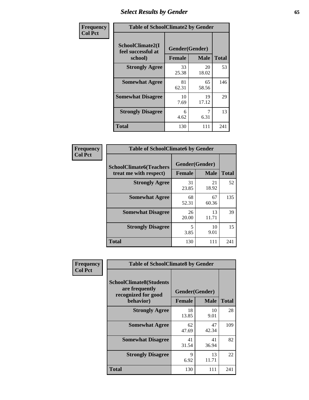# *Select Results by Gender* **65**

| Frequency      | <b>Table of SchoolClimate2 by Gender</b>          |                                 |             |              |
|----------------|---------------------------------------------------|---------------------------------|-------------|--------------|
| <b>Col Pct</b> | SchoolClimate2(I<br>feel successful at<br>school) | Gender(Gender)<br><b>Female</b> | <b>Male</b> | <b>Total</b> |
|                | <b>Strongly Agree</b>                             | 33<br>25.38                     | 20<br>18.02 | 53           |
|                | <b>Somewhat Agree</b>                             | 81<br>62.31                     | 65<br>58.56 | 146          |
|                | <b>Somewhat Disagree</b>                          | 10<br>7.69                      | 19<br>17.12 | 29           |
|                | <b>Strongly Disagree</b>                          | 6<br>4.62                       | 7<br>6.31   | 13           |
|                | <b>Total</b>                                      | 130                             | 111         | 241          |

| <b>Frequency</b> | <b>Table of SchoolClimate6 by Gender</b>                 |                                 |                   |     |  |
|------------------|----------------------------------------------------------|---------------------------------|-------------------|-----|--|
| <b>Col Pct</b>   | <b>SchoolClimate6(Teachers</b><br>treat me with respect) | Gender(Gender)<br><b>Female</b> | <b>Total</b>      |     |  |
|                  |                                                          | 31                              | <b>Male</b><br>21 |     |  |
|                  | <b>Strongly Agree</b>                                    | 23.85                           | 18.92             | 52  |  |
|                  | <b>Somewhat Agree</b>                                    | 68<br>52.31                     | 67<br>60.36       | 135 |  |
|                  | <b>Somewhat Disagree</b>                                 | 26<br>20.00                     | 13<br>11.71       | 39  |  |
|                  | <b>Strongly Disagree</b>                                 | 5<br>3.85                       | 10<br>9.01        | 15  |  |
|                  | <b>Total</b>                                             | 130                             | 111               | 241 |  |

| <b>Frequency</b> | <b>Table of SchoolClimate8 by Gender</b>                                             |                                 |              |     |
|------------------|--------------------------------------------------------------------------------------|---------------------------------|--------------|-----|
| <b>Col Pct</b>   | <b>SchoolClimate8(Students</b><br>are frequently<br>recognized for good<br>behavior) | Gender(Gender)<br><b>Female</b> | <b>Total</b> |     |
|                  |                                                                                      |                                 | <b>Male</b>  |     |
|                  | <b>Strongly Agree</b>                                                                | 18<br>13.85                     | 10<br>9.01   | 28  |
|                  | <b>Somewhat Agree</b>                                                                | 62<br>47.69                     | 47<br>42.34  | 109 |
|                  | <b>Somewhat Disagree</b>                                                             | 41<br>31.54                     | 41<br>36.94  | 82  |
|                  | <b>Strongly Disagree</b>                                                             | 9<br>6.92                       | 13<br>11.71  | 22  |
|                  | Total                                                                                | 130                             | 111          | 241 |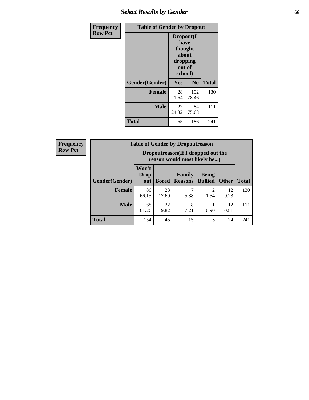# *Select Results by Gender* **66**

| Frequency      | <b>Table of Gender by Dropout</b> |                                                                        |                |              |
|----------------|-----------------------------------|------------------------------------------------------------------------|----------------|--------------|
| <b>Row Pct</b> |                                   | Dropout(I<br>have<br>thought<br>about<br>dropping<br>out of<br>school) |                |              |
|                | Gender(Gender)                    | Yes                                                                    | N <sub>0</sub> | <b>Total</b> |
|                | <b>Female</b>                     | 28<br>21.54                                                            | 102<br>78.46   | 130          |
|                | <b>Male</b>                       | 27<br>24.32                                                            | 84<br>75.68    | 111          |
|                | <b>Total</b>                      | 55                                                                     | 186            | 241          |

| <b>Frequency</b> | <b>Table of Gender by Dropoutreason</b> |                                                                    |              |                          |                                     |              |              |
|------------------|-----------------------------------------|--------------------------------------------------------------------|--------------|--------------------------|-------------------------------------|--------------|--------------|
| <b>Row Pct</b>   |                                         | Dropoutreason(If I dropped out the<br>reason would most likely be) |              |                          |                                     |              |              |
|                  | Gender(Gender)                          | Won't<br>Drop<br>out                                               | <b>Bored</b> | Family<br><b>Reasons</b> | <b>Being</b><br><b>Bullied</b>      | <b>Other</b> | <b>Total</b> |
|                  | <b>Female</b>                           | 86<br>66.15                                                        | 23<br>17.69  | 5.38                     | $\mathcal{D}_{\mathcal{L}}$<br>1.54 | 12<br>9.23   | 130          |
|                  | <b>Male</b>                             | 68<br>61.26                                                        | 22<br>19.82  | 8<br>7.21                | 0.90                                | 12<br>10.81  | 111          |
|                  | Total                                   | 154                                                                | 45           | 15                       | 3                                   | 24           | 241          |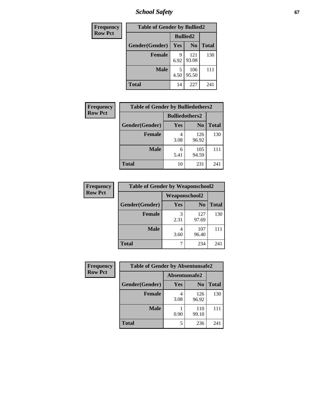*School Safety* **67**

| Frequency      | <b>Table of Gender by Bullied2</b> |                 |                |              |
|----------------|------------------------------------|-----------------|----------------|--------------|
| <b>Row Pct</b> |                                    | <b>Bullied2</b> |                |              |
|                | Gender(Gender)                     | Yes             | N <sub>0</sub> | <b>Total</b> |
|                | <b>Female</b>                      | 9<br>6.92       | 121<br>93.08   | 130          |
|                | <b>Male</b>                        | 5<br>4.50       | 106<br>95.50   | 111          |
|                | <b>Total</b>                       | 14              | 227            | 241          |

| Frequency      | <b>Table of Gender by Bulliedothers2</b> |                       |                |              |
|----------------|------------------------------------------|-----------------------|----------------|--------------|
| <b>Row Pct</b> |                                          | <b>Bulliedothers2</b> |                |              |
|                | Gender(Gender)                           | Yes                   | N <sub>0</sub> | <b>Total</b> |
|                | <b>Female</b>                            | 4<br>3.08             | 126<br>96.92   | 130          |
|                | <b>Male</b>                              | 6<br>5.41             | 105<br>94.59   |              |
|                | <b>Total</b>                             | 10                    | 231            | 241          |

| Frequency      | <b>Table of Gender by Weaponschool2</b> |               |                |              |
|----------------|-----------------------------------------|---------------|----------------|--------------|
| <b>Row Pct</b> |                                         | Weaponschool2 |                |              |
|                | Gender(Gender)                          | Yes           | N <sub>0</sub> | <b>Total</b> |
|                | <b>Female</b>                           | 3<br>2.31     | 127<br>97.69   | 130          |
|                | <b>Male</b>                             | 3.60          | 107<br>96.40   |              |
|                | <b>Total</b>                            |               | 234            | 241          |

| Frequency      | <b>Table of Gender by Absentunsafe2</b> |               |                |              |
|----------------|-----------------------------------------|---------------|----------------|--------------|
| <b>Row Pct</b> |                                         | Absentunsafe2 |                |              |
|                | Gender(Gender)                          | Yes           | N <sub>0</sub> | <b>Total</b> |
|                | <b>Female</b>                           | 4<br>3.08     | 126<br>96.92   | 130          |
|                | <b>Male</b>                             | 0.90          | 110<br>99.10   | 111          |
|                | <b>Total</b>                            | 5             | 236            | 241          |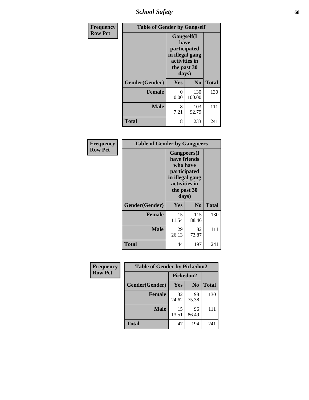*School Safety* **68**

| Frequency      | <b>Table of Gender by Gangself</b> |                                                                                                        |                |              |
|----------------|------------------------------------|--------------------------------------------------------------------------------------------------------|----------------|--------------|
| <b>Row Pct</b> |                                    | <b>Gangself</b> (I<br>have<br>participated<br>in illegal gang<br>activities in<br>the past 30<br>days) |                |              |
|                | Gender(Gender)                     | Yes                                                                                                    | N <sub>0</sub> | <b>Total</b> |
|                | <b>Female</b>                      | 0<br>0.00                                                                                              | 130<br>100.00  | 130          |
|                | <b>Male</b>                        | 8<br>7.21                                                                                              | 103<br>92.79   | 111          |
|                | <b>Total</b>                       | 8                                                                                                      | 233            | 241          |

| Frequency      | <b>Table of Gender by Gangpeers</b> |                                                                                                                             |                |              |
|----------------|-------------------------------------|-----------------------------------------------------------------------------------------------------------------------------|----------------|--------------|
| <b>Row Pct</b> |                                     | <b>Gangpeers</b> (I<br>have friends<br>who have<br>participated<br>in illegal gang<br>activities in<br>the past 30<br>days) |                |              |
|                | Gender(Gender)                      | <b>Yes</b>                                                                                                                  | N <sub>0</sub> | <b>Total</b> |
|                | <b>Female</b>                       | 15<br>11.54                                                                                                                 | 115<br>88.46   | 130          |
|                | <b>Male</b>                         | 29<br>26.13                                                                                                                 | 82<br>73.87    | 111          |
|                | Total                               | 44                                                                                                                          | 197            | 241          |

| Frequency      | <b>Table of Gender by Pickedon2</b> |             |                |              |
|----------------|-------------------------------------|-------------|----------------|--------------|
| <b>Row Pct</b> |                                     | Pickedon2   |                |              |
|                | Gender(Gender)                      | <b>Yes</b>  | N <sub>0</sub> | <b>Total</b> |
|                | <b>Female</b>                       | 32<br>24.62 | 98<br>75.38    | 130          |
|                | <b>Male</b>                         | 15<br>13.51 | 96<br>86.49    | 111          |
|                | <b>Total</b>                        | 47          | 194            | 241          |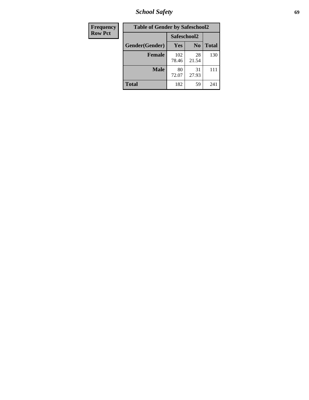*School Safety* **69**

| Frequency      | <b>Table of Gender by Safeschool2</b> |              |                |              |
|----------------|---------------------------------------|--------------|----------------|--------------|
| <b>Row Pct</b> |                                       | Safeschool2  |                |              |
|                | Gender(Gender)                        | Yes          | N <sub>0</sub> | <b>Total</b> |
|                | <b>Female</b>                         | 102<br>78.46 | 28<br>21.54    | 130          |
|                | Male                                  | 80<br>72.07  | 31<br>27.93    | 111          |
|                | <b>Total</b>                          | 182          | 59             | 241          |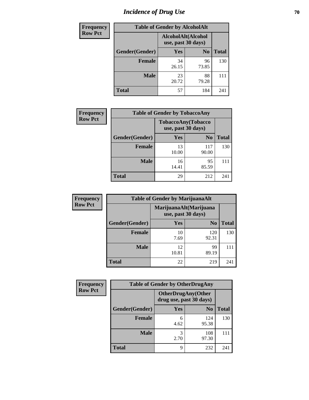# *Incidence of Drug Use* **70**

| <b>Frequency</b> | <b>Table of Gender by AlcoholAlt</b> |                                          |                |              |
|------------------|--------------------------------------|------------------------------------------|----------------|--------------|
| <b>Row Pct</b>   |                                      | AlcoholAlt(Alcohol<br>use, past 30 days) |                |              |
|                  | Gender(Gender)                       | Yes                                      | N <sub>0</sub> | <b>Total</b> |
|                  | <b>Female</b>                        | 34<br>26.15                              | 96<br>73.85    | 130          |
|                  | <b>Male</b>                          | 23<br>20.72                              | 88<br>79.28    | 111          |
|                  | <b>Total</b>                         | 57                                       | 184            | 241          |

| <b>Frequency</b> | <b>Table of Gender by TobaccoAny</b> |             |                                          |              |
|------------------|--------------------------------------|-------------|------------------------------------------|--------------|
| <b>Row Pct</b>   |                                      |             | TobaccoAny(Tobacco<br>use, past 30 days) |              |
|                  | Gender(Gender)                       | <b>Yes</b>  | N <sub>0</sub>                           | <b>Total</b> |
|                  | <b>Female</b>                        | 13<br>10.00 | 117<br>90.00                             | 130          |
|                  | <b>Male</b>                          | 16<br>14.41 | 95<br>85.59                              |              |
|                  | <b>Total</b>                         | 29          | 212                                      | 241          |

| <b>Frequency</b> | <b>Table of Gender by MarijuanaAlt</b> |             |                                              |              |
|------------------|----------------------------------------|-------------|----------------------------------------------|--------------|
| <b>Row Pct</b>   |                                        |             | MarijuanaAlt(Marijuana<br>use, past 30 days) |              |
|                  | Gender(Gender)                         | <b>Yes</b>  | N <sub>0</sub>                               | <b>Total</b> |
|                  | <b>Female</b>                          | 10<br>7.69  | 120<br>92.31                                 | 130          |
|                  | <b>Male</b>                            | 12<br>10.81 | 99<br>89.19                                  | 111          |
|                  | <b>Total</b>                           | 22          | 219                                          | 241          |

| <b>Frequency</b> | <b>Table of Gender by OtherDrugAny</b> |                                                      |                |              |
|------------------|----------------------------------------|------------------------------------------------------|----------------|--------------|
| <b>Row Pct</b>   |                                        | <b>OtherDrugAny(Other</b><br>drug use, past 30 days) |                |              |
|                  | Gender(Gender)                         | <b>Yes</b>                                           | N <sub>0</sub> | <b>Total</b> |
|                  | <b>Female</b>                          | 6<br>4.62                                            | 124<br>95.38   | 130          |
|                  | <b>Male</b>                            | 3<br>2.70                                            | 108<br>97.30   | 111          |
|                  | <b>Total</b>                           | 9                                                    | 232            | 241          |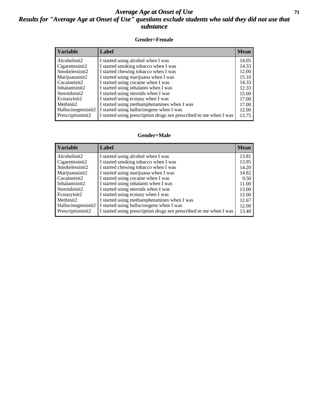### *Average Age at Onset of Use* **71** *Results for "Average Age at Onset of Use" questions exclude students who said they did not use that substance*

#### **Gender=Female**

| Variable           | <b>Label</b>                                                       | <b>Mean</b> |
|--------------------|--------------------------------------------------------------------|-------------|
| Alcoholinit2       | I started using alcohol when I was                                 | 14.05       |
| Cigarettesinit2    | I started smoking tobacco when I was                               | 14.33       |
| Smokelessinit2     | I started chewing tobacco when I was                               | 12.00       |
| Marijuanainit2     | I started using marijuana when I was                               | 15.10       |
| Cocaineinit2       | I started using cocaine when I was                                 | 14.33       |
| Inhalantsinit2     | I started using inhalants when I was                               | 12.33       |
| Steroidsinit2      | I started using steroids when I was                                | 15.00       |
| Ecstasyinit2       | I started using ecstasy when I was                                 | 17.00       |
| Methinit2          | I started using methamphetamines when I was                        | 17.00       |
| Hallucinogensinit2 | I started using hallucinogens when I was                           | 12.00       |
| Prescription in t2 | I started using prescription drugs not prescribed to me when I was | 13.75       |

#### **Gender=Male**

| <b>Variable</b>                 | Label                                                              | <b>Mean</b> |
|---------------------------------|--------------------------------------------------------------------|-------------|
| Alcoholinit2                    | I started using alcohol when I was                                 | 13.81       |
| Cigarettesinit2                 | I started smoking tobacco when I was                               | 13.95       |
| Smokelessinit2                  | I started chewing tobacco when I was                               | 14.20       |
| Marijuanainit2                  | I started using marijuana when I was                               | 14.82       |
| Cocaineinit2                    | I started using cocaine when I was                                 | 9.50        |
| Inhalantsinit2                  | I started using inhalants when I was                               | 11.00       |
| Steroidsinit2                   | I started using steroids when I was                                | 13.00       |
| Ecstasyinit2                    | I started using ecstasy when I was                                 | 12.00       |
| Methinit2                       | I started using methamphetamines when I was                        | 12.67       |
| Hallucinogensinit2              | I started using hallucinogens when I was                           | 12.00       |
| Prescription in it <sub>2</sub> | I started using prescription drugs not prescribed to me when I was | 13.40       |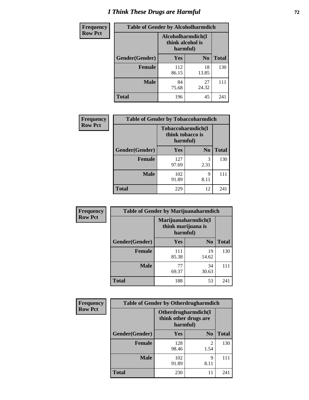# *I Think These Drugs are Harmful* **72**

| <b>Frequency</b> | <b>Table of Gender by Alcoholharmdich</b> |                                                   |                |              |
|------------------|-------------------------------------------|---------------------------------------------------|----------------|--------------|
| <b>Row Pct</b>   |                                           | Alcoholharmdich(I<br>think alcohol is<br>harmful) |                |              |
|                  | Gender(Gender)                            | <b>Yes</b>                                        | N <sub>0</sub> | <b>Total</b> |
|                  | <b>Female</b>                             | 112<br>86.15                                      | 18<br>13.85    | 130          |
|                  | <b>Male</b>                               | 84<br>75.68                                       | 27<br>24.32    | 111          |
|                  | <b>Total</b>                              | 196                                               | 45             | 241          |

| Frequency      | <b>Table of Gender by Tobaccoharmdich</b> |                                                   |                |              |
|----------------|-------------------------------------------|---------------------------------------------------|----------------|--------------|
| <b>Row Pct</b> |                                           | Tobaccoharmdich(I<br>think tobacco is<br>harmful) |                |              |
|                | Gender(Gender)                            | Yes                                               | N <sub>0</sub> | <b>Total</b> |
|                | <b>Female</b>                             | 127<br>97.69                                      | 3<br>2.31      | 130          |
|                | <b>Male</b>                               | 102<br>91.89                                      | 9<br>8.11      |              |
|                | <b>Total</b>                              | 229                                               | 12             | 241          |

| Frequency      | <b>Table of Gender by Marijuanaharmdich</b> |                                                       |                |              |  |
|----------------|---------------------------------------------|-------------------------------------------------------|----------------|--------------|--|
| <b>Row Pct</b> |                                             | Marijuanaharmdich(I<br>think marijuana is<br>harmful) |                |              |  |
|                | Gender(Gender)                              | <b>Yes</b>                                            | N <sub>0</sub> | <b>Total</b> |  |
|                | <b>Female</b>                               | 111<br>85.38                                          | 19<br>14.62    | 130          |  |
|                | <b>Male</b>                                 | 77<br>69.37                                           | 34<br>30.63    | 111          |  |
|                | <b>Total</b>                                | 188                                                   | 53             | 241          |  |

| Frequency      | <b>Table of Gender by Otherdrugharmdich</b> |                                                          |                        |              |
|----------------|---------------------------------------------|----------------------------------------------------------|------------------------|--------------|
| <b>Row Pct</b> |                                             | Otherdrugharmdich(I<br>think other drugs are<br>harmful) |                        |              |
|                | Gender(Gender)                              | <b>Yes</b>                                               | N <sub>0</sub>         | <b>Total</b> |
|                | <b>Female</b>                               | 128<br>98.46                                             | $\overline{2}$<br>1.54 | 130          |
|                | <b>Male</b>                                 | 102<br>91.89                                             | 9<br>8.11              | 111          |
|                | <b>Total</b>                                | 230                                                      | 11                     | 241          |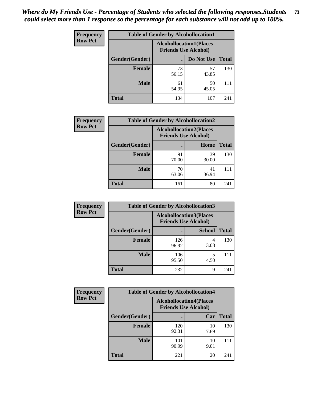| <b>Frequency</b> | <b>Table of Gender by Alcohollocation1</b> |                                                               |             |              |
|------------------|--------------------------------------------|---------------------------------------------------------------|-------------|--------------|
| <b>Row Pct</b>   |                                            | <b>Alcohollocation1(Places</b><br><b>Friends Use Alcohol)</b> |             |              |
|                  | Gender(Gender)                             |                                                               | Do Not Use  | <b>Total</b> |
|                  | <b>Female</b>                              | 73<br>56.15                                                   | 57<br>43.85 | 130          |
|                  | <b>Male</b>                                | 61<br>54.95                                                   | 50<br>45.05 | 111          |
|                  | <b>Total</b>                               | 134                                                           | 107         | 241          |

| <b>Frequency</b> | <b>Table of Gender by Alcohollocation2</b> |                                                               |             |              |
|------------------|--------------------------------------------|---------------------------------------------------------------|-------------|--------------|
| <b>Row Pct</b>   |                                            | <b>Alcohollocation2(Places</b><br><b>Friends Use Alcohol)</b> |             |              |
|                  | Gender(Gender)                             |                                                               | Home        | <b>Total</b> |
|                  | <b>Female</b>                              | 91<br>70.00                                                   | 39<br>30.00 | 130          |
|                  | <b>Male</b>                                | 70<br>63.06                                                   | 41<br>36.94 |              |
|                  | <b>Total</b>                               | 161                                                           | 80          | 241          |

| Frequency      | <b>Table of Gender by Alcohollocation3</b> |                                                               |               |              |
|----------------|--------------------------------------------|---------------------------------------------------------------|---------------|--------------|
| <b>Row Pct</b> |                                            | <b>Alcohollocation3(Places</b><br><b>Friends Use Alcohol)</b> |               |              |
|                | Gender(Gender)                             |                                                               | <b>School</b> | <b>Total</b> |
|                | <b>Female</b>                              | 126<br>96.92                                                  | 4<br>3.08     | 130          |
|                | <b>Male</b>                                | 106<br>95.50                                                  | 4.50          | 111          |
|                | <b>Total</b>                               | 232                                                           | 9             | 241          |

| <b>Frequency</b> | <b>Table of Gender by Alcohollocation4</b> |                                                               |            |              |
|------------------|--------------------------------------------|---------------------------------------------------------------|------------|--------------|
| <b>Row Pct</b>   |                                            | <b>Alcohollocation4(Places</b><br><b>Friends Use Alcohol)</b> |            |              |
|                  | Gender(Gender)                             |                                                               | Car        | <b>Total</b> |
|                  | <b>Female</b>                              | 120<br>92.31                                                  | 10<br>7.69 | 130          |
|                  | <b>Male</b>                                | 101<br>90.99                                                  | 10<br>9.01 | 111          |
|                  | <b>Total</b>                               | 221                                                           | 20         | 241          |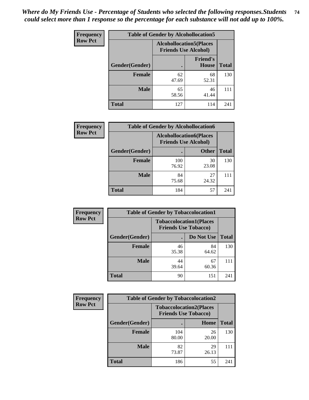| <b>Frequency</b> | <b>Table of Gender by Alcohollocation5</b> |                                                                |                                 |              |
|------------------|--------------------------------------------|----------------------------------------------------------------|---------------------------------|--------------|
| <b>Row Pct</b>   |                                            | <b>Alcohollocation5</b> (Places<br><b>Friends Use Alcohol)</b> |                                 |              |
|                  | Gender(Gender)                             |                                                                | <b>Friend's</b><br><b>House</b> | <b>Total</b> |
|                  | <b>Female</b>                              | 62<br>47.69                                                    | 68<br>52.31                     | 130          |
|                  | <b>Male</b>                                | 65<br>58.56                                                    | 46<br>41.44                     | 111          |
|                  | <b>Total</b>                               | 127                                                            | 114                             | 241          |

| <b>Frequency</b> | <b>Table of Gender by Alcohollocation6</b> |                                                               |              |              |
|------------------|--------------------------------------------|---------------------------------------------------------------|--------------|--------------|
| <b>Row Pct</b>   |                                            | <b>Alcohollocation6(Places</b><br><b>Friends Use Alcohol)</b> |              |              |
|                  | <b>Gender</b> (Gender)                     |                                                               | <b>Other</b> | <b>Total</b> |
|                  | <b>Female</b>                              | 100<br>76.92                                                  | 30<br>23.08  | 130          |
|                  | <b>Male</b>                                | 84<br>75.68                                                   | 27<br>24.32  |              |
|                  | <b>Total</b>                               | 184                                                           | 57           | 241          |

| Frequency      | <b>Table of Gender by Tobaccolocation1</b> |                                                               |             |              |  |
|----------------|--------------------------------------------|---------------------------------------------------------------|-------------|--------------|--|
| <b>Row Pct</b> |                                            | <b>Tobaccolocation1(Places</b><br><b>Friends Use Tobacco)</b> |             |              |  |
|                | Gender(Gender)                             |                                                               | Do Not Use  | <b>Total</b> |  |
|                | <b>Female</b>                              | 46<br>35.38                                                   | 84<br>64.62 | 130          |  |
|                | <b>Male</b>                                | 44<br>39.64                                                   | 67<br>60.36 |              |  |
|                | <b>Total</b>                               | 90                                                            | 151         | 241          |  |

| <b>Frequency</b> | <b>Table of Gender by Tobaccolocation2</b> |                                                               |             |              |
|------------------|--------------------------------------------|---------------------------------------------------------------|-------------|--------------|
| <b>Row Pct</b>   |                                            | <b>Tobaccolocation2(Places</b><br><b>Friends Use Tobacco)</b> |             |              |
|                  | Gender(Gender)                             |                                                               | Home        | <b>Total</b> |
|                  | Female                                     | 104<br>80.00                                                  | 26<br>20.00 | 130          |
|                  | <b>Male</b>                                | 82<br>73.87                                                   | 29<br>26.13 | 111          |
|                  | <b>Total</b>                               | 186                                                           | 55          | 241          |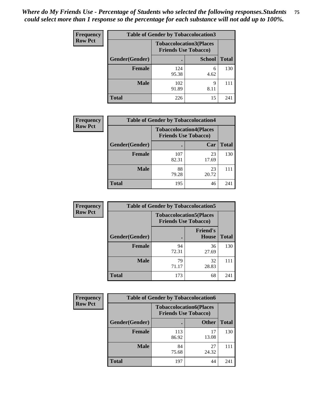| <b>Frequency</b> | <b>Table of Gender by Tobaccolocation3</b> |                                                               |               |              |
|------------------|--------------------------------------------|---------------------------------------------------------------|---------------|--------------|
| <b>Row Pct</b>   |                                            | <b>Tobaccolocation3(Places</b><br><b>Friends Use Tobacco)</b> |               |              |
|                  | Gender(Gender)                             |                                                               | <b>School</b> | <b>Total</b> |
|                  | <b>Female</b>                              | 124<br>95.38                                                  | 6<br>4.62     | 130          |
|                  | <b>Male</b>                                | 102<br>91.89                                                  | 9<br>8.11     | 111          |
|                  | <b>Total</b>                               | 226                                                           | 15            | 241          |

| <b>Frequency</b> | <b>Table of Gender by Tobaccolocation4</b> |                             |                                |              |
|------------------|--------------------------------------------|-----------------------------|--------------------------------|--------------|
| <b>Row Pct</b>   |                                            | <b>Friends Use Tobacco)</b> | <b>Tobaccolocation4(Places</b> |              |
|                  | Gender(Gender)                             |                             | Car                            | <b>Total</b> |
|                  | <b>Female</b>                              | 107<br>82.31                | 23<br>17.69                    | 130          |
|                  | <b>Male</b>                                | 88<br>79.28                 | 23<br>20.72                    |              |
|                  | <b>Total</b>                               | 195                         | 46                             | 241          |

| <b>Frequency</b> | <b>Table of Gender by Tobaccolocation5</b> |                                                               |                          |              |
|------------------|--------------------------------------------|---------------------------------------------------------------|--------------------------|--------------|
| <b>Row Pct</b>   |                                            | <b>Tobaccolocation5(Places</b><br><b>Friends Use Tobacco)</b> |                          |              |
|                  | Gender(Gender)                             |                                                               | <b>Friend's</b><br>House | <b>Total</b> |
|                  | <b>Female</b>                              | 94<br>72.31                                                   | 36<br>27.69              | 130          |
|                  | <b>Male</b>                                | 79<br>71.17                                                   | 32<br>28.83              | 111          |
|                  | <b>Total</b>                               | 173                                                           | 68                       | 241          |

| <b>Frequency</b> | <b>Table of Gender by Tobaccolocation6</b> |                                                               |              |              |
|------------------|--------------------------------------------|---------------------------------------------------------------|--------------|--------------|
| <b>Row Pct</b>   |                                            | <b>Tobaccolocation6(Places</b><br><b>Friends Use Tobacco)</b> |              |              |
|                  | Gender(Gender)                             |                                                               | <b>Other</b> | <b>Total</b> |
|                  | Female                                     | 113<br>86.92                                                  | 17<br>13.08  | 130          |
|                  | <b>Male</b>                                | 84<br>75.68                                                   | 27<br>24.32  | 111          |
|                  | <b>Total</b>                               | 197                                                           | 44           | 241          |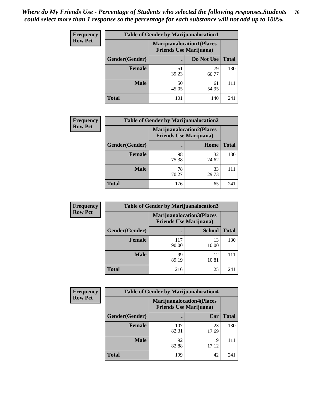| <b>Frequency</b> | <b>Table of Gender by Marijuanalocation1</b> |                                                                    |             |              |
|------------------|----------------------------------------------|--------------------------------------------------------------------|-------------|--------------|
| <b>Row Pct</b>   |                                              | <b>Marijuanalocation1(Places</b><br><b>Friends Use Marijuana</b> ) |             |              |
|                  | Gender(Gender)                               |                                                                    | Do Not Use  | <b>Total</b> |
|                  | <b>Female</b>                                | 51<br>39.23                                                        | 79<br>60.77 | 130          |
|                  | <b>Male</b>                                  | 50<br>45.05                                                        | 61<br>54.95 | 111          |
|                  | <b>Total</b>                                 | 101                                                                | 140         | 241          |

| <b>Frequency</b> | <b>Table of Gender by Marijuanalocation2</b> |                                                                    |             |              |  |
|------------------|----------------------------------------------|--------------------------------------------------------------------|-------------|--------------|--|
| <b>Row Pct</b>   |                                              | <b>Marijuanalocation2(Places</b><br><b>Friends Use Marijuana</b> ) |             |              |  |
|                  | Gender(Gender)                               |                                                                    | Home        | <b>Total</b> |  |
|                  | <b>Female</b>                                | 98<br>75.38                                                        | 32<br>24.62 | 130          |  |
|                  | <b>Male</b>                                  | 78<br>70.27                                                        | 33<br>29.73 |              |  |
|                  | <b>Total</b>                                 | 176                                                                | 65          | 241          |  |

| Frequency      |                        | <b>Table of Gender by Marijuanalocation3</b>                       |               |              |  |
|----------------|------------------------|--------------------------------------------------------------------|---------------|--------------|--|
| <b>Row Pct</b> |                        | <b>Marijuanalocation3(Places</b><br><b>Friends Use Marijuana</b> ) |               |              |  |
|                | <b>Gender</b> (Gender) |                                                                    | <b>School</b> | <b>Total</b> |  |
|                | Female                 | 117<br>90.00                                                       | 13<br>10.00   | 130          |  |
|                | <b>Male</b>            | 99<br>89.19                                                        | 12<br>10.81   |              |  |
|                | <b>Total</b>           | 216                                                                | 25            | 241          |  |

| <b>Frequency</b> | <b>Table of Gender by Marijuanalocation4</b> |                                                                    |             |              |  |
|------------------|----------------------------------------------|--------------------------------------------------------------------|-------------|--------------|--|
| <b>Row Pct</b>   |                                              | <b>Marijuanalocation4(Places</b><br><b>Friends Use Marijuana</b> ) |             |              |  |
|                  | Gender(Gender)                               |                                                                    | Car         | <b>Total</b> |  |
|                  | Female                                       | 107<br>82.31                                                       | 23<br>17.69 | 130          |  |
|                  | <b>Male</b>                                  | 92<br>82.88                                                        | 19<br>17.12 | 111          |  |
|                  | <b>Total</b>                                 | 199                                                                | 42          | 241          |  |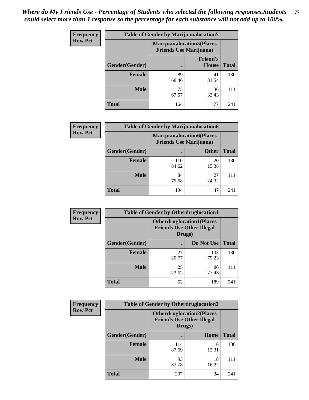| <b>Frequency</b> | <b>Table of Gender by Marijuanalocation5</b> |                                                                     |                                 |              |
|------------------|----------------------------------------------|---------------------------------------------------------------------|---------------------------------|--------------|
| <b>Row Pct</b>   |                                              | <b>Marijuanalocation5</b> (Places<br><b>Friends Use Marijuana</b> ) |                                 |              |
|                  | Gender(Gender)                               |                                                                     | <b>Friend's</b><br><b>House</b> | <b>Total</b> |
|                  | <b>Female</b>                                | 89<br>68.46                                                         | 41<br>31.54                     | 130          |
|                  | <b>Male</b>                                  | 75<br>67.57                                                         | 36<br>32.43                     | 111          |
|                  | <b>Total</b>                                 | 164                                                                 | 77                              | 241          |

| <b>Frequency</b> | <b>Table of Gender by Marijuanalocation6</b> |                                                                    |              |              |  |
|------------------|----------------------------------------------|--------------------------------------------------------------------|--------------|--------------|--|
| <b>Row Pct</b>   |                                              | <b>Marijuanalocation6(Places</b><br><b>Friends Use Marijuana</b> ) |              |              |  |
|                  | <b>Gender</b> (Gender)                       |                                                                    | <b>Other</b> | <b>Total</b> |  |
|                  | <b>Female</b>                                | 110<br>84.62                                                       | 20<br>15.38  | 130          |  |
|                  | <b>Male</b>                                  | 84<br>75.68                                                        | 27<br>24.32  |              |  |
|                  | <b>Total</b>                                 | 194                                                                | 47           | 241          |  |

| Frequency      | <b>Table of Gender by Otherdruglocation1</b> |                                                                                |              |              |
|----------------|----------------------------------------------|--------------------------------------------------------------------------------|--------------|--------------|
| <b>Row Pct</b> |                                              | <b>Otherdruglocation1(Places</b><br><b>Friends Use Other Illegal</b><br>Drugs) |              |              |
|                | Gender(Gender)                               |                                                                                | Do Not Use   | <b>Total</b> |
|                | Female                                       | 27<br>20.77                                                                    | 103<br>79.23 | 130          |
|                | <b>Male</b>                                  | 25<br>22.52                                                                    | 86<br>77.48  | 111          |
|                | <b>Total</b>                                 | 52                                                                             | 189          | 241          |

| Frequency      | <b>Table of Gender by Otherdruglocation2</b> |                                                                                |             |              |
|----------------|----------------------------------------------|--------------------------------------------------------------------------------|-------------|--------------|
| <b>Row Pct</b> |                                              | <b>Otherdruglocation2(Places</b><br><b>Friends Use Other Illegal</b><br>Drugs) |             |              |
|                | Gender(Gender)                               |                                                                                | Home        | <b>Total</b> |
|                | <b>Female</b>                                | 114<br>87.69                                                                   | 16<br>12.31 | 130          |
|                | <b>Male</b>                                  | 93<br>83.78                                                                    | 18<br>16.22 | 111          |
|                | <b>Total</b>                                 | 207                                                                            | 34          | 241          |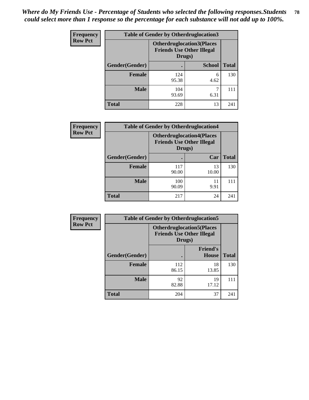| <b>Frequency</b> | <b>Table of Gender by Otherdruglocation3</b> |                                                                                |               |              |
|------------------|----------------------------------------------|--------------------------------------------------------------------------------|---------------|--------------|
| <b>Row Pct</b>   |                                              | <b>Otherdruglocation3(Places</b><br><b>Friends Use Other Illegal</b><br>Drugs) |               |              |
|                  | Gender(Gender)                               |                                                                                | <b>School</b> | <b>Total</b> |
|                  | <b>Female</b>                                | 124<br>95.38                                                                   | 6<br>4.62     | 130          |
|                  | <b>Male</b>                                  | 104<br>93.69                                                                   | 6.31          | 111          |
|                  | <b>Total</b>                                 | 228                                                                            | 13            | 241          |

| Frequency      | <b>Table of Gender by Otherdruglocation4</b>                                   |              |             |              |
|----------------|--------------------------------------------------------------------------------|--------------|-------------|--------------|
| <b>Row Pct</b> | <b>Otherdruglocation4(Places</b><br><b>Friends Use Other Illegal</b><br>Drugs) |              |             |              |
|                | Gender(Gender)                                                                 |              | Car         | <b>Total</b> |
|                | <b>Female</b>                                                                  | 117<br>90.00 | 13<br>10.00 | 130          |
|                | <b>Male</b>                                                                    | 100<br>90.09 | 11<br>9.91  | 111          |
|                | <b>Total</b>                                                                   | 217          | 24          | 241          |

| <b>Frequency</b> | <b>Table of Gender by Otherdruglocation5</b> |                                            |                                  |              |
|------------------|----------------------------------------------|--------------------------------------------|----------------------------------|--------------|
| <b>Row Pct</b>   |                                              | <b>Friends Use Other Illegal</b><br>Drugs) | <b>Otherdruglocation5(Places</b> |              |
|                  | Gender(Gender)                               |                                            | <b>Friend's</b><br><b>House</b>  | <b>Total</b> |
|                  | <b>Female</b>                                | 112<br>86.15                               | 18<br>13.85                      | 130          |
|                  | <b>Male</b>                                  | 92<br>82.88                                | 19<br>17.12                      | 111          |
|                  | <b>Total</b>                                 | 204                                        | 37                               | 241          |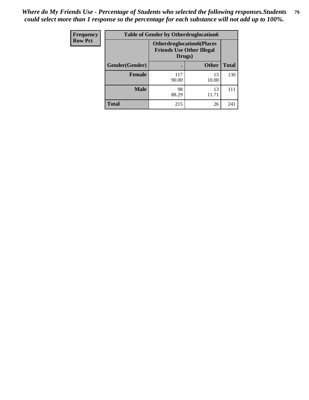| <b>Frequency</b> | <b>Table of Gender by Otherdruglocation6</b> |                                                                                |              |              |
|------------------|----------------------------------------------|--------------------------------------------------------------------------------|--------------|--------------|
| <b>Row Pct</b>   |                                              | <b>Otherdruglocation6(Places</b><br><b>Friends Use Other Illegal</b><br>Drugs) |              |              |
|                  | Gender(Gender)                               |                                                                                | <b>Other</b> | <b>Total</b> |
|                  | Female                                       | 117<br>90.00                                                                   | 13<br>10.00  | 130          |
|                  | <b>Male</b>                                  | 98<br>88.29                                                                    | 13<br>11.71  | 111          |
|                  | <b>Total</b>                                 | 215                                                                            | 26           | 241          |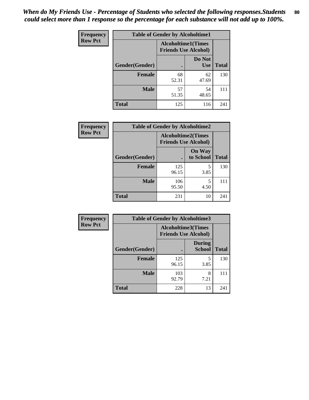| <b>Frequency</b> | <b>Table of Gender by Alcoholtime1</b> |                                                          |                      |              |
|------------------|----------------------------------------|----------------------------------------------------------|----------------------|--------------|
| <b>Row Pct</b>   |                                        | <b>Alcoholtime1(Times</b><br><b>Friends Use Alcohol)</b> |                      |              |
|                  | Gender(Gender)                         | $\bullet$                                                | Do Not<br><b>Use</b> | <b>Total</b> |
|                  | <b>Female</b>                          | 68<br>52.31                                              | 62<br>47.69          | 130          |
|                  | <b>Male</b>                            | 57<br>51.35                                              | 54<br>48.65          | 111          |
|                  | <b>Total</b>                           | 125                                                      | 116                  | 241          |

| Frequency      | <b>Table of Gender by Alcoholtime2</b> |                                                          |                            |              |
|----------------|----------------------------------------|----------------------------------------------------------|----------------------------|--------------|
| <b>Row Pct</b> |                                        | <b>Alcoholtime2(Times</b><br><b>Friends Use Alcohol)</b> |                            |              |
|                | Gender(Gender)                         |                                                          | <b>On Way</b><br>to School | <b>Total</b> |
|                | <b>Female</b>                          | 125<br>96.15                                             | 5<br>3.85                  | 130          |
|                | <b>Male</b>                            | 106<br>95.50                                             | 5<br>4.50                  | 111          |
|                | <b>Total</b>                           | 231                                                      | 10                         | 241          |

| Frequency      | <b>Table of Gender by Alcoholtime3</b> |                                                          |                                |              |
|----------------|----------------------------------------|----------------------------------------------------------|--------------------------------|--------------|
| <b>Row Pct</b> |                                        | <b>Alcoholtime3(Times</b><br><b>Friends Use Alcohol)</b> |                                |              |
|                | Gender(Gender)                         |                                                          | <b>During</b><br><b>School</b> | <b>Total</b> |
|                | <b>Female</b>                          | 125<br>96.15                                             | 5<br>3.85                      | 130          |
|                | <b>Male</b>                            | 103<br>92.79                                             | 8<br>7.21                      | 111          |
|                | <b>Total</b>                           | 228                                                      | 13                             | 241          |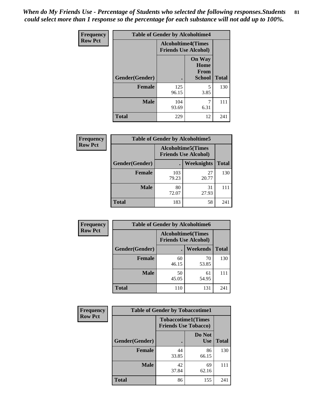*When do My Friends Use - Percentage of Students who selected the following responses.Students could select more than 1 response so the percentage for each substance will not add up to 100%.* **81**

| <b>Frequency</b> | <b>Table of Gender by Alcoholtime4</b> |                                                          |                                                |              |
|------------------|----------------------------------------|----------------------------------------------------------|------------------------------------------------|--------------|
| <b>Row Pct</b>   |                                        | <b>Alcoholtime4(Times</b><br><b>Friends Use Alcohol)</b> |                                                |              |
|                  | Gender(Gender)                         |                                                          | <b>On Way</b><br>Home<br>From<br><b>School</b> | <b>Total</b> |
|                  | <b>Female</b>                          | 125<br>96.15                                             | 5<br>3.85                                      | 130          |
|                  | <b>Male</b>                            | 104<br>93.69                                             | 7<br>6.31                                      | 111          |
|                  | <b>Total</b>                           | 229                                                      | 12                                             | 241          |

| <b>Frequency</b> |                |              | <b>Table of Gender by Alcoholtime5</b>                    |              |
|------------------|----------------|--------------|-----------------------------------------------------------|--------------|
| <b>Row Pct</b>   |                |              | <b>Alcoholtime5</b> (Times<br><b>Friends Use Alcohol)</b> |              |
|                  | Gender(Gender) |              | Weeknights                                                | <b>Total</b> |
|                  | <b>Female</b>  | 103<br>79.23 | 27<br>20.77                                               | 130          |
|                  | <b>Male</b>    | 80<br>72.07  | 31<br>27.93                                               | 111          |
|                  | <b>Total</b>   | 183          | 58                                                        | 241          |

| <b>Frequency</b> | <b>Table of Gender by Alcoholtime6</b> |             |                                                           |              |  |
|------------------|----------------------------------------|-------------|-----------------------------------------------------------|--------------|--|
| <b>Row Pct</b>   |                                        |             | <b>Alcoholtime6</b> (Times<br><b>Friends Use Alcohol)</b> |              |  |
|                  | Gender(Gender)                         |             | <b>Weekends</b>                                           | <b>Total</b> |  |
|                  | Female                                 | 60<br>46.15 | 70<br>53.85                                               | 130          |  |
|                  | <b>Male</b>                            | 50<br>45.05 | 61<br>54.95                                               | 111          |  |
|                  | <b>Total</b>                           | 110         | 131                                                       | 241          |  |

| <b>Frequency</b> | <b>Table of Gender by Tobaccotime1</b> |                                                          |                      |              |  |
|------------------|----------------------------------------|----------------------------------------------------------|----------------------|--------------|--|
| <b>Row Pct</b>   |                                        | <b>Tobaccotime1(Times</b><br><b>Friends Use Tobacco)</b> |                      |              |  |
|                  | Gender(Gender)                         |                                                          | Do Not<br><b>Use</b> | <b>Total</b> |  |
|                  | <b>Female</b>                          | 44<br>33.85                                              | 86<br>66.15          | 130          |  |
|                  | <b>Male</b>                            | 42<br>37.84                                              | 69<br>62.16          | 111          |  |
|                  | <b>Total</b>                           | 86                                                       | 155                  | 241          |  |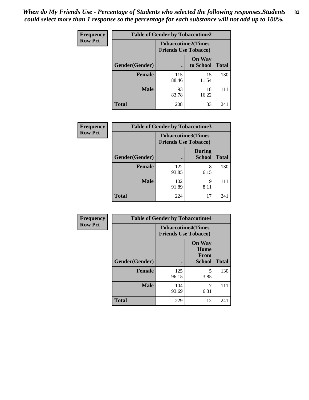| <b>Frequency</b> | <b>Table of Gender by Tobaccotime2</b> |                                                          |                            |              |
|------------------|----------------------------------------|----------------------------------------------------------|----------------------------|--------------|
| <b>Row Pct</b>   |                                        | <b>Tobaccotime2(Times</b><br><b>Friends Use Tobacco)</b> |                            |              |
|                  | Gender(Gender)                         |                                                          | <b>On Way</b><br>to School | <b>Total</b> |
|                  | <b>Female</b>                          | 115<br>88.46                                             | 15<br>11.54                | 130          |
|                  | <b>Male</b>                            | 93<br>83.78                                              | 18<br>16.22                | 111          |
|                  | <b>Total</b>                           | 208                                                      | 33                         | 241          |

| Frequency      | <b>Table of Gender by Tobaccotime3</b> |                                                          |                                |              |
|----------------|----------------------------------------|----------------------------------------------------------|--------------------------------|--------------|
| <b>Row Pct</b> |                                        | <b>Tobaccotime3(Times</b><br><b>Friends Use Tobacco)</b> |                                |              |
|                | Gender(Gender)                         |                                                          | <b>During</b><br><b>School</b> | <b>Total</b> |
|                | <b>Female</b>                          | 122<br>93.85                                             | 8<br>6.15                      | 130          |
|                | <b>Male</b>                            | 102<br>91.89                                             | 9<br>8.11                      |              |
|                | <b>Total</b>                           | 224                                                      | 17                             | 241          |

| <b>Frequency</b> | <b>Table of Gender by Tobaccotime4</b> |                                                          |                                                |              |
|------------------|----------------------------------------|----------------------------------------------------------|------------------------------------------------|--------------|
| <b>Row Pct</b>   |                                        | <b>Tobaccotime4(Times</b><br><b>Friends Use Tobacco)</b> |                                                |              |
|                  | Gender(Gender)                         |                                                          | <b>On Way</b><br>Home<br>From<br><b>School</b> | <b>Total</b> |
|                  | <b>Female</b>                          | 125<br>96.15                                             | 5<br>3.85                                      | 130          |
|                  | <b>Male</b>                            | 104<br>93.69                                             | 7<br>6.31                                      | 111          |
|                  | <b>Total</b>                           | 229                                                      | 12                                             | 241          |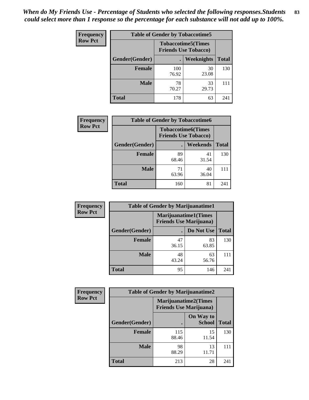| <b>Frequency</b> | <b>Table of Gender by Tobaccotime5</b> |                                                           |             |              |  |
|------------------|----------------------------------------|-----------------------------------------------------------|-------------|--------------|--|
| <b>Row Pct</b>   |                                        | <b>Tobaccotime5</b> (Times<br><b>Friends Use Tobacco)</b> |             |              |  |
|                  | Gender(Gender)                         |                                                           | Weeknights  | <b>Total</b> |  |
|                  | <b>Female</b>                          | 100<br>76.92                                              | 30<br>23.08 | 130          |  |
|                  | <b>Male</b>                            | 78<br>70.27                                               | 33<br>29.73 | 111          |  |
|                  | <b>Total</b>                           | 178                                                       | 63          | 241          |  |

| Frequency      | <b>Table of Gender by Tobaccotime6</b> |                                                          |                 |              |
|----------------|----------------------------------------|----------------------------------------------------------|-----------------|--------------|
| <b>Row Pct</b> |                                        | <b>Tobaccotime6(Times</b><br><b>Friends Use Tobacco)</b> |                 |              |
|                | Gender(Gender)                         |                                                          | <b>Weekends</b> | <b>Total</b> |
|                | <b>Female</b>                          | 89<br>68.46                                              | 41<br>31.54     | 130          |
|                | <b>Male</b>                            | 71<br>63.96                                              | 40<br>36.04     | 111          |
|                | <b>Total</b>                           | 160                                                      | 81              | 241          |

| Frequency      | <b>Table of Gender by Marijuanatime1</b> |                                                               |             |              |  |
|----------------|------------------------------------------|---------------------------------------------------------------|-------------|--------------|--|
| <b>Row Pct</b> |                                          | <b>Marijuanatime1(Times</b><br><b>Friends Use Marijuana</b> ) |             |              |  |
|                | Gender(Gender)                           |                                                               | Do Not Use  | <b>Total</b> |  |
|                | <b>Female</b>                            | 47<br>36.15                                                   | 83<br>63.85 | 130          |  |
|                | <b>Male</b>                              | 48<br>43.24                                                   | 63<br>56.76 | 111          |  |
|                | <b>Total</b>                             | 95                                                            | 146         | 241          |  |

| <b>Frequency</b> | <b>Table of Gender by Marijuanatime2</b> |                                |                             |              |
|------------------|------------------------------------------|--------------------------------|-----------------------------|--------------|
| <b>Row Pct</b>   |                                          | <b>Friends Use Marijuana</b> ) | <b>Marijuanatime2(Times</b> |              |
|                  | Gender(Gender)                           |                                | On Way to<br><b>School</b>  | <b>Total</b> |
|                  | Female                                   | 115<br>88.46                   | 15<br>11.54                 | 130          |
|                  | <b>Male</b>                              | 98<br>88.29                    | 13<br>11.71                 | 111          |
|                  | <b>Total</b>                             | 213                            | 28                          | 241          |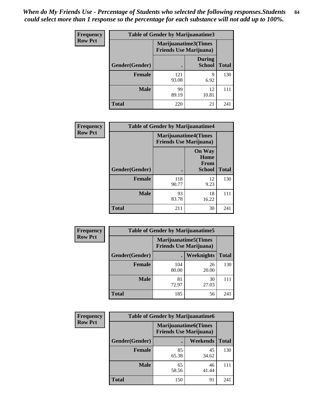*When do My Friends Use - Percentage of Students who selected the following responses.Students could select more than 1 response so the percentage for each substance will not add up to 100%.* **84**

| <b>Frequency</b> | Table of Gender by Marijuanatime3 |                                                        |                                |              |
|------------------|-----------------------------------|--------------------------------------------------------|--------------------------------|--------------|
| <b>Row Pct</b>   |                                   | Marijuanatime3(Times<br><b>Friends Use Marijuana</b> ) |                                |              |
|                  | Gender(Gender)                    |                                                        | <b>During</b><br><b>School</b> | <b>Total</b> |
|                  | <b>Female</b>                     | 121<br>93.08                                           | 9<br>6.92                      | 130          |
|                  | <b>Male</b>                       | 99<br>89.19                                            | 12<br>10.81                    | 111          |
|                  | <b>Total</b>                      | 220                                                    | 21                             | 241          |

| Frequency      | <b>Table of Gender by Marijuanatime4</b> |                                                               |                                                |              |
|----------------|------------------------------------------|---------------------------------------------------------------|------------------------------------------------|--------------|
| <b>Row Pct</b> |                                          | <b>Marijuanatime4(Times</b><br><b>Friends Use Marijuana</b> ) |                                                |              |
|                | Gender(Gender)                           |                                                               | <b>On Way</b><br>Home<br>From<br><b>School</b> | <b>Total</b> |
|                | <b>Female</b>                            | 118<br>90.77                                                  | 12<br>9.23                                     | 130          |
|                | <b>Male</b>                              | 93<br>83.78                                                   | 18<br>16.22                                    | 111          |
|                | <b>Total</b>                             | 211                                                           | 30                                             | 241          |

| <b>Frequency</b> | <b>Table of Gender by Marijuanatime5</b> |              |                                                                |              |
|------------------|------------------------------------------|--------------|----------------------------------------------------------------|--------------|
| <b>Row Pct</b>   |                                          |              | <b>Marijuanatime5</b> (Times<br><b>Friends Use Marijuana</b> ) |              |
|                  | Gender(Gender)                           |              | Weeknights                                                     | <b>Total</b> |
|                  | <b>Female</b>                            | 104<br>80.00 | 26<br>20.00                                                    | 130          |
|                  | <b>Male</b>                              | 81<br>72.97  | 30<br>27.03                                                    | 111          |
|                  | <b>Total</b>                             | 185          | 56                                                             | 241          |

| <b>Frequency</b> | <b>Table of Gender by Marijuanatime6</b> |                                                               |             |              |  |
|------------------|------------------------------------------|---------------------------------------------------------------|-------------|--------------|--|
| <b>Row Pct</b>   |                                          | <b>Marijuanatime6(Times</b><br><b>Friends Use Marijuana</b> ) |             |              |  |
|                  | Gender(Gender)                           |                                                               | Weekends    | <b>Total</b> |  |
|                  | <b>Female</b>                            | 85<br>65.38                                                   | 45<br>34.62 | 130          |  |
|                  | <b>Male</b>                              | 65<br>58.56                                                   | 46<br>41.44 | 111          |  |
|                  | <b>Total</b>                             | 150                                                           | 91          | 241          |  |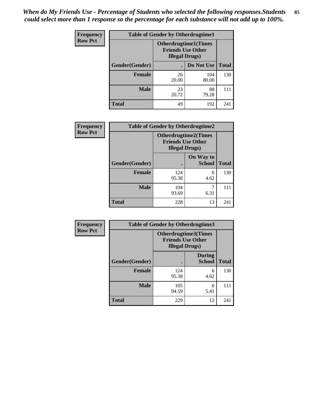| <b>Frequency</b> | <b>Table of Gender by Otherdrugtime1</b> |                                                                                    |              |              |  |
|------------------|------------------------------------------|------------------------------------------------------------------------------------|--------------|--------------|--|
| <b>Row Pct</b>   |                                          | <b>Otherdrugtime1</b> (Times<br><b>Friends Use Other</b><br><b>Illegal Drugs</b> ) |              |              |  |
|                  | Gender(Gender)                           |                                                                                    | Do Not Use   | <b>Total</b> |  |
|                  | <b>Female</b>                            | 26<br>20.00                                                                        | 104<br>80.00 | 130          |  |
|                  | Male                                     | 23<br>20.72                                                                        | 88<br>79.28  | 111          |  |
|                  | <b>Total</b>                             | 49                                                                                 | 192          | 241          |  |

| Frequency      |                | <b>Table of Gender by Otherdrugtime2</b>                                          |                            |              |
|----------------|----------------|-----------------------------------------------------------------------------------|----------------------------|--------------|
| <b>Row Pct</b> |                | <b>Otherdrugtime2(Times</b><br><b>Friends Use Other</b><br><b>Illegal Drugs</b> ) |                            |              |
|                | Gender(Gender) |                                                                                   | On Way to<br><b>School</b> | <b>Total</b> |
|                | <b>Female</b>  | 124<br>95.38                                                                      | 6<br>4.62                  | 130          |
|                | <b>Male</b>    | 104<br>93.69                                                                      | 6.31                       | 111          |
|                | <b>Total</b>   | 228                                                                               | 13                         | 241          |

| Frequency      |                | <b>Table of Gender by Otherdrugtime3</b>           |                                |              |
|----------------|----------------|----------------------------------------------------|--------------------------------|--------------|
| <b>Row Pct</b> |                | <b>Friends Use Other</b><br><b>Illegal Drugs</b> ) | Otherdrugtime3(Times           |              |
|                | Gender(Gender) |                                                    | <b>During</b><br><b>School</b> | <b>Total</b> |
|                | <b>Female</b>  | 124<br>95.38                                       | 6<br>4.62                      | 130          |
|                | <b>Male</b>    | 105<br>94.59                                       | 6<br>5.41                      | 111          |
|                | <b>Total</b>   | 229                                                | 12                             | 241          |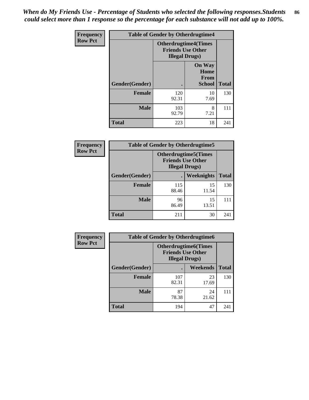*When do My Friends Use - Percentage of Students who selected the following responses.Students could select more than 1 response so the percentage for each substance will not add up to 100%.* **86**

| <b>Frequency</b> | <b>Table of Gender by Otherdrugtime4</b> |                        |                                                         |              |
|------------------|------------------------------------------|------------------------|---------------------------------------------------------|--------------|
| <b>Row Pct</b>   |                                          | <b>Illegal Drugs</b> ) | <b>Otherdrugtime4(Times</b><br><b>Friends Use Other</b> |              |
|                  | Gender(Gender)                           | ٠                      | <b>On Way</b><br>Home<br><b>From</b><br><b>School</b>   | <b>Total</b> |
|                  | <b>Female</b>                            | 120<br>92.31           | 10<br>7.69                                              | 130          |
|                  | <b>Male</b>                              | 103<br>92.79           | 8<br>7.21                                               | 111          |
|                  | <b>Total</b>                             | 223                    | 18                                                      | 241          |

| Frequency      | <b>Table of Gender by Otherdrugtime5</b> |                                                                                    |                   |              |
|----------------|------------------------------------------|------------------------------------------------------------------------------------|-------------------|--------------|
| <b>Row Pct</b> |                                          | <b>Otherdrugtime5</b> (Times<br><b>Friends Use Other</b><br><b>Illegal Drugs</b> ) |                   |              |
|                | Gender(Gender)                           |                                                                                    | <b>Weeknights</b> | <b>Total</b> |
|                | <b>Female</b>                            | 115<br>88.46                                                                       | 15<br>11.54       | 130          |
|                | <b>Male</b>                              | 96<br>86.49                                                                        | 15<br>13.51       | 111          |
|                | <b>Total</b>                             | 211                                                                                | 30                | 241          |

| <b>Frequency</b> | <b>Table of Gender by Otherdrugtime6</b> |                                                                                   |                 |              |
|------------------|------------------------------------------|-----------------------------------------------------------------------------------|-----------------|--------------|
| <b>Row Pct</b>   |                                          | <b>Otherdrugtime6(Times</b><br><b>Friends Use Other</b><br><b>Illegal Drugs</b> ) |                 |              |
|                  | Gender(Gender)                           |                                                                                   | <b>Weekends</b> | <b>Total</b> |
|                  | <b>Female</b>                            | 107<br>82.31                                                                      | 23<br>17.69     | 130          |
|                  | <b>Male</b>                              | 87<br>78.38                                                                       | 24<br>21.62     | 111          |
|                  | <b>Total</b>                             | 194                                                                               | 47              | 241          |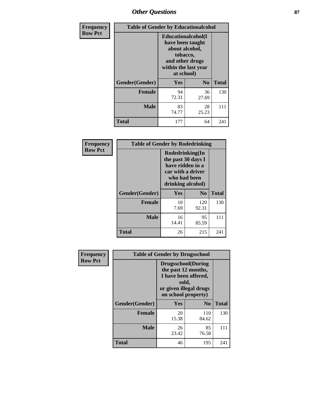# *Other Questions* **87**

| Frequency      | <b>Table of Gender by Educationalcohol</b> |                                                                                                                               |                |              |  |
|----------------|--------------------------------------------|-------------------------------------------------------------------------------------------------------------------------------|----------------|--------------|--|
| <b>Row Pct</b> |                                            | Educationalcohol(I<br>have been taught<br>about alcohol,<br>tobacco,<br>and other drugs<br>within the last year<br>at school) |                |              |  |
|                | Gender(Gender)                             | Yes                                                                                                                           | N <sub>0</sub> | <b>Total</b> |  |
|                | Female                                     | 94<br>72.31                                                                                                                   | 36<br>27.69    | 130          |  |
|                | <b>Male</b>                                | 83<br>74.77                                                                                                                   | 28<br>25.23    | 111          |  |
|                | Total                                      | 177                                                                                                                           | 64             | 241          |  |

| Frequency      | <b>Table of Gender by Rodedrinking</b> |                                                                                                                     |              |              |  |
|----------------|----------------------------------------|---------------------------------------------------------------------------------------------------------------------|--------------|--------------|--|
| <b>Row Pct</b> |                                        | Rodedrinking(In<br>the past 30 days I<br>have ridden in a<br>car with a driver<br>who had been<br>drinking alcohol) |              |              |  |
|                | Gender(Gender)                         | Yes                                                                                                                 | $\bf N_0$    | <b>Total</b> |  |
|                | <b>Female</b>                          | 10<br>7.69                                                                                                          | 120<br>92.31 | 130          |  |
|                | <b>Male</b>                            | 16<br>14.41                                                                                                         | 95<br>85.59  | 111          |  |
|                | <b>Total</b>                           | 26                                                                                                                  | 215          | 241          |  |

| Frequency      | <b>Table of Gender by Drugsschool</b> |                                                                                                                                     |                |              |  |
|----------------|---------------------------------------|-------------------------------------------------------------------------------------------------------------------------------------|----------------|--------------|--|
| <b>Row Pct</b> |                                       | <b>Drugsschool</b> (During<br>the past 12 months,<br>I have been offered,<br>sold,<br>or given illegal drugs<br>on school property) |                |              |  |
|                | Gender(Gender)                        | <b>Yes</b>                                                                                                                          | N <sub>0</sub> | <b>Total</b> |  |
|                | <b>Female</b>                         | 20<br>15.38                                                                                                                         | 110<br>84.62   | 130          |  |
|                | <b>Male</b>                           | 26<br>23.42                                                                                                                         | 85<br>76.58    | 111          |  |
|                | <b>Total</b>                          | 46                                                                                                                                  | 195            | 241          |  |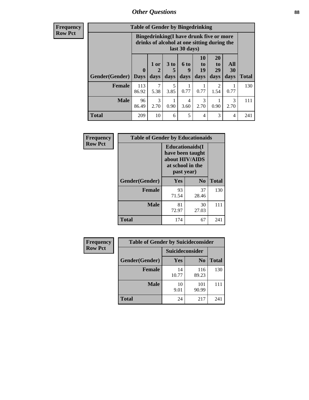# *Other Questions* **88**

**Frequency Row Pct**

| <b>Table of Gender by Bingedrinking</b> |                         |                                                                                                         |                   |                          |                        |                               |                   |              |
|-----------------------------------------|-------------------------|---------------------------------------------------------------------------------------------------------|-------------------|--------------------------|------------------------|-------------------------------|-------------------|--------------|
|                                         |                         | Bingedrinking(I have drunk five or more<br>drinks of alcohol at one sitting during the<br>last 30 days) |                   |                          |                        |                               |                   |              |
| <b>Gender</b> (Gender)                  | $\bf{0}$<br><b>Days</b> | $1$ or<br>days                                                                                          | 3 to<br>5<br>days | <b>6 to</b><br>9<br>days | 10<br>to<br>19<br>days | <b>20</b><br>to<br>29<br>days | All<br>30<br>days | <b>Total</b> |
| <b>Female</b>                           | 113<br>86.92            | 7<br>5.38                                                                                               | 5<br>3.85         | 0.77                     | 0.77                   | 2<br>1.54                     | 0.77              | 130          |
|                                         |                         |                                                                                                         |                   |                          |                        |                               |                   |              |
| <b>Male</b>                             | 96<br>86.49             | 3<br>2.70                                                                                               | 0.90              | 4<br>3.60                | 3<br>2.70              | 0.90                          | 3<br>2.70         | 111          |

| Frequency      | <b>Table of Gender by Educationaids</b> |                                                                                                 |                |              |  |
|----------------|-----------------------------------------|-------------------------------------------------------------------------------------------------|----------------|--------------|--|
| <b>Row Pct</b> |                                         | <b>Educationaids</b> (I<br>have been taught<br>about HIV/AIDS<br>at school in the<br>past year) |                |              |  |
|                | Gender(Gender)                          | Yes                                                                                             | $\mathbf{N_0}$ | <b>Total</b> |  |
|                | <b>Female</b>                           | 93<br>71.54                                                                                     | 37<br>28.46    | 130          |  |
|                | <b>Male</b>                             | 81<br>72.97                                                                                     | 30<br>27.03    | 111          |  |
|                | <b>Total</b>                            | 174                                                                                             | 67             | 241          |  |

| Frequency      | <b>Table of Gender by Suicideconsider</b> |                 |                |              |  |
|----------------|-------------------------------------------|-----------------|----------------|--------------|--|
| <b>Row Pct</b> |                                           | Suicideconsider |                |              |  |
|                | Gender(Gender)                            | Yes             | N <sub>0</sub> | <b>Total</b> |  |
|                | <b>Female</b>                             | 14<br>10.77     | 116<br>89.23   | 130          |  |
|                | <b>Male</b>                               | 10<br>9.01      | 101<br>90.99   | 111          |  |
|                | <b>Total</b>                              | 24              | 217            | 241          |  |